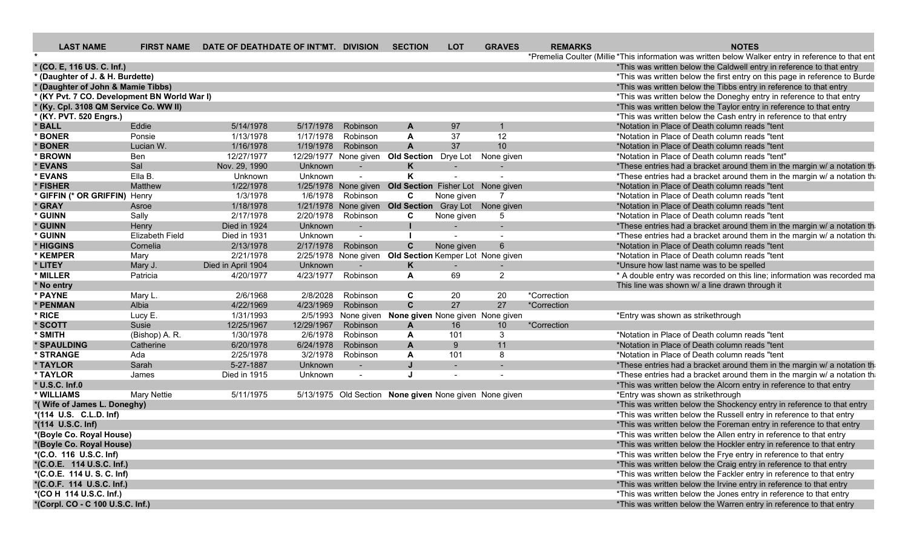| <b>LAST NAME</b>                             |                    | FIRST NAME DATE OF DEATHDATE OF INT'MT. DIVISION |            |          | <b>SECTION</b>                                         | <b>LOT</b>               | <b>GRAVES</b>   | <b>REMARKS</b> | <b>NOTES</b>                                                                                        |
|----------------------------------------------|--------------------|--------------------------------------------------|------------|----------|--------------------------------------------------------|--------------------------|-----------------|----------------|-----------------------------------------------------------------------------------------------------|
|                                              |                    |                                                  |            |          |                                                        |                          |                 |                | *Premelia Coulter (Millie *This information was written below Walker entry in reference to that ent |
| * (CO. E, 116 US. C. Inf.)                   |                    |                                                  |            |          |                                                        |                          |                 |                | *This was written below the Caldwell entry in reference to that entry                               |
| * (Daughter of J. & H. Burdette)             |                    |                                                  |            |          |                                                        |                          |                 |                | *This was written below the first entry on this page in reference to Burde                          |
| * (Daughter of John & Mamie Tibbs)           |                    |                                                  |            |          |                                                        |                          |                 |                | *This was written below the Tibbs entry in reference to that entry                                  |
| * (KY Pvt. 7 CO. Development BN World War I) |                    |                                                  |            |          |                                                        |                          |                 |                | *This was written below the Doneghy entry in reference to that entry                                |
| * (Ky. Cpl. 3108 QM Service Co. WW II)       |                    |                                                  |            |          |                                                        |                          |                 |                | *This was written below the Taylor entry in reference to that entry                                 |
| * (KY. PVT. 520 Engrs.)                      |                    |                                                  |            |          |                                                        |                          |                 |                | *This was written below the Cash entry in reference to that entry                                   |
| * BALL                                       | Eddie              | 5/14/1978                                        | 5/17/1978  | Robinson | A                                                      | 97                       |                 |                | *Notation in Place of Death column reads "tent                                                      |
| * BONER                                      | Ponsie             | 1/13/1978                                        | 1/17/1978  | Robinson | $\mathbf{A}$                                           | 37                       | 12              |                | *Notation in Place of Death column reads "tent                                                      |
| * BONER                                      | Lucian W.          | 1/16/1978                                        | 1/19/1978  | Robinson | $\overline{A}$                                         | 37                       | 10              |                | *Notation in Place of Death column reads "tent                                                      |
| * BROWN                                      | <b>Ben</b>         | 12/27/1977                                       |            |          | 12/29/1977 None given Old Section Drye Lot             |                          | None given      |                | *Notation in Place of Death column reads "tent"                                                     |
| * EVANS                                      | Sal                | Nov. 29, 1990                                    | Unknown    |          | K                                                      | $\overline{\phantom{a}}$ |                 |                | *These entries had a bracket around them in the margin w/ a notation th                             |
| * EVANS                                      | Ella B.            | Unknown                                          | Unknown    |          | K                                                      |                          | $\sim$          |                | *These entries had a bracket around them in the margin w/ a notation th                             |
| * FISHER                                     | Matthew            | 1/22/1978                                        |            |          | 1/25/1978 None given Old Section Fisher Lot None given |                          |                 |                | *Notation in Place of Death column reads "tent                                                      |
| * GIFFIN (* OR GRIFFIN) Henry                |                    | 1/3/1978                                         | 1/6/1978   | Robinson | C                                                      | None given               | 7               |                | *Notation in Place of Death column reads "tent                                                      |
| * GRAY                                       | Asroe              | 1/18/1978                                        |            |          | 1/21/1978 None given Old Section Gray Lot None given   |                          |                 |                | *Notation in Place of Death column reads "tent                                                      |
| * GUINN                                      | Sally              | 2/17/1978                                        | 2/20/1978  | Robinson | C                                                      | None given               | 5               |                | *Notation in Place of Death column reads "tent"                                                     |
| * GUINN                                      | Henry              | Died in 1924                                     | Unknown    | $\sim$   |                                                        |                          |                 |                | *These entries had a bracket around them in the margin w/ a notation th                             |
| * GUINN                                      | Elizabeth Field    | Died in 1931                                     | Unknown    | $\sim$   |                                                        |                          | $\sim$          |                | *These entries had a bracket around them in the margin w/ a notation th                             |
| * HIGGINS                                    | Cornelia           | 2/13/1978                                        | 2/17/1978  | Robinson | C                                                      | None given               | 6               |                | *Notation in Place of Death column reads "tent                                                      |
| * KEMPER                                     | Mary               | 2/21/1978                                        |            |          | 2/25/1978 None given Old Section Kemper Lot None given |                          |                 |                | *Notation in Place of Death column reads "tent                                                      |
| * LITEY                                      | Mary J.            | Died in April 1904                               | Unknown    |          | K                                                      | $\blacksquare$           |                 |                | *Unsure how last name was to be spelled                                                             |
| * MILLER                                     | Patricia           | 4/20/1977                                        | 4/23/1977  | Robinson | $\mathbf{A}$                                           | 69                       | $\overline{2}$  |                | * A double entry was recorded on this line; information was recorded ma                             |
| * No entry                                   |                    |                                                  |            |          |                                                        |                          |                 |                | This line was shown w/ a line drawn through it                                                      |
| * PAYNE                                      | Mary L.            | 2/6/1968                                         | 2/8/2028   | Robinson | C                                                      | 20                       | 20              | *Correction    |                                                                                                     |
| * PENMAN                                     | Albia              | 4/22/1969                                        | 4/23/1969  | Robinson | $\mathbf{C}$                                           | 27                       | 27              | *Correction    |                                                                                                     |
| * RICE                                       | Lucy E.            | 1/31/1993                                        |            |          | 2/5/1993 None given None given None given None given   |                          |                 |                | *Entry was shown as strikethrough                                                                   |
| * SCOTT                                      | Susie              | 12/25/1967                                       | 12/29/1967 | Robinson | $\mathbf{A}$                                           | 16                       | 10 <sup>°</sup> | *Correction    |                                                                                                     |
| * SMITH                                      | (Bishop) A. R.     | 1/30/1978                                        | 2/6/1978   | Robinson | $\mathbf{A}$                                           | 101                      | 3               |                | *Notation in Place of Death column reads "tent"                                                     |
| * SPAULDING                                  | Catherine          | 6/20/1978                                        | 6/24/1978  | Robinson | $\mathbf{A}$                                           | 9                        | 11              |                | *Notation in Place of Death column reads "tent                                                      |
| * STRANGE                                    | Ada                | 2/25/1978                                        | 3/2/1978   | Robinson | $\mathbf{A}$                                           | 101                      | 8               |                | *Notation in Place of Death column reads "tent"                                                     |
| * TAYLOR                                     | Sarah              | 5-27-1887                                        | Unknown    | $\sim$   | $\mathbf{J}$                                           | $\sim$                   |                 |                | *These entries had a bracket around them in the margin w/ a notation th                             |
| * TAYLOR                                     | James              | Died in 1915                                     | Unknown    | $\sim$   | $\mathbf{I}$                                           | $\sim$                   |                 |                | *These entries had a bracket around them in the margin w/ a notation th                             |
| * U.S.C. Inf.0                               |                    |                                                  |            |          |                                                        |                          |                 |                | *This was written below the Alcorn entry in reference to that entry                                 |
| * WILLIAMS                                   | <b>Mary Nettie</b> | 5/11/1975                                        |            |          | 5/13/1975 Old Section None given None given None given |                          |                 |                | *Entry was shown as strikethrough                                                                   |
| *(Wife of James L. Doneghy)                  |                    |                                                  |            |          |                                                        |                          |                 |                | *This was written below the Shockency entry in reference to that entry                              |
| *(114 U.S. C.L.D. Inf)                       |                    |                                                  |            |          |                                                        |                          |                 |                | *This was written below the Russell entry in reference to that entry                                |
| *(114 U.S.C. Inf)                            |                    |                                                  |            |          |                                                        |                          |                 |                |                                                                                                     |
|                                              |                    |                                                  |            |          |                                                        |                          |                 |                | *This was written below the Foreman entry in reference to that entry                                |
| *(Boyle Co. Royal House)                     |                    |                                                  |            |          |                                                        |                          |                 |                | *This was written below the Allen entry in reference to that entry                                  |
| *(Boyle Co. Royal House)                     |                    |                                                  |            |          |                                                        |                          |                 |                | *This was written below the Hockler entry in reference to that entry                                |
| *(C.O. 116 U.S.C. Inf)                       |                    |                                                  |            |          |                                                        |                          |                 |                | *This was written below the Frye entry in reference to that entry                                   |
| *(C.O.E. 114 U.S.C. Inf.)                    |                    |                                                  |            |          |                                                        |                          |                 |                | *This was written below the Craig entry in reference to that entry                                  |
| *(C.O.E. 114 U.S.C. Inf)                     |                    |                                                  |            |          |                                                        |                          |                 |                | *This was written below the Fackler entry in reference to that entry                                |
| *(C.O.F. 114 U.S.C. Inf.)                    |                    |                                                  |            |          |                                                        |                          |                 |                | *This was written below the Irvine entry in reference to that entry                                 |
| *(CO H 114 U.S.C. Inf.)                      |                    |                                                  |            |          |                                                        |                          |                 |                | *This was written below the Jones entry in reference to that entry                                  |
| *(Corpl. CO - C 100 U.S.C. Inf.)             |                    |                                                  |            |          |                                                        |                          |                 |                | *This was written below the Warren entry in reference to that entry                                 |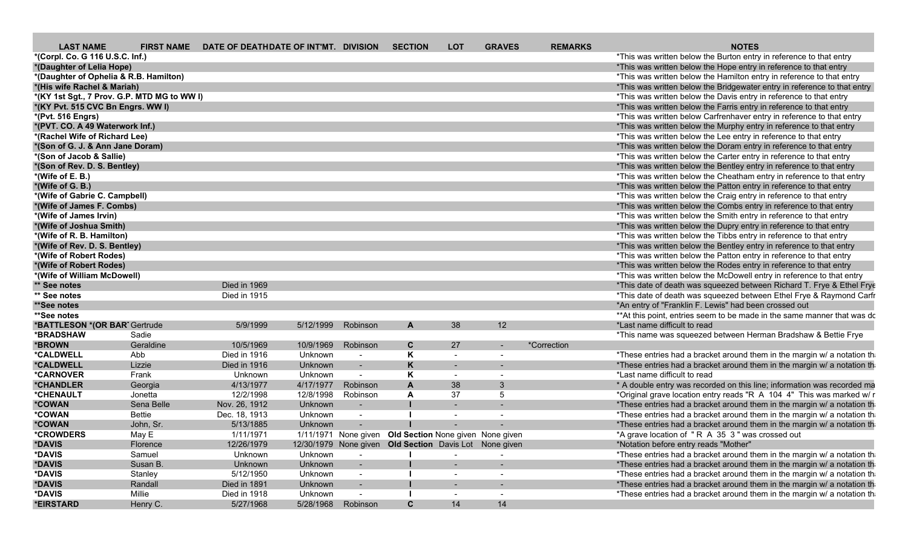| <b>LAST NAME</b>                       |                                             | FIRST NAME DATE OF DEATHDATE OF INT'MT. DIVISION |           |                    | <b>SECTION</b>                                         | <b>LOT</b> | <b>GRAVES</b>            | <b>REMARKS</b> | <b>NOTES</b>                                                             |
|----------------------------------------|---------------------------------------------|--------------------------------------------------|-----------|--------------------|--------------------------------------------------------|------------|--------------------------|----------------|--------------------------------------------------------------------------|
| *(Corpl. Co. G 116 U.S.C. Inf.)        |                                             |                                                  |           |                    |                                                        |            |                          |                | *This was written below the Burton entry in reference to that entry      |
| *(Daughter of Lelia Hope)              |                                             |                                                  |           |                    |                                                        |            |                          |                | *This was written below the Hope entry in reference to that entry        |
| *(Daughter of Ophelia & R.B. Hamilton) |                                             |                                                  |           |                    |                                                        |            |                          |                | *This was written below the Hamilton entry in reference to that entry    |
| *(His wife Rachel & Mariah)            |                                             |                                                  |           |                    |                                                        |            |                          |                | *This was written below the Bridgewater entry in reference to that entry |
|                                        | *(KY 1st Sgt., 7 Prov. G.P. MTD MG to WW I) |                                                  |           |                    |                                                        |            |                          |                | *This was written below the Davis entry in reference to that entry       |
| *(KY Pvt. 515 CVC Bn Engrs. WW I)      |                                             |                                                  |           |                    |                                                        |            |                          |                | *This was written below the Farris entry in reference to that entry      |
| *(Pvt. 516 Engrs)                      |                                             |                                                  |           |                    |                                                        |            |                          |                | *This was written below Carfrenhaver entry in reference to that entry    |
| *(PVT. CO. A 49 Waterwork Inf.)        |                                             |                                                  |           |                    |                                                        |            |                          |                | *This was written below the Murphy entry in reference to that entry      |
| *(Rachel Wife of Richard Lee)          |                                             |                                                  |           |                    |                                                        |            |                          |                | *This was written below the Lee entry in reference to that entry         |
| *(Son of G. J. & Ann Jane Doram)       |                                             |                                                  |           |                    |                                                        |            |                          |                | *This was written below the Doram entry in reference to that entry       |
| *(Son of Jacob & Sallie)               |                                             |                                                  |           |                    |                                                        |            |                          |                | *This was written below the Carter entry in reference to that entry      |
| *(Son of Rev. D. S. Bentley)           |                                             |                                                  |           |                    |                                                        |            |                          |                | *This was written below the Bentley entry in reference to that entry     |
| $*(Wife of E. B.)$                     |                                             |                                                  |           |                    |                                                        |            |                          |                | *This was written below the Cheatham entry in reference to that entry    |
| *(Wife of G. B.)                       |                                             |                                                  |           |                    |                                                        |            |                          |                | *This was written below the Patton entry in reference to that entry      |
| *(Wife of Gabrie C. Campbell)          |                                             |                                                  |           |                    |                                                        |            |                          |                | *This was written below the Craig entry in reference to that entry       |
| *(Wife of James F. Combs)              |                                             |                                                  |           |                    |                                                        |            |                          |                | *This was written below the Combs entry in reference to that entry       |
| *(Wife of James Irvin)                 |                                             |                                                  |           |                    |                                                        |            |                          |                | *This was written below the Smith entry in reference to that entry       |
| *(Wife of Joshua Smith)                |                                             |                                                  |           |                    |                                                        |            |                          |                | *This was written below the Dupry entry in reference to that entry       |
| *(Wife of R. B. Hamilton)              |                                             |                                                  |           |                    |                                                        |            |                          |                | *This was written below the Tibbs entry in reference to that entry       |
| *(Wife of Rev. D. S. Bentley)          |                                             |                                                  |           |                    |                                                        |            |                          |                | *This was written below the Bentley entry in reference to that entry     |
| *(Wife of Robert Rodes)                |                                             |                                                  |           |                    |                                                        |            |                          |                | *This was written below the Patton entry in reference to that entry      |
| *(Wife of Robert Rodes)                |                                             |                                                  |           |                    |                                                        |            |                          |                | *This was written below the Rodes entry in reference to that entry       |
| *(Wife of William McDowell)            |                                             |                                                  |           |                    |                                                        |            |                          |                | *This was written below the McDowell entry in reference to that entry    |
| ** See notes                           |                                             | Died in 1969                                     |           |                    |                                                        |            |                          |                | *This date of death was squeezed between Richard T. Frye & Ethel Frye    |
| ** See notes                           |                                             | Died in 1915                                     |           |                    |                                                        |            |                          |                | *This date of death was squeezed between Ethel Frye & Raymond Carfr      |
| **See notes                            |                                             |                                                  |           |                    |                                                        |            |                          |                | *An entry of "Franklin F. Lewis" had been crossed out                    |
| **See notes                            |                                             |                                                  |           |                    |                                                        |            |                          |                | ** At this point, entries seem to be made in the same manner that was do |
| *BATTLESON *(OR BART Gertrude          |                                             | 5/9/1999                                         | 5/12/1999 | Robinson           |                                                        | 38         | 12 <sup>2</sup>          |                | *Last name difficult to read                                             |
| *BRADSHAW                              | Sadie                                       |                                                  |           |                    |                                                        |            |                          |                | *This name was squeezed between Herman Bradshaw & Bettie Frye            |
| *BROWN                                 | Geraldine                                   | 10/5/1969                                        | 10/9/1969 | Robinson           | $\mathbf{C}$                                           | 27         | $\sim$                   | *Correction    |                                                                          |
| *CALDWELL                              | Abb                                         | Died in 1916                                     | Unknown   | $\sim$             | K                                                      |            | $\overline{\phantom{a}}$ |                | *These entries had a bracket around them in the margin w/ a notation th  |
| <b>*CALDWELL</b>                       | Lizzie                                      | Died in 1916                                     | Unknown   | $\sim$ $-$         | K                                                      |            | $\sim$                   |                | *These entries had a bracket around them in the margin w/ a notation th  |
| <i><b>*CARNOVER</b></i>                | Frank                                       | Unknown                                          | Unknown   | $\sim$             | K                                                      |            | $\overline{\phantom{0}}$ |                | *Last name difficult to read                                             |
| <b>*CHANDLER</b>                       | Georgia                                     | 4/13/1977                                        | 4/17/1977 | Robinson           |                                                        | 38         | 3                        |                | * A double entry was recorded on this line; information was recorded ma  |
| *CHENAULT                              | Jonetta                                     | 12/2/1998                                        | 12/8/1998 | Robinson           | $\mathbf{A}$                                           | 37         | .5                       |                | *Original grave location entry reads "R A 104 4" This was marked w/ r    |
| *COWAN                                 | Sena Belle                                  | Nov. 26, 1912                                    | Unknown   | $\sim$             |                                                        |            |                          |                | *These entries had a bracket around them in the margin w/ a notation th  |
| *COWAN                                 | Bettie                                      | Dec. 18, 1913                                    | Unknown   | $\sim$             |                                                        |            | $\sim$                   |                | *These entries had a bracket around them in the margin w/ a notation th  |
| *COWAN                                 | John, Sr.                                   | 5/13/1885                                        | Unknown   |                    |                                                        |            |                          |                | *These entries had a bracket around them in the margin w/ a notation th  |
| <i><b>*CROWDERS</b></i>                | May E                                       | 1/11/1971                                        |           |                    | 1/11/1971 None given Old Section None given None given |            |                          |                | *A grave location of "R A 35 3" was crossed out                          |
| *DAVIS                                 | Florence                                    | 12/26/1979                                       |           |                    | 12/30/1979 None given Old Section Davis Lot None given |            |                          |                | *Notation before entry reads "Mother"                                    |
| *DAVIS                                 | Samuel                                      | Unknown                                          | Unknown   | $\sim$             |                                                        |            |                          |                | *These entries had a bracket around them in the margin w/ a notation th  |
| *DAVIS                                 | Susan B.                                    | Unknown                                          | Unknown   | $\sim$ $-$         |                                                        | $\sim$ $-$ | $\sim$                   |                | *These entries had a bracket around them in the margin w/ a notation th  |
| *DAVIS                                 | Stanley                                     | 5/12/1950                                        | Unknown   | $\sim$             |                                                        | $\sim$     | $\sim$                   |                | *These entries had a bracket around them in the margin w/ a notation th  |
| *DAVIS                                 | Randall                                     | Died in 1891                                     | Unknown   | $\sim$ $-$         |                                                        |            |                          |                | *These entries had a bracket around them in the margin w/ a notation th  |
| *DAVIS                                 | Millie                                      | Died in 1918                                     | Unknown   | $\sim$             |                                                        | $\sim$     |                          |                | *These entries had a bracket around them in the margin w/ a notation th  |
| *EIRSTARD                              | Henry C.                                    | 5/27/1968                                        |           | 5/28/1968 Robinson | $\mathbf{C}$                                           | 14         | 14                       |                |                                                                          |
|                                        |                                             |                                                  |           |                    |                                                        |            |                          |                |                                                                          |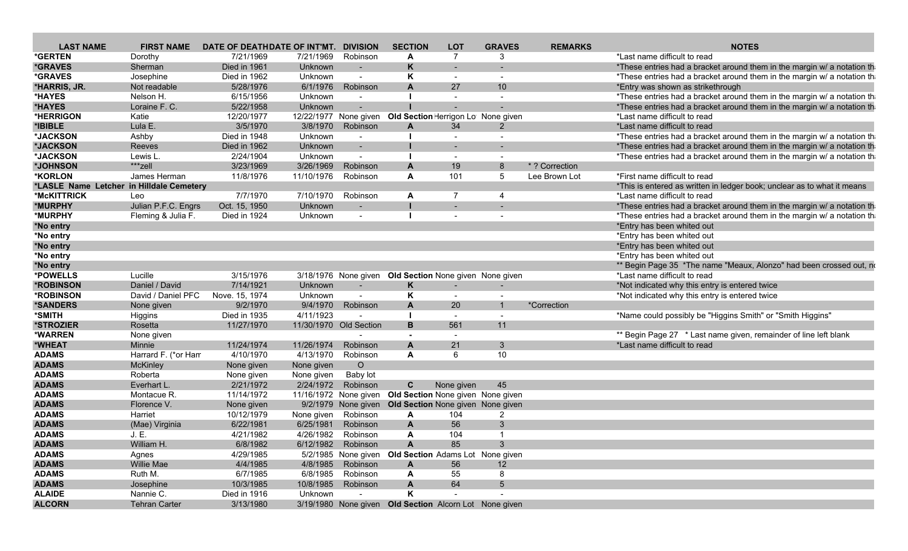| <b>LAST NAME</b>                         | <b>FIRST NAME</b>       | DATE OF DEATHDATE OF INT'MT. |            | <b>DIVISION</b>          | <b>SECTION</b> | <b>LOT</b>                                                | <b>GRAVES</b>            | <b>REMARKS</b> | <b>NOTES</b>                                                            |
|------------------------------------------|-------------------------|------------------------------|------------|--------------------------|----------------|-----------------------------------------------------------|--------------------------|----------------|-------------------------------------------------------------------------|
| *GERTEN                                  | Dorothy                 | 7/21/1969                    | 7/21/1969  | Robinson                 | A              | $\overline{7}$                                            | 3                        |                | *Last name difficult to read                                            |
| <i><b>*GRAVES</b></i>                    | Sherman                 | Died in 1961                 | Unknown    |                          | K              |                                                           |                          |                | *These entries had a bracket around them in the margin w/ a notation th |
| *GRAVES                                  | Josephine               | Died in 1962                 | Unknown    |                          | Κ              |                                                           | $\overline{\phantom{a}}$ |                | *These entries had a bracket around them in the margin w/ a notation th |
| *HARRIS, JR.                             | Not readable            | 5/28/1976                    | 6/1/1976   | Robinson                 | A              | 27                                                        | 10 <sup>°</sup>          |                | *Entry was shown as strikethrough                                       |
| *HAYES                                   | Nelson H.               | 6/15/1956                    | Unknown    | $\sim$                   |                | $\overline{a}$                                            | $\overline{\phantom{a}}$ |                | *These entries had a bracket around them in the margin w/ a notation th |
| *HAYES                                   | Loraine F. C.           | 5/22/1958                    | Unknown    |                          |                |                                                           |                          |                | *These entries had a bracket around them in the margin w/ a notation th |
| *HERRIGON                                | Katie                   | 12/20/1977                   |            |                          |                | 12/22/1977 None given Old Section Herrigon Lot None given |                          |                | *Last name difficult to read                                            |
| *IBIBLE                                  | Lula E.                 | 3/5/1970                     |            | 3/8/1970 Robinson        | A              | 34                                                        | $\overline{2}$           |                | *Last name difficult to read                                            |
| *JACKSON                                 | Ashby                   | Died in 1948                 | Unknown    |                          |                |                                                           | $\overline{\phantom{a}}$ |                | *These entries had a bracket around them in the margin w/ a notation th |
| *JACKSON                                 | Reeves                  | Died in 1962                 | Unknown    |                          |                |                                                           |                          |                | *These entries had a bracket around them in the margin w/ a notation th |
| *JACKSON                                 | Lewis L.                | 2/24/1904                    | Unknown    | $\overline{\phantom{a}}$ |                | $\sim$                                                    | $\overline{\phantom{a}}$ |                | *These entries had a bracket around them in the margin w/ a notation th |
| *JOHNSON                                 | ***zell                 | 3/23/1969                    | 3/26/1969  | Robinson                 | A              | 19                                                        | 8                        | *? Correction  |                                                                         |
| *KORLON                                  | James Herman            | 11/8/1976                    | 11/10/1976 | Robinson                 | A              | 101                                                       | 5                        | Lee Brown Lot  | *First name difficult to read                                           |
| *LASLE Name Letcher in Hilldale Cemetery |                         |                              |            |                          |                |                                                           |                          |                | *This is entered as written in ledger book; unclear as to what it means |
| *McKITTRICK                              | Leo                     | 7/7/1970                     | 7/10/1970  | Robinson                 | A              | 7                                                         | 4                        |                | *Last name difficult to read                                            |
| *MURPHY                                  | Julian P.F.C. Engrs     | Oct. 15, 1950                | Unknown    |                          |                | $\sim$                                                    | $\overline{\phantom{a}}$ |                | *These entries had a bracket around them in the margin w/ a notation th |
| *MURPHY                                  | Fleming & Julia F.      | Died in 1924                 | Unknown    |                          |                |                                                           |                          |                | *These entries had a bracket around them in the margin w/ a notation th |
| *No entry                                |                         |                              |            |                          |                |                                                           |                          |                | *Entry has been whited out                                              |
| *No entry                                |                         |                              |            |                          |                |                                                           |                          |                | *Entry has been whited out                                              |
| *No entry                                |                         |                              |            |                          |                |                                                           |                          |                | *Entry has been whited out                                              |
| *No entry                                |                         |                              |            |                          |                |                                                           |                          |                | *Entry has been whited out                                              |
| *No entry                                |                         |                              |            |                          |                |                                                           |                          |                | ** Begin Page 35 *The name "Meaux, Alonzo" had been crossed out, no     |
| *POWELLS                                 | Lucille                 | 3/15/1976                    |            |                          |                | 3/18/1976 None given Old Section None given None given    |                          |                | *Last name difficult to read                                            |
| *ROBINSON                                | Daniel / David          | 7/14/1921                    | Unknown    | $\sim$                   | K              | $\overline{a}$                                            | $\overline{a}$           |                | *Not indicated why this entry is entered twice                          |
| *ROBINSON                                | David / Daniel PFC      | Nove. 15, 1974               | Unknown    | $\blacksquare$           | Κ              |                                                           | $\overline{\phantom{a}}$ |                | *Not indicated why this entry is entered twice                          |
| <i><b>*SANDERS</b></i>                   | None given              | 9/2/1970                     | 9/4/1970   | Robinson                 | A              | 20                                                        | $\mathbf{1}$             | *Correction    |                                                                         |
| *SMITH                                   | Higgins                 | Died in 1935                 | 4/11/1923  |                          |                | $\sim$                                                    | $\sim$                   |                | *Name could possibly be "Higgins Smith" or "Smith Higgins"              |
| *STROZIER                                | Rosetta                 | 11/27/1970                   |            | 11/30/1970 Old Section   | B              | 561                                                       | 11                       |                |                                                                         |
| *WARREN                                  | None given              |                              |            |                          |                | $\overline{a}$                                            |                          |                | ** Begin Page 27 * Last name given, remainder of line left blank        |
| *WHEAT                                   | <b>Minnie</b>           | 11/24/1974                   | 11/26/1974 | Robinson                 | A              | 21                                                        | $\mathbf{3}$             |                | *Last name difficult to read                                            |
| <b>ADAMS</b>                             | Harrard F. (*or Han     | 4/10/1970                    | 4/13/1970  | Robinson                 | A              | 6                                                         | 10 <sup>1</sup>          |                |                                                                         |
| <b>ADAMS</b>                             | <b>McKinley</b>         | None given                   | None given | $\circ$                  |                |                                                           |                          |                |                                                                         |
| <b>ADAMS</b>                             | Roberta                 | None given                   | None given | Baby lot                 |                |                                                           |                          |                |                                                                         |
| <b>ADAMS</b>                             | Everhart L.             | 2/21/1972                    | 2/24/1972  | Robinson                 | C              | None given                                                | 45                       |                |                                                                         |
| <b>ADAMS</b>                             | Montacue R.             | 11/14/1972                   |            |                          |                | 11/16/1972 None given Old Section None given None given   |                          |                |                                                                         |
| <b>ADAMS</b>                             | Florence V.             |                              |            |                          |                | 9/2/1979 None given Old Section None given None given     |                          |                |                                                                         |
| <b>ADAMS</b>                             | Harriet                 | None given<br>10/12/1979     | None given | Robinson                 | A              | 104                                                       | $\overline{2}$           |                |                                                                         |
| <b>ADAMS</b>                             |                         | 6/22/1981                    | 6/25/1981  | Robinson                 | A              | 56                                                        | 3                        |                |                                                                         |
| <b>ADAMS</b>                             | (Mae) Virginia<br>J. E. | 4/21/1982                    |            | 4/26/1982 Robinson       | A              | 104                                                       | $\overline{1}$           |                |                                                                         |
|                                          |                         |                              |            |                          |                |                                                           |                          |                |                                                                         |
| <b>ADAMS</b>                             | William H.              | 6/8/1982                     |            | 6/12/1982 Robinson       | A              | 85                                                        |                          |                |                                                                         |
| <b>ADAMS</b>                             | Agnes                   | 4/29/1985                    |            |                          |                | 5/2/1985 None given Old Section Adams Lot None given      |                          |                |                                                                         |
| <b>ADAMS</b>                             | Willie Mae              | 4/4/1985                     |            | 4/8/1985 Robinson        | A              | 56                                                        | 12 <sup>2</sup>          |                |                                                                         |
| <b>ADAMS</b>                             | Ruth M.                 | 6/7/1985                     |            | 6/8/1985 Robinson        | A              | 55                                                        | 8                        |                |                                                                         |
| <b>ADAMS</b>                             | Josephine               | 10/3/1985                    |            | 10/8/1985 Robinson       | A              | 64                                                        | $5\overline{5}$          |                |                                                                         |
| <b>ALAIDE</b>                            | Nannie C.               | Died in 1916                 | Unknown    | $\sim$                   | K              |                                                           |                          |                |                                                                         |
| <b>ALCORN</b>                            | <b>Tehran Carter</b>    | 3/13/1980                    |            |                          |                | 3/19/1980 None given Old Section Alcorn Lot None given    |                          |                |                                                                         |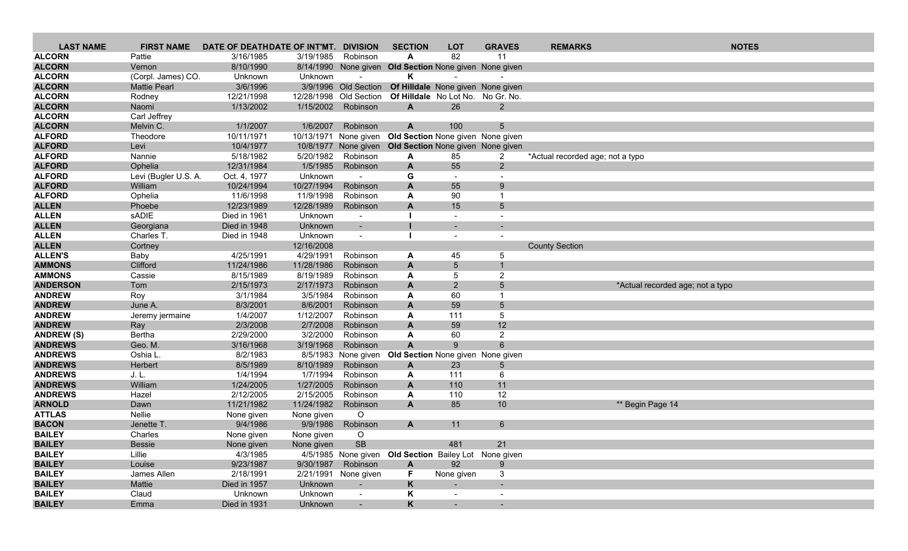| <b>LAST NAME</b>  | <b>FIRST NAME</b>    | DATE OF DEATHDATE OF INT'MT. |            | <b>DIVISION</b>          | <b>SECTION</b>                                         | <b>LOT</b>                        | <b>GRAVES</b>            | <b>REMARKS</b>                   | <b>NOTES</b>                     |
|-------------------|----------------------|------------------------------|------------|--------------------------|--------------------------------------------------------|-----------------------------------|--------------------------|----------------------------------|----------------------------------|
| <b>ALCORN</b>     | Pattie               | 3/16/1985                    | 3/19/1985  | Robinson                 | A                                                      | 82                                | 11                       |                                  |                                  |
| <b>ALCORN</b>     | Vernon               | 8/10/1990                    |            |                          | 8/14/1990 None given Old Section None given None given |                                   |                          |                                  |                                  |
| <b>ALCORN</b>     | (Corpl. James) CO.   | Unknown                      | Unknown    |                          | ĸ                                                      |                                   |                          |                                  |                                  |
| <b>ALCORN</b>     | <b>Mattie Pearl</b>  | 3/6/1996                     |            | 3/9/1996 Old Section     |                                                        | Of Hilldale None given None given |                          |                                  |                                  |
| <b>ALCORN</b>     | Rodney               | 12/21/1998                   | 12/28/1998 | Old Section              | Of Hilldale No Lot No. No Gr. No.                      |                                   |                          |                                  |                                  |
| <b>ALCORN</b>     | Naomi                | 1/13/2002                    | 1/15/2002  | Robinson                 | A                                                      | 26                                | $\overline{2}$           |                                  |                                  |
| <b>ALCORN</b>     | Carl Jeffrey         |                              |            |                          |                                                        |                                   |                          |                                  |                                  |
| <b>ALCORN</b>     | Melvin C.            | 1/1/2007                     | 1/6/2007   | Robinson                 | $\mathbf{A}$                                           | 100                               | 5.                       |                                  |                                  |
| <b>ALFORD</b>     | Theodore             | 10/11/1971                   |            | 10/13/1971 None given    | Old Section None given None given                      |                                   |                          |                                  |                                  |
| <b>ALFORD</b>     | Levi                 | 10/4/1977                    |            |                          | 10/8/1977 None given Old Section None given None given |                                   |                          |                                  |                                  |
| <b>ALFORD</b>     | Nannie               | 5/18/1982                    | 5/20/1982  | Robinson                 | A                                                      | 85                                | $\mathbf{2}$             | *Actual recorded age; not a typo |                                  |
| <b>ALFORD</b>     | Ophelia              | 12/31/1984                   | 1/5/1985   | Robinson                 | $\mathbf{A}$                                           | 55                                | $2^{\circ}$              |                                  |                                  |
| <b>ALFORD</b>     | Levi (Bugler U.S. A. | Oct. 4, 1977                 | Unknown    |                          | G                                                      |                                   | $\sim$                   |                                  |                                  |
| <b>ALFORD</b>     | William              | 10/24/1994                   | 10/27/1994 | Robinson                 | A                                                      | 55                                | 9                        |                                  |                                  |
| <b>ALFORD</b>     | Ophelia              | 11/6/1998                    | 11/9/1998  | Robinson                 | A                                                      | 90                                |                          |                                  |                                  |
| <b>ALLEN</b>      | Phoebe               | 12/23/1989                   | 12/28/1989 | Robinson                 | A                                                      | 15                                | 5                        |                                  |                                  |
| <b>ALLEN</b>      | sADIE                | Died in 1961                 | Unknown    | $\blacksquare$           |                                                        | $\overline{\phantom{a}}$          | $\overline{\phantom{a}}$ |                                  |                                  |
| <b>ALLEN</b>      | Georgiana            | Died in 1948                 | Unknown    | $\overline{\phantom{a}}$ |                                                        |                                   |                          |                                  |                                  |
| <b>ALLEN</b>      | Charles T.           | Died in 1948                 | Unknown    | $\overline{\phantom{a}}$ |                                                        |                                   | $\overline{\phantom{a}}$ |                                  |                                  |
| <b>ALLEN</b>      | Cortney              |                              | 12/16/2008 |                          |                                                        |                                   |                          | <b>County Section</b>            |                                  |
| <b>ALLEN'S</b>    | Baby                 | 4/25/1991                    | 4/29/1991  | Robinson                 | A                                                      | 45                                | 5                        |                                  |                                  |
| <b>AMMONS</b>     | Clifford             | 11/24/1986                   | 11/28/1986 | Robinson                 | $\mathsf{A}$                                           | 5                                 | $\mathbf{1}$             |                                  |                                  |
| <b>AMMONS</b>     | Cassie               | 8/15/1989                    | 8/19/1989  | Robinson                 | A                                                      | 5                                 | $\overline{2}$           |                                  |                                  |
| <b>ANDERSON</b>   | Tom                  | 2/15/1973                    | 2/17/1973  | Robinson                 | A                                                      | $\overline{2}$                    | 5                        |                                  | *Actual recorded age; not a typo |
| <b>ANDREW</b>     | Roy                  | 3/1/1984                     | 3/5/1984   | Robinson                 | A                                                      | 60                                |                          |                                  |                                  |
| <b>ANDREW</b>     | June A.              | 8/3/2001                     | 8/6/2001   | Robinson                 | A                                                      | 59                                | 5                        |                                  |                                  |
| <b>ANDREW</b>     | Jeremy jermaine      | 1/4/2007                     | 1/12/2007  | Robinson                 | A                                                      | 111                               | 5                        |                                  |                                  |
| <b>ANDREW</b>     | Ray                  | 2/3/2008                     | 2/7/2008   | Robinson                 | A                                                      | 59                                | 12                       |                                  |                                  |
| <b>ANDREW (S)</b> | Bertha               | 2/29/2000                    | 3/2/2000   | Robinson                 | A                                                      | 60                                | $\overline{2}$           |                                  |                                  |
| <b>ANDREWS</b>    | Geo. M.              | 3/16/1968                    | 3/19/1968  | Robinson                 | A                                                      | 9                                 | 6                        |                                  |                                  |
| <b>ANDREWS</b>    | Oshia L              | 8/2/1983                     | 8/5/1983   | None given               | Old Section None given None given                      |                                   |                          |                                  |                                  |
| <b>ANDREWS</b>    | Herbert              | 8/5/1989                     | 8/10/1989  | Robinson                 | $\mathsf{A}$                                           | 23                                | 5                        |                                  |                                  |
| <b>ANDREWS</b>    | J. L.                | 1/4/1994                     | 1/7/1994   | Robinson                 | A                                                      | 111                               | 6                        |                                  |                                  |
| <b>ANDREWS</b>    | William              | 1/24/2005                    | 1/27/2005  | Robinson                 | A                                                      | 110                               | 11                       |                                  |                                  |
| <b>ANDREWS</b>    | Hazel                | 2/12/2005                    | 2/15/2005  | Robinson                 | A                                                      | 110                               | 12                       |                                  |                                  |
| <b>ARNOLD</b>     | Dawn                 | 11/21/1982                   | 11/24/1982 | Robinson                 | A                                                      | 85                                | 10                       |                                  | ** Begin Page 14                 |
| <b>ATTLAS</b>     | Nellie               | None given                   | None given | O                        |                                                        |                                   |                          |                                  |                                  |
| <b>BACON</b>      | Jenette T.           | 9/4/1986                     | 9/9/1986   | Robinson                 | $\mathsf{A}$                                           | 11                                | 6                        |                                  |                                  |
| <b>BAILEY</b>     | Charles              | None given                   | None given | $\circ$                  |                                                        |                                   |                          |                                  |                                  |
| <b>BAILEY</b>     | Bessie               | None given                   | None given | <b>SB</b>                |                                                        | 481                               | 21                       |                                  |                                  |
| <b>BAILEY</b>     | Lillie               | 4/3/1985                     |            |                          | 4/5/1985 None given Old Section Bailey Lot None given  |                                   |                          |                                  |                                  |
| <b>BAILEY</b>     | Louise               | 9/23/1987                    | 9/30/1987  | Robinson                 | $\mathsf{A}$                                           | 92                                | 9                        |                                  |                                  |
| <b>BAILEY</b>     | James Allen          | 2/18/1991                    |            | 2/21/1991 None given     | F.                                                     | None given                        | 3                        |                                  |                                  |
| <b>BAILEY</b>     | Mattie               | Died in 1957                 | Unknown    |                          | K                                                      |                                   |                          |                                  |                                  |
| <b>BAILEY</b>     | Claud                | Unknown                      | Unknown    | $\sim$                   | K                                                      | $\sim$                            | $\sim$                   |                                  |                                  |
| <b>BAILEY</b>     | Emma                 | Died in 1931                 | Unknown    |                          | K                                                      | $\sim$ .                          | $\sim$                   |                                  |                                  |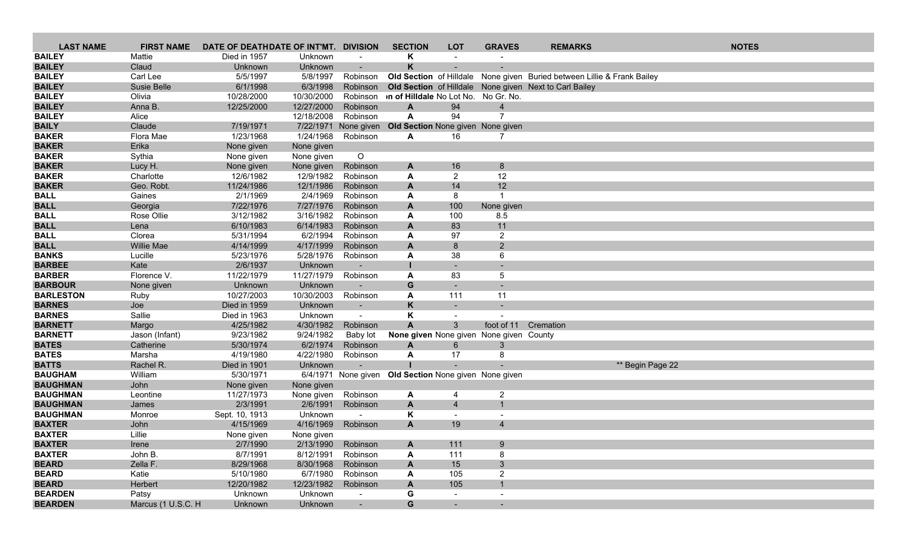| <b>LAST NAME</b>               | <b>FIRST NAME</b>  | DATE OF DEATHDATE OF INT'MT. DIVISION |                        |                          | <b>SECTION</b>                                        | <b>LOT</b>               | <b>GRAVES</b>            | <b>REMARKS</b>                                                          |                  | <b>NOTES</b> |
|--------------------------------|--------------------|---------------------------------------|------------------------|--------------------------|-------------------------------------------------------|--------------------------|--------------------------|-------------------------------------------------------------------------|------------------|--------------|
| <b>BAILEY</b>                  | Mattie             | Died in 1957                          | Unknown                |                          | Κ                                                     |                          |                          |                                                                         |                  |              |
| <b>BAILEY</b>                  | Claud              | Unknown                               | Unknown                |                          | K                                                     |                          |                          |                                                                         |                  |              |
| <b>BAILEY</b>                  | Carl Lee           | 5/5/1997                              | 5/8/1997               | Robinson                 |                                                       |                          |                          | Old Section of Hilldale None given Buried between Lillie & Frank Bailey |                  |              |
| <b>BAILEY</b>                  | Susie Belle        | 6/1/1998                              | 6/3/1998               | Robinson                 |                                                       |                          |                          | Old Section of Hilldale None given Next to Carl Bailey                  |                  |              |
| <b>BAILEY</b>                  | Olivia             | 10/28/2000                            | 10/30/2000             | Robinson                 | on of Hilldale No Lot No. No Gr. No.                  |                          |                          |                                                                         |                  |              |
| <b>BAILEY</b>                  | Anna B.            | 12/25/2000                            | 12/27/2000             | Robinson                 | $\mathbf{A}$                                          | 94                       | $\overline{4}$           |                                                                         |                  |              |
| <b>BAILEY</b>                  | Alice              |                                       | 12/18/2008             | Robinson                 | A                                                     | 94                       | $\overline{ }$           |                                                                         |                  |              |
| <b>BAILY</b>                   | Claude             | 7/19/1971                             | 7/22/1971              | None given               | Old Section None given None given                     |                          |                          |                                                                         |                  |              |
| <b>BAKER</b>                   | Flora Mae          | 1/23/1968                             | 1/24/1968              | Robinson                 | A                                                     | 16                       |                          |                                                                         |                  |              |
| <b>BAKER</b>                   | Erika              | None given                            | None given             |                          |                                                       |                          |                          |                                                                         |                  |              |
| <b>BAKER</b>                   | Sythia             | None given                            | None given             | $\circ$                  |                                                       |                          |                          |                                                                         |                  |              |
| <b>BAKER</b>                   | Lucy H.            | None given                            | None given             | Robinson                 | A                                                     | 16                       | 8                        |                                                                         |                  |              |
| <b>BAKER</b>                   | Charlotte          | 12/6/1982                             | 12/9/1982              | Robinson                 | A                                                     | $\overline{2}$           | 12                       |                                                                         |                  |              |
| <b>BAKER</b>                   | Geo. Robt.         | 11/24/1986                            | 12/1/1986              | Robinson                 | A                                                     | 14                       | 12                       |                                                                         |                  |              |
| <b>BALL</b>                    | Gaines             | 2/1/1969                              | 2/4/1969               | Robinson                 | A                                                     | 8                        | -1                       |                                                                         |                  |              |
| <b>BALL</b>                    | Georgia            | 7/22/1976                             | 7/27/1976              | Robinson                 | A                                                     | 100                      | None given               |                                                                         |                  |              |
| <b>BALL</b>                    | Rose Ollie         | 3/12/1982                             | 3/16/1982              | Robinson                 | A                                                     | 100                      | 8.5                      |                                                                         |                  |              |
| <b>BALL</b>                    | Lena               | 6/10/1983                             | 6/14/1983              | Robinson                 | A                                                     | 83                       | 11                       |                                                                         |                  |              |
| <b>BALL</b>                    | Clorea             | 5/31/1994                             | 6/2/1994               | Robinson                 | A                                                     | 97                       | $\overline{2}$           |                                                                         |                  |              |
| <b>BALL</b>                    | <b>Willie Mae</b>  | 4/14/1999                             | 4/17/1999              | Robinson                 | $\mathbf{A}$                                          | 8                        | 2                        |                                                                         |                  |              |
| <b>BANKS</b>                   | Lucille            | 5/23/1976                             | 5/28/1976              | Robinson                 | A                                                     | 38                       | 6                        |                                                                         |                  |              |
| <b>BARBEE</b>                  | Kate               | 2/6/1937                              | Unknown                |                          |                                                       |                          |                          |                                                                         |                  |              |
| <b>BARBER</b>                  | Florence V.        | 11/22/1979                            | 11/27/1979             | Robinson                 | A                                                     | 83                       | 5                        |                                                                         |                  |              |
| <b>BARBOUR</b>                 | None given         | Unknown                               | Unknown                |                          | G                                                     |                          |                          |                                                                         |                  |              |
| <b>BARLESTON</b>               | Ruby               | 10/27/2003                            | 10/30/2003             | Robinson                 | A                                                     | 111                      | 11                       |                                                                         |                  |              |
| <b>BARNES</b>                  | Joe                | Died in 1959                          | Unknown                |                          | K                                                     | $\overline{\phantom{a}}$ |                          |                                                                         |                  |              |
| <b>BARNES</b>                  | Sallie             | Died in 1963                          | Unknown                | $\overline{\phantom{a}}$ | K                                                     | $\overline{\phantom{a}}$ |                          |                                                                         |                  |              |
| <b>BARNETT</b>                 | Margo              | 4/25/1982                             | 4/30/1982              | Robinson                 | $\mathsf{A}$                                          | 3                        | foot of 11               | Cremation                                                               |                  |              |
| <b>BARNETT</b>                 | Jason (Infant)     | 9/23/1982                             | 9/24/1982              | Baby lot                 | None given None given None given County               |                          |                          |                                                                         |                  |              |
| <b>BATES</b>                   | Catherine          | 5/30/1974                             | 6/2/1974               | Robinson                 | $\mathbf{A}$                                          | 6                        | 3                        |                                                                         |                  |              |
| <b>BATES</b>                   | Marsha             | 4/19/1980                             | 4/22/1980              | Robinson                 | A                                                     | 17                       |                          |                                                                         |                  |              |
| <b>BATTS</b><br><b>BAUGHAM</b> | Rachel R.          | Died in 1901                          | Unknown                |                          |                                                       |                          |                          |                                                                         | ** Begin Page 22 |              |
| <b>BAUGHMAN</b>                | William            | 5/30/1971                             |                        |                          | 6/4/1971 None given Old Section None given None given |                          |                          |                                                                         |                  |              |
| <b>BAUGHMAN</b>                | John<br>Leontine   | None given<br>11/27/1973              | None given             |                          |                                                       | 4                        |                          |                                                                         |                  |              |
| <b>BAUGHMAN</b>                |                    | 2/3/1991                              | None given<br>2/6/1991 | Robinson<br>Robinson     | A                                                     | $\overline{4}$           | $\overline{2}$           |                                                                         |                  |              |
| <b>BAUGHMAN</b>                | James<br>Monroe    | Sept. 10, 1913                        | Unknown                | $\overline{\phantom{a}}$ | A<br>Κ                                                |                          |                          |                                                                         |                  |              |
| <b>BAXTER</b>                  | John               | 4/15/1969                             | 4/16/1969              | Robinson                 | $\mathsf{A}$                                          | 19                       | $\overline{4}$           |                                                                         |                  |              |
| <b>BAXTER</b>                  | Lillie             | None given                            | None given             |                          |                                                       |                          |                          |                                                                         |                  |              |
|                                |                    |                                       | 2/13/1990              | Robinson                 |                                                       |                          |                          |                                                                         |                  |              |
| <b>BAXTER</b><br><b>BAXTER</b> | Irene<br>John B.   | 2/7/1990<br>8/7/1991                  | 8/12/1991              | Robinson                 | A<br>A                                                | 111<br>111               | 9<br>8                   |                                                                         |                  |              |
| <b>BEARD</b>                   | Zella F.           | 8/29/1968                             | 8/30/1968              | Robinson                 | A                                                     | 15                       | $3\phantom{a}$           |                                                                         |                  |              |
| <b>BEARD</b>                   | Katie              | 5/10/1980                             | 6/7/1980               | Robinson                 | A                                                     | 105                      | $\overline{2}$           |                                                                         |                  |              |
| <b>BEARD</b>                   | Herbert            | 12/20/1982                            | 12/23/1982             | Robinson                 | A                                                     | 105                      | $\mathbf{1}$             |                                                                         |                  |              |
| <b>BEARDEN</b>                 | Patsy              | Unknown                               | Unknown                | $\overline{\phantom{a}}$ | G                                                     | $\overline{\phantom{a}}$ | $\overline{\phantom{a}}$ |                                                                         |                  |              |
| <b>BEARDEN</b>                 | Marcus (1 U.S.C. H | Unknown                               | Unknown                |                          | G                                                     |                          |                          |                                                                         |                  |              |
|                                |                    |                                       |                        |                          |                                                       |                          |                          |                                                                         |                  |              |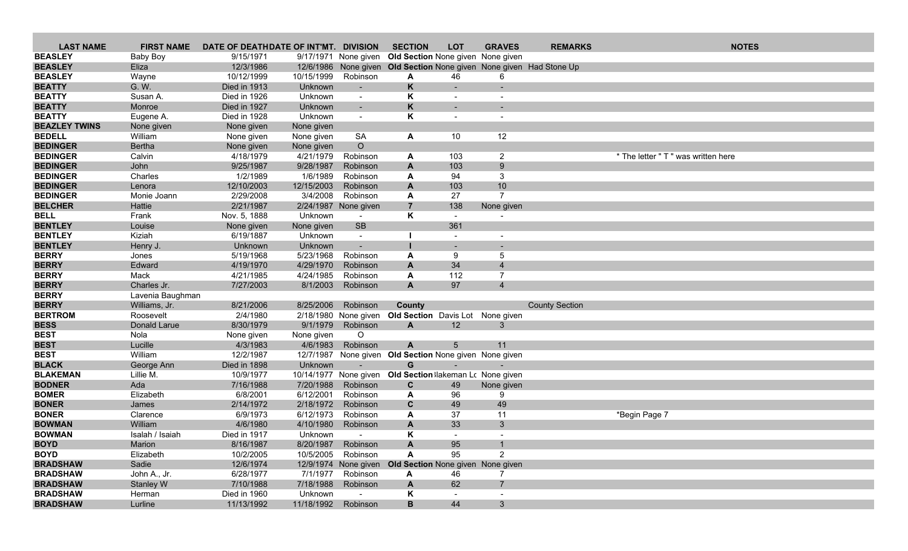| 9/17/1971 None given Old Section None given None given<br><b>Baby Boy</b><br>9/15/1971<br><b>BEASLEY</b><br>Eliza<br>12/3/1986<br>12/6/1986 None given Old Section None given None given Had Stone Up<br><b>BEASLEY</b><br>Robinson<br>Wayne<br>10/12/1999<br>10/15/1999<br>46<br>A<br>6<br><b>BEATTY</b><br>G. W.<br>Died in 1913<br>Unknown<br>K<br>$\blacksquare$<br><b>BEATTY</b><br>Κ<br>Susan A.<br>Died in 1926<br>Unknown<br>$\sim$<br>$\sim$<br><b>BEATTY</b><br>K<br>Monroe<br>Died in 1927<br>Unknown<br>$\sim$<br>٠<br>K<br><b>BEATTY</b><br>Died in 1928<br>Unknown<br>Eugene A.<br>$\sim$<br>$\overline{\phantom{a}}$<br><b>BEAZLEY TWINS</b><br>None given<br>None given<br>None given<br>12<br><b>BEDELL</b><br>William<br>SA<br>A<br>10<br>None given<br>None given<br>$\circ$<br><b>BEDINGER</b><br>Bertha<br>None given<br>None given<br><b>BEDINGER</b><br>Calvin<br>4/21/1979<br>4/18/1979<br>Robinson<br>103<br>$\overline{2}$<br>* The letter " T " was written here<br>A<br><b>BEDINGER</b><br>John<br>9/25/1987<br>9/28/1987<br>9<br>Robinson<br>A<br>103<br><b>BEDINGER</b><br>Charles<br>1/6/1989<br>94<br>1/2/1989<br>Robinson<br>3<br>A<br><b>BEDINGER</b><br>12/10/2003<br>12/15/2003<br>10<br>Robinson<br>A<br>103<br>Lenora<br>2/29/2008<br>3/4/2008<br>Robinson<br>27<br>$\overline{7}$<br>Monie Joann<br>A<br>$\overline{7}$<br><b>BELCHER</b><br>2/21/1987<br>2/24/1987 None given<br>138<br>Hattie<br>None given<br><b>BELL</b><br>K<br>Frank<br>Nov. 5, 1888<br>Unknown<br>$\sim$<br>$\sim$<br><b>SB</b><br>361<br>Louise<br>None given<br>None given<br>Kiziah<br>6/19/1887<br>Unknown<br>$\sim$<br>Unknown<br>Henry J.<br>Unknown<br>$\blacksquare$<br>5/23/1968<br>5/19/1968<br>Robinson<br>9<br>5<br>Jones<br>A<br>4/29/1970<br>34<br>Edward<br>4/19/1970<br>Robinson<br>$\mathbf{A}$<br>$\overline{4}$<br>112<br>Mack<br>4/24/1985<br>Robinson<br>$\overline{7}$<br>4/21/1985<br>A<br>Charles Jr.<br>7/27/2003<br>97<br>8/1/2003<br>Robinson<br>A<br>$\overline{4}$<br>Lavenia Baughman<br>Robinson<br>Williams, Jr.<br>8/21/2006<br>8/25/2006<br>County<br><b>County Section</b><br>2/4/1980<br>2/18/1980 None given<br>Old Section Davis Lot None given<br>Roosevelt<br>8/30/1979<br>9/1/1979<br>Donald Larue<br>Robinson<br>A<br>12<br>3<br>None given<br>$\circ$<br>Nola<br>None given<br>4/6/1983<br>Robinson<br>Lucille<br>4/3/1983<br>A<br>5<br>11<br>William<br>12/2/1987<br>None given Old Section None given None given<br>12/7/1987<br>Died in 1898<br>Unknown<br>G<br>George Ann<br>$\blacksquare$<br>$\blacksquare$<br>Lillie M.<br>Old Section lakeman Lc None given<br>10/9/1977<br>10/14/1977 None given<br>7/20/1988<br>Robinson<br>Ada<br>7/16/1988<br>C<br>49<br>None given<br>6/12/2001<br>Elizabeth<br>6/8/2001<br>Robinson<br>96<br>9<br>A<br>2/14/1972<br>2/18/1972<br>$\mathbf{C}$<br>49<br>49<br>Robinson<br>James<br>6/12/1973<br>Robinson<br>37<br>Clarence<br>6/9/1973<br>A<br>11<br>*Begin Page 7<br>William<br>4/6/1980<br>4/10/1980<br>A<br>33<br>3<br>Robinson<br>K<br>Isalah / Isaiah<br>Died in 1917<br>Unknown<br>Marion<br>8/16/1987<br>8/20/1987<br>Robinson<br>A<br>95<br>95<br>$\overline{2}$<br>10/2/2005<br>10/5/2005 Robinson<br>Elizabeth<br>A<br>12/6/1974<br>Sadie<br>12/9/1974 None given Old Section None given None given<br>John A., Jr.<br>6/28/1977<br>7/1/1977<br>Robinson<br>46<br>A<br>7<br>$\overline{7}$<br>Stanley W<br>7/18/1988<br>Robinson<br>62<br>7/10/1988<br>A | <b>LAST NAME</b> | <b>FIRST NAME</b> | DATE OF DEATHDATE OF INT'MT. DIVISION |  | <b>SECTION</b> | <b>LOT</b> | <b>GRAVES</b> | <b>REMARKS</b> | <b>NOTES</b> |
|--------------------------------------------------------------------------------------------------------------------------------------------------------------------------------------------------------------------------------------------------------------------------------------------------------------------------------------------------------------------------------------------------------------------------------------------------------------------------------------------------------------------------------------------------------------------------------------------------------------------------------------------------------------------------------------------------------------------------------------------------------------------------------------------------------------------------------------------------------------------------------------------------------------------------------------------------------------------------------------------------------------------------------------------------------------------------------------------------------------------------------------------------------------------------------------------------------------------------------------------------------------------------------------------------------------------------------------------------------------------------------------------------------------------------------------------------------------------------------------------------------------------------------------------------------------------------------------------------------------------------------------------------------------------------------------------------------------------------------------------------------------------------------------------------------------------------------------------------------------------------------------------------------------------------------------------------------------------------------------------------------------------------------------------------------------------------------------------------------------------------------------------------------------------------------------------------------------------------------------------------------------------------------------------------------------------------------------------------------------------------------------------------------------------------------------------------------------------------------------------------------------------------------------------------------------------------------------------------------------------------------------------------------------------------------------------------------------------------------------------------------------------------------------------------------------------------------------------------------------------------------------------------------------------------------------------------------------------------------------------------------------------------------------------------------------------------------------------------------------------------------------------------------------------------------------------------------------------------------------------------------------------------------------------------------------------------------------------------------------------------------------------------------------------------------------------------------------------------|------------------|-------------------|---------------------------------------|--|----------------|------------|---------------|----------------|--------------|
|                                                                                                                                                                                                                                                                                                                                                                                                                                                                                                                                                                                                                                                                                                                                                                                                                                                                                                                                                                                                                                                                                                                                                                                                                                                                                                                                                                                                                                                                                                                                                                                                                                                                                                                                                                                                                                                                                                                                                                                                                                                                                                                                                                                                                                                                                                                                                                                                                                                                                                                                                                                                                                                                                                                                                                                                                                                                                                                                                                                                                                                                                                                                                                                                                                                                                                                                                                                                                                                                          | <b>BEASLEY</b>   |                   |                                       |  |                |            |               |                |              |
|                                                                                                                                                                                                                                                                                                                                                                                                                                                                                                                                                                                                                                                                                                                                                                                                                                                                                                                                                                                                                                                                                                                                                                                                                                                                                                                                                                                                                                                                                                                                                                                                                                                                                                                                                                                                                                                                                                                                                                                                                                                                                                                                                                                                                                                                                                                                                                                                                                                                                                                                                                                                                                                                                                                                                                                                                                                                                                                                                                                                                                                                                                                                                                                                                                                                                                                                                                                                                                                                          |                  |                   |                                       |  |                |            |               |                |              |
|                                                                                                                                                                                                                                                                                                                                                                                                                                                                                                                                                                                                                                                                                                                                                                                                                                                                                                                                                                                                                                                                                                                                                                                                                                                                                                                                                                                                                                                                                                                                                                                                                                                                                                                                                                                                                                                                                                                                                                                                                                                                                                                                                                                                                                                                                                                                                                                                                                                                                                                                                                                                                                                                                                                                                                                                                                                                                                                                                                                                                                                                                                                                                                                                                                                                                                                                                                                                                                                                          |                  |                   |                                       |  |                |            |               |                |              |
|                                                                                                                                                                                                                                                                                                                                                                                                                                                                                                                                                                                                                                                                                                                                                                                                                                                                                                                                                                                                                                                                                                                                                                                                                                                                                                                                                                                                                                                                                                                                                                                                                                                                                                                                                                                                                                                                                                                                                                                                                                                                                                                                                                                                                                                                                                                                                                                                                                                                                                                                                                                                                                                                                                                                                                                                                                                                                                                                                                                                                                                                                                                                                                                                                                                                                                                                                                                                                                                                          |                  |                   |                                       |  |                |            |               |                |              |
|                                                                                                                                                                                                                                                                                                                                                                                                                                                                                                                                                                                                                                                                                                                                                                                                                                                                                                                                                                                                                                                                                                                                                                                                                                                                                                                                                                                                                                                                                                                                                                                                                                                                                                                                                                                                                                                                                                                                                                                                                                                                                                                                                                                                                                                                                                                                                                                                                                                                                                                                                                                                                                                                                                                                                                                                                                                                                                                                                                                                                                                                                                                                                                                                                                                                                                                                                                                                                                                                          |                  |                   |                                       |  |                |            |               |                |              |
|                                                                                                                                                                                                                                                                                                                                                                                                                                                                                                                                                                                                                                                                                                                                                                                                                                                                                                                                                                                                                                                                                                                                                                                                                                                                                                                                                                                                                                                                                                                                                                                                                                                                                                                                                                                                                                                                                                                                                                                                                                                                                                                                                                                                                                                                                                                                                                                                                                                                                                                                                                                                                                                                                                                                                                                                                                                                                                                                                                                                                                                                                                                                                                                                                                                                                                                                                                                                                                                                          |                  |                   |                                       |  |                |            |               |                |              |
|                                                                                                                                                                                                                                                                                                                                                                                                                                                                                                                                                                                                                                                                                                                                                                                                                                                                                                                                                                                                                                                                                                                                                                                                                                                                                                                                                                                                                                                                                                                                                                                                                                                                                                                                                                                                                                                                                                                                                                                                                                                                                                                                                                                                                                                                                                                                                                                                                                                                                                                                                                                                                                                                                                                                                                                                                                                                                                                                                                                                                                                                                                                                                                                                                                                                                                                                                                                                                                                                          |                  |                   |                                       |  |                |            |               |                |              |
|                                                                                                                                                                                                                                                                                                                                                                                                                                                                                                                                                                                                                                                                                                                                                                                                                                                                                                                                                                                                                                                                                                                                                                                                                                                                                                                                                                                                                                                                                                                                                                                                                                                                                                                                                                                                                                                                                                                                                                                                                                                                                                                                                                                                                                                                                                                                                                                                                                                                                                                                                                                                                                                                                                                                                                                                                                                                                                                                                                                                                                                                                                                                                                                                                                                                                                                                                                                                                                                                          |                  |                   |                                       |  |                |            |               |                |              |
|                                                                                                                                                                                                                                                                                                                                                                                                                                                                                                                                                                                                                                                                                                                                                                                                                                                                                                                                                                                                                                                                                                                                                                                                                                                                                                                                                                                                                                                                                                                                                                                                                                                                                                                                                                                                                                                                                                                                                                                                                                                                                                                                                                                                                                                                                                                                                                                                                                                                                                                                                                                                                                                                                                                                                                                                                                                                                                                                                                                                                                                                                                                                                                                                                                                                                                                                                                                                                                                                          |                  |                   |                                       |  |                |            |               |                |              |
|                                                                                                                                                                                                                                                                                                                                                                                                                                                                                                                                                                                                                                                                                                                                                                                                                                                                                                                                                                                                                                                                                                                                                                                                                                                                                                                                                                                                                                                                                                                                                                                                                                                                                                                                                                                                                                                                                                                                                                                                                                                                                                                                                                                                                                                                                                                                                                                                                                                                                                                                                                                                                                                                                                                                                                                                                                                                                                                                                                                                                                                                                                                                                                                                                                                                                                                                                                                                                                                                          |                  |                   |                                       |  |                |            |               |                |              |
|                                                                                                                                                                                                                                                                                                                                                                                                                                                                                                                                                                                                                                                                                                                                                                                                                                                                                                                                                                                                                                                                                                                                                                                                                                                                                                                                                                                                                                                                                                                                                                                                                                                                                                                                                                                                                                                                                                                                                                                                                                                                                                                                                                                                                                                                                                                                                                                                                                                                                                                                                                                                                                                                                                                                                                                                                                                                                                                                                                                                                                                                                                                                                                                                                                                                                                                                                                                                                                                                          |                  |                   |                                       |  |                |            |               |                |              |
|                                                                                                                                                                                                                                                                                                                                                                                                                                                                                                                                                                                                                                                                                                                                                                                                                                                                                                                                                                                                                                                                                                                                                                                                                                                                                                                                                                                                                                                                                                                                                                                                                                                                                                                                                                                                                                                                                                                                                                                                                                                                                                                                                                                                                                                                                                                                                                                                                                                                                                                                                                                                                                                                                                                                                                                                                                                                                                                                                                                                                                                                                                                                                                                                                                                                                                                                                                                                                                                                          |                  |                   |                                       |  |                |            |               |                |              |
|                                                                                                                                                                                                                                                                                                                                                                                                                                                                                                                                                                                                                                                                                                                                                                                                                                                                                                                                                                                                                                                                                                                                                                                                                                                                                                                                                                                                                                                                                                                                                                                                                                                                                                                                                                                                                                                                                                                                                                                                                                                                                                                                                                                                                                                                                                                                                                                                                                                                                                                                                                                                                                                                                                                                                                                                                                                                                                                                                                                                                                                                                                                                                                                                                                                                                                                                                                                                                                                                          |                  |                   |                                       |  |                |            |               |                |              |
|                                                                                                                                                                                                                                                                                                                                                                                                                                                                                                                                                                                                                                                                                                                                                                                                                                                                                                                                                                                                                                                                                                                                                                                                                                                                                                                                                                                                                                                                                                                                                                                                                                                                                                                                                                                                                                                                                                                                                                                                                                                                                                                                                                                                                                                                                                                                                                                                                                                                                                                                                                                                                                                                                                                                                                                                                                                                                                                                                                                                                                                                                                                                                                                                                                                                                                                                                                                                                                                                          |                  |                   |                                       |  |                |            |               |                |              |
|                                                                                                                                                                                                                                                                                                                                                                                                                                                                                                                                                                                                                                                                                                                                                                                                                                                                                                                                                                                                                                                                                                                                                                                                                                                                                                                                                                                                                                                                                                                                                                                                                                                                                                                                                                                                                                                                                                                                                                                                                                                                                                                                                                                                                                                                                                                                                                                                                                                                                                                                                                                                                                                                                                                                                                                                                                                                                                                                                                                                                                                                                                                                                                                                                                                                                                                                                                                                                                                                          | <b>BEDINGER</b>  |                   |                                       |  |                |            |               |                |              |
|                                                                                                                                                                                                                                                                                                                                                                                                                                                                                                                                                                                                                                                                                                                                                                                                                                                                                                                                                                                                                                                                                                                                                                                                                                                                                                                                                                                                                                                                                                                                                                                                                                                                                                                                                                                                                                                                                                                                                                                                                                                                                                                                                                                                                                                                                                                                                                                                                                                                                                                                                                                                                                                                                                                                                                                                                                                                                                                                                                                                                                                                                                                                                                                                                                                                                                                                                                                                                                                                          |                  |                   |                                       |  |                |            |               |                |              |
|                                                                                                                                                                                                                                                                                                                                                                                                                                                                                                                                                                                                                                                                                                                                                                                                                                                                                                                                                                                                                                                                                                                                                                                                                                                                                                                                                                                                                                                                                                                                                                                                                                                                                                                                                                                                                                                                                                                                                                                                                                                                                                                                                                                                                                                                                                                                                                                                                                                                                                                                                                                                                                                                                                                                                                                                                                                                                                                                                                                                                                                                                                                                                                                                                                                                                                                                                                                                                                                                          |                  |                   |                                       |  |                |            |               |                |              |
|                                                                                                                                                                                                                                                                                                                                                                                                                                                                                                                                                                                                                                                                                                                                                                                                                                                                                                                                                                                                                                                                                                                                                                                                                                                                                                                                                                                                                                                                                                                                                                                                                                                                                                                                                                                                                                                                                                                                                                                                                                                                                                                                                                                                                                                                                                                                                                                                                                                                                                                                                                                                                                                                                                                                                                                                                                                                                                                                                                                                                                                                                                                                                                                                                                                                                                                                                                                                                                                                          | <b>BENTLEY</b>   |                   |                                       |  |                |            |               |                |              |
|                                                                                                                                                                                                                                                                                                                                                                                                                                                                                                                                                                                                                                                                                                                                                                                                                                                                                                                                                                                                                                                                                                                                                                                                                                                                                                                                                                                                                                                                                                                                                                                                                                                                                                                                                                                                                                                                                                                                                                                                                                                                                                                                                                                                                                                                                                                                                                                                                                                                                                                                                                                                                                                                                                                                                                                                                                                                                                                                                                                                                                                                                                                                                                                                                                                                                                                                                                                                                                                                          | <b>BENTLEY</b>   |                   |                                       |  |                |            |               |                |              |
|                                                                                                                                                                                                                                                                                                                                                                                                                                                                                                                                                                                                                                                                                                                                                                                                                                                                                                                                                                                                                                                                                                                                                                                                                                                                                                                                                                                                                                                                                                                                                                                                                                                                                                                                                                                                                                                                                                                                                                                                                                                                                                                                                                                                                                                                                                                                                                                                                                                                                                                                                                                                                                                                                                                                                                                                                                                                                                                                                                                                                                                                                                                                                                                                                                                                                                                                                                                                                                                                          | <b>BENTLEY</b>   |                   |                                       |  |                |            |               |                |              |
|                                                                                                                                                                                                                                                                                                                                                                                                                                                                                                                                                                                                                                                                                                                                                                                                                                                                                                                                                                                                                                                                                                                                                                                                                                                                                                                                                                                                                                                                                                                                                                                                                                                                                                                                                                                                                                                                                                                                                                                                                                                                                                                                                                                                                                                                                                                                                                                                                                                                                                                                                                                                                                                                                                                                                                                                                                                                                                                                                                                                                                                                                                                                                                                                                                                                                                                                                                                                                                                                          | <b>BERRY</b>     |                   |                                       |  |                |            |               |                |              |
|                                                                                                                                                                                                                                                                                                                                                                                                                                                                                                                                                                                                                                                                                                                                                                                                                                                                                                                                                                                                                                                                                                                                                                                                                                                                                                                                                                                                                                                                                                                                                                                                                                                                                                                                                                                                                                                                                                                                                                                                                                                                                                                                                                                                                                                                                                                                                                                                                                                                                                                                                                                                                                                                                                                                                                                                                                                                                                                                                                                                                                                                                                                                                                                                                                                                                                                                                                                                                                                                          | <b>BERRY</b>     |                   |                                       |  |                |            |               |                |              |
|                                                                                                                                                                                                                                                                                                                                                                                                                                                                                                                                                                                                                                                                                                                                                                                                                                                                                                                                                                                                                                                                                                                                                                                                                                                                                                                                                                                                                                                                                                                                                                                                                                                                                                                                                                                                                                                                                                                                                                                                                                                                                                                                                                                                                                                                                                                                                                                                                                                                                                                                                                                                                                                                                                                                                                                                                                                                                                                                                                                                                                                                                                                                                                                                                                                                                                                                                                                                                                                                          | <b>BERRY</b>     |                   |                                       |  |                |            |               |                |              |
|                                                                                                                                                                                                                                                                                                                                                                                                                                                                                                                                                                                                                                                                                                                                                                                                                                                                                                                                                                                                                                                                                                                                                                                                                                                                                                                                                                                                                                                                                                                                                                                                                                                                                                                                                                                                                                                                                                                                                                                                                                                                                                                                                                                                                                                                                                                                                                                                                                                                                                                                                                                                                                                                                                                                                                                                                                                                                                                                                                                                                                                                                                                                                                                                                                                                                                                                                                                                                                                                          | <b>BERRY</b>     |                   |                                       |  |                |            |               |                |              |
|                                                                                                                                                                                                                                                                                                                                                                                                                                                                                                                                                                                                                                                                                                                                                                                                                                                                                                                                                                                                                                                                                                                                                                                                                                                                                                                                                                                                                                                                                                                                                                                                                                                                                                                                                                                                                                                                                                                                                                                                                                                                                                                                                                                                                                                                                                                                                                                                                                                                                                                                                                                                                                                                                                                                                                                                                                                                                                                                                                                                                                                                                                                                                                                                                                                                                                                                                                                                                                                                          | <b>BERRY</b>     |                   |                                       |  |                |            |               |                |              |
|                                                                                                                                                                                                                                                                                                                                                                                                                                                                                                                                                                                                                                                                                                                                                                                                                                                                                                                                                                                                                                                                                                                                                                                                                                                                                                                                                                                                                                                                                                                                                                                                                                                                                                                                                                                                                                                                                                                                                                                                                                                                                                                                                                                                                                                                                                                                                                                                                                                                                                                                                                                                                                                                                                                                                                                                                                                                                                                                                                                                                                                                                                                                                                                                                                                                                                                                                                                                                                                                          | <b>BERRY</b>     |                   |                                       |  |                |            |               |                |              |
|                                                                                                                                                                                                                                                                                                                                                                                                                                                                                                                                                                                                                                                                                                                                                                                                                                                                                                                                                                                                                                                                                                                                                                                                                                                                                                                                                                                                                                                                                                                                                                                                                                                                                                                                                                                                                                                                                                                                                                                                                                                                                                                                                                                                                                                                                                                                                                                                                                                                                                                                                                                                                                                                                                                                                                                                                                                                                                                                                                                                                                                                                                                                                                                                                                                                                                                                                                                                                                                                          | <b>BERTROM</b>   |                   |                                       |  |                |            |               |                |              |
|                                                                                                                                                                                                                                                                                                                                                                                                                                                                                                                                                                                                                                                                                                                                                                                                                                                                                                                                                                                                                                                                                                                                                                                                                                                                                                                                                                                                                                                                                                                                                                                                                                                                                                                                                                                                                                                                                                                                                                                                                                                                                                                                                                                                                                                                                                                                                                                                                                                                                                                                                                                                                                                                                                                                                                                                                                                                                                                                                                                                                                                                                                                                                                                                                                                                                                                                                                                                                                                                          | <b>BESS</b>      |                   |                                       |  |                |            |               |                |              |
|                                                                                                                                                                                                                                                                                                                                                                                                                                                                                                                                                                                                                                                                                                                                                                                                                                                                                                                                                                                                                                                                                                                                                                                                                                                                                                                                                                                                                                                                                                                                                                                                                                                                                                                                                                                                                                                                                                                                                                                                                                                                                                                                                                                                                                                                                                                                                                                                                                                                                                                                                                                                                                                                                                                                                                                                                                                                                                                                                                                                                                                                                                                                                                                                                                                                                                                                                                                                                                                                          | <b>BEST</b>      |                   |                                       |  |                |            |               |                |              |
|                                                                                                                                                                                                                                                                                                                                                                                                                                                                                                                                                                                                                                                                                                                                                                                                                                                                                                                                                                                                                                                                                                                                                                                                                                                                                                                                                                                                                                                                                                                                                                                                                                                                                                                                                                                                                                                                                                                                                                                                                                                                                                                                                                                                                                                                                                                                                                                                                                                                                                                                                                                                                                                                                                                                                                                                                                                                                                                                                                                                                                                                                                                                                                                                                                                                                                                                                                                                                                                                          | <b>BEST</b>      |                   |                                       |  |                |            |               |                |              |
|                                                                                                                                                                                                                                                                                                                                                                                                                                                                                                                                                                                                                                                                                                                                                                                                                                                                                                                                                                                                                                                                                                                                                                                                                                                                                                                                                                                                                                                                                                                                                                                                                                                                                                                                                                                                                                                                                                                                                                                                                                                                                                                                                                                                                                                                                                                                                                                                                                                                                                                                                                                                                                                                                                                                                                                                                                                                                                                                                                                                                                                                                                                                                                                                                                                                                                                                                                                                                                                                          | <b>BEST</b>      |                   |                                       |  |                |            |               |                |              |
|                                                                                                                                                                                                                                                                                                                                                                                                                                                                                                                                                                                                                                                                                                                                                                                                                                                                                                                                                                                                                                                                                                                                                                                                                                                                                                                                                                                                                                                                                                                                                                                                                                                                                                                                                                                                                                                                                                                                                                                                                                                                                                                                                                                                                                                                                                                                                                                                                                                                                                                                                                                                                                                                                                                                                                                                                                                                                                                                                                                                                                                                                                                                                                                                                                                                                                                                                                                                                                                                          | <b>BLACK</b>     |                   |                                       |  |                |            |               |                |              |
|                                                                                                                                                                                                                                                                                                                                                                                                                                                                                                                                                                                                                                                                                                                                                                                                                                                                                                                                                                                                                                                                                                                                                                                                                                                                                                                                                                                                                                                                                                                                                                                                                                                                                                                                                                                                                                                                                                                                                                                                                                                                                                                                                                                                                                                                                                                                                                                                                                                                                                                                                                                                                                                                                                                                                                                                                                                                                                                                                                                                                                                                                                                                                                                                                                                                                                                                                                                                                                                                          | <b>BLAKEMAN</b>  |                   |                                       |  |                |            |               |                |              |
|                                                                                                                                                                                                                                                                                                                                                                                                                                                                                                                                                                                                                                                                                                                                                                                                                                                                                                                                                                                                                                                                                                                                                                                                                                                                                                                                                                                                                                                                                                                                                                                                                                                                                                                                                                                                                                                                                                                                                                                                                                                                                                                                                                                                                                                                                                                                                                                                                                                                                                                                                                                                                                                                                                                                                                                                                                                                                                                                                                                                                                                                                                                                                                                                                                                                                                                                                                                                                                                                          | <b>BODNER</b>    |                   |                                       |  |                |            |               |                |              |
|                                                                                                                                                                                                                                                                                                                                                                                                                                                                                                                                                                                                                                                                                                                                                                                                                                                                                                                                                                                                                                                                                                                                                                                                                                                                                                                                                                                                                                                                                                                                                                                                                                                                                                                                                                                                                                                                                                                                                                                                                                                                                                                                                                                                                                                                                                                                                                                                                                                                                                                                                                                                                                                                                                                                                                                                                                                                                                                                                                                                                                                                                                                                                                                                                                                                                                                                                                                                                                                                          | <b>BOMER</b>     |                   |                                       |  |                |            |               |                |              |
|                                                                                                                                                                                                                                                                                                                                                                                                                                                                                                                                                                                                                                                                                                                                                                                                                                                                                                                                                                                                                                                                                                                                                                                                                                                                                                                                                                                                                                                                                                                                                                                                                                                                                                                                                                                                                                                                                                                                                                                                                                                                                                                                                                                                                                                                                                                                                                                                                                                                                                                                                                                                                                                                                                                                                                                                                                                                                                                                                                                                                                                                                                                                                                                                                                                                                                                                                                                                                                                                          | <b>BONER</b>     |                   |                                       |  |                |            |               |                |              |
|                                                                                                                                                                                                                                                                                                                                                                                                                                                                                                                                                                                                                                                                                                                                                                                                                                                                                                                                                                                                                                                                                                                                                                                                                                                                                                                                                                                                                                                                                                                                                                                                                                                                                                                                                                                                                                                                                                                                                                                                                                                                                                                                                                                                                                                                                                                                                                                                                                                                                                                                                                                                                                                                                                                                                                                                                                                                                                                                                                                                                                                                                                                                                                                                                                                                                                                                                                                                                                                                          | <b>BONER</b>     |                   |                                       |  |                |            |               |                |              |
|                                                                                                                                                                                                                                                                                                                                                                                                                                                                                                                                                                                                                                                                                                                                                                                                                                                                                                                                                                                                                                                                                                                                                                                                                                                                                                                                                                                                                                                                                                                                                                                                                                                                                                                                                                                                                                                                                                                                                                                                                                                                                                                                                                                                                                                                                                                                                                                                                                                                                                                                                                                                                                                                                                                                                                                                                                                                                                                                                                                                                                                                                                                                                                                                                                                                                                                                                                                                                                                                          | <b>BOWMAN</b>    |                   |                                       |  |                |            |               |                |              |
|                                                                                                                                                                                                                                                                                                                                                                                                                                                                                                                                                                                                                                                                                                                                                                                                                                                                                                                                                                                                                                                                                                                                                                                                                                                                                                                                                                                                                                                                                                                                                                                                                                                                                                                                                                                                                                                                                                                                                                                                                                                                                                                                                                                                                                                                                                                                                                                                                                                                                                                                                                                                                                                                                                                                                                                                                                                                                                                                                                                                                                                                                                                                                                                                                                                                                                                                                                                                                                                                          | <b>BOWMAN</b>    |                   |                                       |  |                |            |               |                |              |
|                                                                                                                                                                                                                                                                                                                                                                                                                                                                                                                                                                                                                                                                                                                                                                                                                                                                                                                                                                                                                                                                                                                                                                                                                                                                                                                                                                                                                                                                                                                                                                                                                                                                                                                                                                                                                                                                                                                                                                                                                                                                                                                                                                                                                                                                                                                                                                                                                                                                                                                                                                                                                                                                                                                                                                                                                                                                                                                                                                                                                                                                                                                                                                                                                                                                                                                                                                                                                                                                          | <b>BOYD</b>      |                   |                                       |  |                |            |               |                |              |
|                                                                                                                                                                                                                                                                                                                                                                                                                                                                                                                                                                                                                                                                                                                                                                                                                                                                                                                                                                                                                                                                                                                                                                                                                                                                                                                                                                                                                                                                                                                                                                                                                                                                                                                                                                                                                                                                                                                                                                                                                                                                                                                                                                                                                                                                                                                                                                                                                                                                                                                                                                                                                                                                                                                                                                                                                                                                                                                                                                                                                                                                                                                                                                                                                                                                                                                                                                                                                                                                          | <b>BOYD</b>      |                   |                                       |  |                |            |               |                |              |
|                                                                                                                                                                                                                                                                                                                                                                                                                                                                                                                                                                                                                                                                                                                                                                                                                                                                                                                                                                                                                                                                                                                                                                                                                                                                                                                                                                                                                                                                                                                                                                                                                                                                                                                                                                                                                                                                                                                                                                                                                                                                                                                                                                                                                                                                                                                                                                                                                                                                                                                                                                                                                                                                                                                                                                                                                                                                                                                                                                                                                                                                                                                                                                                                                                                                                                                                                                                                                                                                          | <b>BRADSHAW</b>  |                   |                                       |  |                |            |               |                |              |
|                                                                                                                                                                                                                                                                                                                                                                                                                                                                                                                                                                                                                                                                                                                                                                                                                                                                                                                                                                                                                                                                                                                                                                                                                                                                                                                                                                                                                                                                                                                                                                                                                                                                                                                                                                                                                                                                                                                                                                                                                                                                                                                                                                                                                                                                                                                                                                                                                                                                                                                                                                                                                                                                                                                                                                                                                                                                                                                                                                                                                                                                                                                                                                                                                                                                                                                                                                                                                                                                          | <b>BRADSHAW</b>  |                   |                                       |  |                |            |               |                |              |
|                                                                                                                                                                                                                                                                                                                                                                                                                                                                                                                                                                                                                                                                                                                                                                                                                                                                                                                                                                                                                                                                                                                                                                                                                                                                                                                                                                                                                                                                                                                                                                                                                                                                                                                                                                                                                                                                                                                                                                                                                                                                                                                                                                                                                                                                                                                                                                                                                                                                                                                                                                                                                                                                                                                                                                                                                                                                                                                                                                                                                                                                                                                                                                                                                                                                                                                                                                                                                                                                          | <b>BRADSHAW</b>  |                   |                                       |  |                |            |               |                |              |
| Died in 1960<br>Unknown<br>Κ<br>$\sim$                                                                                                                                                                                                                                                                                                                                                                                                                                                                                                                                                                                                                                                                                                                                                                                                                                                                                                                                                                                                                                                                                                                                                                                                                                                                                                                                                                                                                                                                                                                                                                                                                                                                                                                                                                                                                                                                                                                                                                                                                                                                                                                                                                                                                                                                                                                                                                                                                                                                                                                                                                                                                                                                                                                                                                                                                                                                                                                                                                                                                                                                                                                                                                                                                                                                                                                                                                                                                                   | <b>BRADSHAW</b>  | Herman            |                                       |  |                |            |               |                |              |
| 11/13/1992<br>11/18/1992<br>Robinson<br>B<br>3 <sup>5</sup><br>Lurline<br>44                                                                                                                                                                                                                                                                                                                                                                                                                                                                                                                                                                                                                                                                                                                                                                                                                                                                                                                                                                                                                                                                                                                                                                                                                                                                                                                                                                                                                                                                                                                                                                                                                                                                                                                                                                                                                                                                                                                                                                                                                                                                                                                                                                                                                                                                                                                                                                                                                                                                                                                                                                                                                                                                                                                                                                                                                                                                                                                                                                                                                                                                                                                                                                                                                                                                                                                                                                                             | <b>BRADSHAW</b>  |                   |                                       |  |                |            |               |                |              |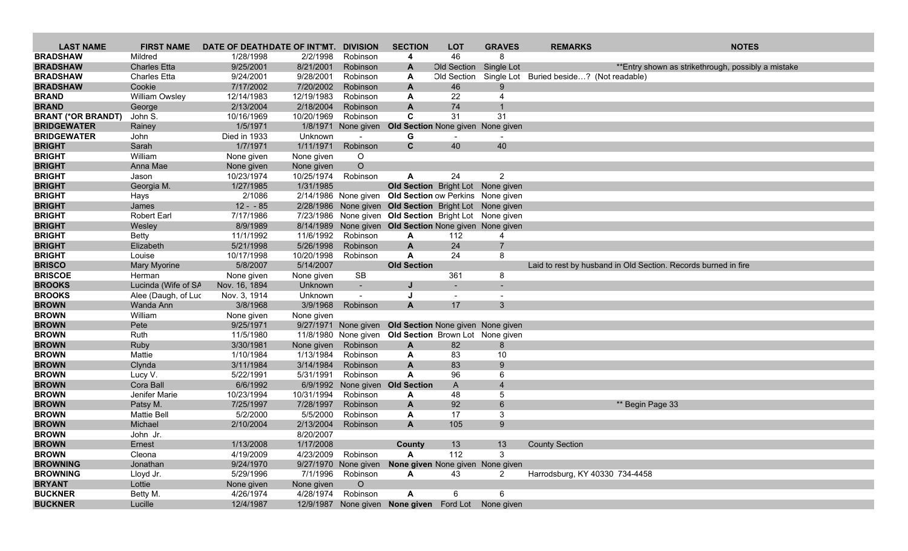| <b>LAST NAME</b>             | <b>FIRST NAME</b>     | DATE OF DEATHDATE OF INT'MT. |                         | <b>DIVISION</b>      | <b>SECTION</b>                                         | <b>LOT</b>   | <b>GRAVES</b>  | <b>REMARKS</b>                           | <b>NOTES</b>                                                   |
|------------------------------|-----------------------|------------------------------|-------------------------|----------------------|--------------------------------------------------------|--------------|----------------|------------------------------------------|----------------------------------------------------------------|
| <b>BRADSHAW</b>              | Mildred               | 1/28/1998                    | 2/2/1998                | Robinson             | 4                                                      | 46           | 8              |                                          |                                                                |
| <b>BRADSHAW</b>              | <b>Charles Etta</b>   | 9/25/2001                    | 8/21/2001               | Robinson             | A                                                      | Old Section  | Single Lot     |                                          | ** Entry shown as strikethrough, possibly a mistake            |
| <b>BRADSHAW</b>              | <b>Charles Etta</b>   | 9/24/2001                    | 9/28/2001               | Robinson             | A                                                      | Old Section  |                | Single Lot Buried beside? (Not readable) |                                                                |
| <b>BRADSHAW</b>              | Cookie                | 7/17/2002                    | 7/20/2002               | Robinson             | A                                                      | 46           | 9              |                                          |                                                                |
| <b>BRAND</b>                 | <b>William Owsley</b> | 12/14/1983                   | 12/19/1983              | Robinson             | A                                                      | 22           | 4              |                                          |                                                                |
| <b>BRAND</b>                 | George                | 2/13/2004                    | 2/18/2004               | Robinson             | A                                                      | 74           |                |                                          |                                                                |
| <b>BRANT (*OR BRANDT)</b>    | John S.               | 10/16/1969                   | 10/20/1969              | Robinson             | C                                                      | 31           | 31             |                                          |                                                                |
| <b>BRIDGEWATER</b>           | Rainey                | 1/5/1971                     |                         | 1/8/1971 None given  | Old Section None given None given                      |              |                |                                          |                                                                |
| <b>BRIDGEWATER</b>           | John                  | Died in 1933                 | Unknown                 |                      | G                                                      |              |                |                                          |                                                                |
| <b>BRIGHT</b>                | Sarah                 | 1/7/1971                     | 1/11/1971               | Robinson             | C.                                                     | 40           | 40             |                                          |                                                                |
| <b>BRIGHT</b>                | William               | None given                   | None given              | O                    |                                                        |              |                |                                          |                                                                |
| <b>BRIGHT</b>                | Anna Mae              | None given                   | None given              | $\circ$              |                                                        |              |                |                                          |                                                                |
| <b>BRIGHT</b>                | Jason                 | 10/23/1974                   | 10/25/1974              | Robinson             | A                                                      | 24           | $\overline{2}$ |                                          |                                                                |
| <b>BRIGHT</b>                | Georgia M.            | 1/27/1985                    | 1/31/1985               |                      | Old Section Bright Lot None given                      |              |                |                                          |                                                                |
| <b>BRIGHT</b>                | Hays                  | 2/1086                       |                         | 2/14/1986 None given | <b>Old Section ow Perkins</b> None given               |              |                |                                          |                                                                |
| <b>BRIGHT</b>                | James                 | $12 - 85$                    |                         |                      | 2/28/1986 None given Old Section Bright Lot None given |              |                |                                          |                                                                |
| <b>BRIGHT</b>                | <b>Robert Earl</b>    | 7/17/1986                    |                         |                      | 7/23/1986 None given Old Section Bright Lot None given |              |                |                                          |                                                                |
| <b>BRIGHT</b>                | Wesley                | 8/9/1989                     |                         |                      | 8/14/1989 None given Old Section None given None given |              |                |                                          |                                                                |
| <b>BRIGHT</b>                | <b>Betty</b>          | 11/1/1992                    | 11/6/1992               | Robinson             | A                                                      | 112          | 4              |                                          |                                                                |
| <b>BRIGHT</b>                | Elizabeth             | 5/21/1998                    | 5/26/1998               | Robinson             | $\mathbf{A}$                                           | 24           | $\overline{7}$ |                                          |                                                                |
| <b>BRIGHT</b>                | Louise                | 10/17/1998                   | 10/20/1998              | Robinson             | A                                                      | 24           | 8              |                                          |                                                                |
| <b>BRISCO</b>                | Mary Myorine          | 5/8/2007                     | 5/14/2007               |                      | <b>Old Section</b>                                     |              |                |                                          | Laid to rest by husband in Old Section. Records burned in fire |
| <b>BRISCOE</b>               | Herman                | None given                   | None given              | <b>SB</b>            |                                                        | 361          | 8              |                                          |                                                                |
| <b>BROOKS</b>                | Lucinda (Wife of SA   | Nov. 16, 1894                | Unknown                 | $\sim$               |                                                        |              |                |                                          |                                                                |
| <b>BROOKS</b>                | Alee (Daugh, of Luc   | Nov. 3, 1914                 | Unknown                 | $\blacksquare$       |                                                        |              |                |                                          |                                                                |
| <b>BROWN</b>                 | Wanda Ann             | 3/8/1968                     | 3/9/1968                | Robinson             | A                                                      | 17           | 3              |                                          |                                                                |
| <b>BROWN</b>                 | William               | None given                   | None given              |                      |                                                        |              |                |                                          |                                                                |
| <b>BROWN</b>                 | Pete                  | 9/25/1971                    |                         |                      | 9/27/1971 None given Old Section None given None given |              |                |                                          |                                                                |
| <b>BROWN</b>                 | Ruth                  | 11/5/1980                    |                         | 11/8/1980 None given | Old Section Brown Lot None given                       |              |                |                                          |                                                                |
| <b>BROWN</b><br><b>BROWN</b> | Ruby<br>Mattie        | 3/30/1981<br>1/10/1984       | None given<br>1/13/1984 | Robinson<br>Robinson | A                                                      | 82<br>83     | 8<br>10        |                                          |                                                                |
| <b>BROWN</b>                 |                       | 3/11/1984                    | 3/14/1984               | Robinson             | A<br>A                                                 | 83           | $9^{\circ}$    |                                          |                                                                |
| <b>BROWN</b>                 | Clynda<br>Lucy V.     | 5/22/1991                    | 5/31/1991               | Robinson             | $\mathbf{A}$                                           | 96           | 6              |                                          |                                                                |
| <b>BROWN</b>                 | Cora Ball             | 6/6/1992                     | 6/9/1992                | None given           | <b>Old Section</b>                                     | $\mathsf{A}$ | $\overline{4}$ |                                          |                                                                |
| <b>BROWN</b>                 | Jenifer Marie         | 10/23/1994                   | 10/31/1994              | Robinson             | A                                                      | 48           | 5              |                                          |                                                                |
| <b>BROWN</b>                 | Patsy M.              | 7/25/1997                    | 7/28/1997               | Robinson             | A                                                      | 92           | 6              |                                          | ** Begin Page 33                                               |
| <b>BROWN</b>                 | <b>Mattie Bell</b>    | 5/2/2000                     | 5/5/2000                | Robinson             | A                                                      | 17           | 3              |                                          |                                                                |
| <b>BROWN</b>                 | Michael               | 2/10/2004                    | 2/13/2004               | Robinson             | A                                                      | 105          | 9              |                                          |                                                                |
| <b>BROWN</b>                 | John Jr.              |                              | 8/20/2007               |                      |                                                        |              |                |                                          |                                                                |
| <b>BROWN</b>                 | Ernest                | 1/13/2008                    | 1/17/2008               |                      | County                                                 | 13           | 13             | <b>County Section</b>                    |                                                                |
| <b>BROWN</b>                 | Cleona                | 4/19/2009                    | 4/23/2009               | Robinson             | A                                                      | 112          | 3              |                                          |                                                                |
| <b>BROWNING</b>              | Jonathan              | 9/24/1970                    |                         |                      | 9/27/1970 None given None given None given None given  |              |                |                                          |                                                                |
| <b>BROWNING</b>              | Lloyd Jr.             | 5/29/1996                    | 7/1/1996                | Robinson             | A                                                      | 43           | 2              | Harrodsburg, KY 40330 734-4458           |                                                                |
| <b>BRYANT</b>                | Lottie                | None given                   | None given              | $\circ$              |                                                        |              |                |                                          |                                                                |
| <b>BUCKNER</b>               | Betty M.              | 4/26/1974                    | 4/28/1974               | Robinson             | A                                                      | 6            | 6              |                                          |                                                                |
| <b>BUCKNER</b>               | Lucille               | 12/4/1987                    |                         |                      | 12/9/1987 None given None given Ford Lot None given    |              |                |                                          |                                                                |
|                              |                       |                              |                         |                      |                                                        |              |                |                                          |                                                                |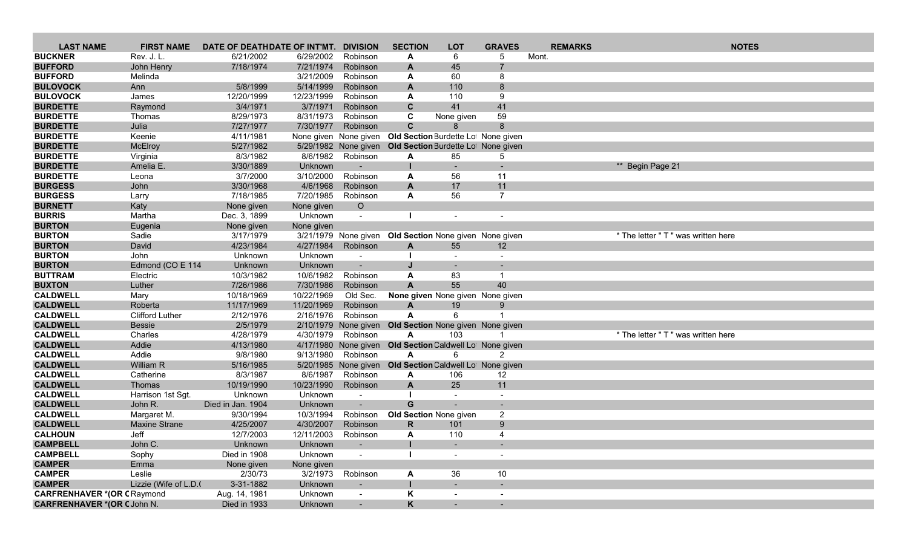| <b>LAST NAME</b>                   | <b>FIRST NAME</b>      | DATE OF DEATHDATE OF INT'MT. |                       | <b>DIVISION</b>                  | <b>SECTION</b>                                           | <b>LOT</b>               | <b>GRAVES</b>  |       | <b>REMARKS</b> | <b>NOTES</b>                        |
|------------------------------------|------------------------|------------------------------|-----------------------|----------------------------------|----------------------------------------------------------|--------------------------|----------------|-------|----------------|-------------------------------------|
| <b>BUCKNER</b>                     | Rev. J. L.             | 6/21/2002                    | 6/29/2002             | Robinson                         | A                                                        | 6                        | 5              | Mont. |                |                                     |
| <b>BUFFORD</b>                     | John Henry             | 7/18/1974                    | 7/21/1974             | Robinson                         | A                                                        | 45                       |                |       |                |                                     |
| <b>BUFFORD</b>                     | Melinda                |                              | 3/21/2009             | Robinson                         | A                                                        | 60                       | 8              |       |                |                                     |
| <b>BULOVOCK</b>                    | Ann                    | 5/8/1999                     | 5/14/1999             | Robinson                         | A                                                        | 110                      | 8              |       |                |                                     |
| <b>BULOVOCK</b>                    | James                  | 12/20/1999                   | 12/23/1999            | Robinson                         | A                                                        | 110                      | 9              |       |                |                                     |
| <b>BURDETTE</b>                    | Raymond                | 3/4/1971                     | 3/7/1971              | Robinson                         | $\mathbf{C}$                                             | 41                       | 41             |       |                |                                     |
| <b>BURDETTE</b>                    | Thomas                 | 8/29/1973                    | 8/31/1973             | Robinson                         | C                                                        | None given               | 59             |       |                |                                     |
| <b>BURDETTE</b>                    | Julia                  | 7/27/1977                    | 7/30/1977             | Robinson                         | $\mathbf{C}$                                             |                          | 8              |       |                |                                     |
| <b>BURDETTE</b>                    | Keenie                 | 4/11/1981                    |                       | None given None given            | Old Section Burdette Lot None given                      |                          |                |       |                |                                     |
| <b>BURDETTE</b>                    | McElroy                | 5/27/1982                    |                       |                                  | 5/29/1982 None given Old Section Burdette Lot None given |                          |                |       |                |                                     |
| <b>BURDETTE</b>                    | Virginia               | 8/3/1982                     | 8/6/1982              | Robinson                         | A                                                        | 85                       | 5              |       |                |                                     |
| <b>BURDETTE</b>                    | Amelia E.              | 3/30/1889                    | Unknown               |                                  |                                                          |                          |                |       |                | ** Begin Page 21                    |
| <b>BURDETTE</b><br><b>BURGESS</b>  | Leona<br>John          | 3/7/2000<br>3/30/1968        | 3/10/2000<br>4/6/1968 | Robinson<br>Robinson             | A<br>A                                                   | 56<br>17                 | 11<br>11       |       |                |                                     |
| <b>BURGESS</b>                     | Larry                  | 7/18/1985                    | 7/20/1985             | Robinson                         | A                                                        | 56                       | $\overline{7}$ |       |                |                                     |
| <b>BURNETT</b>                     | Katy                   | None given                   | None given            | $\circ$                          |                                                          |                          |                |       |                |                                     |
| <b>BURRIS</b>                      | Martha                 | Dec. 3, 1899                 | Unknown               | $\overline{\phantom{a}}$         |                                                          |                          |                |       |                |                                     |
| <b>BURTON</b>                      | Eugenia                | None given                   | None given            |                                  |                                                          |                          |                |       |                |                                     |
| <b>BURTON</b>                      | Sadie                  | 3/17/1979                    |                       |                                  | 3/21/1979 None given Old Section None given None given   |                          |                |       |                | * The letter " T " was written here |
| <b>BURTON</b>                      | David                  | 4/23/1984                    | 4/27/1984             | Robinson                         | A                                                        | 55                       | 12             |       |                |                                     |
| <b>BURTON</b>                      | <b>John</b>            | Unknown                      | Unknown               |                                  |                                                          |                          |                |       |                |                                     |
| <b>BURTON</b>                      | Edmond (CO E 114       | Unknown                      | Unknown               |                                  |                                                          |                          |                |       |                |                                     |
| <b>BUTTRAM</b>                     | Electric               | 10/3/1982                    | 10/6/1982             | Robinson                         | A                                                        | 83                       |                |       |                |                                     |
| <b>BUXTON</b>                      | Luther                 | 7/26/1986                    | 7/30/1986             | Robinson                         | $\mathbf{A}$                                             | 55                       | 40             |       |                |                                     |
| <b>CALDWELL</b>                    | Mary                   | 10/18/1969                   | 10/22/1969            | Old Sec.                         | None given None given None given                         |                          |                |       |                |                                     |
| <b>CALDWELL</b>                    | Roberta                | 11/17/1969                   | 11/20/1969            | Robinson                         | $\mathbf{A}$                                             | 19                       | 9              |       |                |                                     |
| <b>CALDWELL</b>                    | <b>Clifford Luther</b> | 2/12/1976                    | 2/16/1976             | Robinson                         | A                                                        | 6                        |                |       |                |                                     |
| <b>CALDWELL</b>                    | <b>Bessie</b>          | 2/5/1979                     |                       | 2/10/1979 None given             | Old Section None given None given                        |                          |                |       |                |                                     |
| <b>CALDWELL</b>                    | Charles                | 4/28/1979                    | 4/30/1979             | Robinson                         | A                                                        | 103                      |                |       |                | * The letter " T " was written here |
| <b>CALDWELL</b>                    | Addie                  | 4/13/1980                    |                       |                                  | 4/17/1980 None given Old Section Caldwell Lol None given |                          |                |       |                |                                     |
| <b>CALDWELL</b><br><b>CALDWELL</b> | Addie                  | 9/8/1980                     | 9/13/1980             | Robinson                         | A                                                        | 6                        | 2              |       |                |                                     |
| <b>CALDWELL</b>                    | William R<br>Catherine | 5/16/1985<br>8/3/1987        | 8/6/1987              | 5/20/1985 None given<br>Robinson | Old Section Caldwell Lot None given<br>A                 | 106                      | 12             |       |                |                                     |
| <b>CALDWELL</b>                    | Thomas                 | 10/19/1990                   | 10/23/1990            | Robinson                         | A                                                        | 25                       | 11             |       |                |                                     |
| <b>CALDWELL</b>                    | Harrison 1st Sgt.      | Unknown                      | Unknown               |                                  |                                                          |                          |                |       |                |                                     |
| <b>CALDWELL</b>                    | John R.                | Died in Jan. 1904            | Unknown               |                                  | G                                                        |                          |                |       |                |                                     |
| <b>CALDWELL</b>                    | Margaret M.            | 9/30/1994                    | 10/3/1994             | Robinson                         | <b>Old Section None given</b>                            |                          | $\overline{2}$ |       |                |                                     |
| <b>CALDWELL</b>                    | <b>Maxine Strane</b>   | 4/25/2007                    | 4/30/2007             | Robinson                         | R                                                        | 101                      | 9              |       |                |                                     |
| <b>CALHOUN</b>                     | Jeff                   | 12/7/2003                    | 12/11/2003            | Robinson                         | A                                                        | 110                      | 4              |       |                |                                     |
| <b>CAMPBELL</b>                    | John C.                | Unknown                      | Unknown               | $\blacksquare$                   |                                                          | $\sim$                   |                |       |                |                                     |
| <b>CAMPBELL</b>                    | Sophy                  | Died in 1908                 | Unknown               |                                  |                                                          | $\overline{\phantom{a}}$ |                |       |                |                                     |
| <b>CAMPER</b>                      | Emma                   | None given                   | None given            |                                  |                                                          |                          |                |       |                |                                     |
| <b>CAMPER</b>                      | Leslie                 | 2/30/73                      | 3/2/1973              | Robinson                         | A                                                        | 36                       | 10             |       |                |                                     |
| <b>CAMPER</b>                      | Lizzie (Wife of L.D.   | 3-31-1882                    | Unknown               | $\overline{\phantom{a}}$         |                                                          |                          | $\sim$         |       |                |                                     |
| <b>CARFRENHAVER *(OR CRaymond</b>  |                        | Aug. 14, 1981                | Unknown               |                                  | Κ                                                        |                          |                |       |                |                                     |
| <b>CARFRENHAVER *(OR CJohn N.</b>  |                        | Died in 1933                 | Unknown               | $\blacksquare$                   | K                                                        | $\sim$                   |                |       |                |                                     |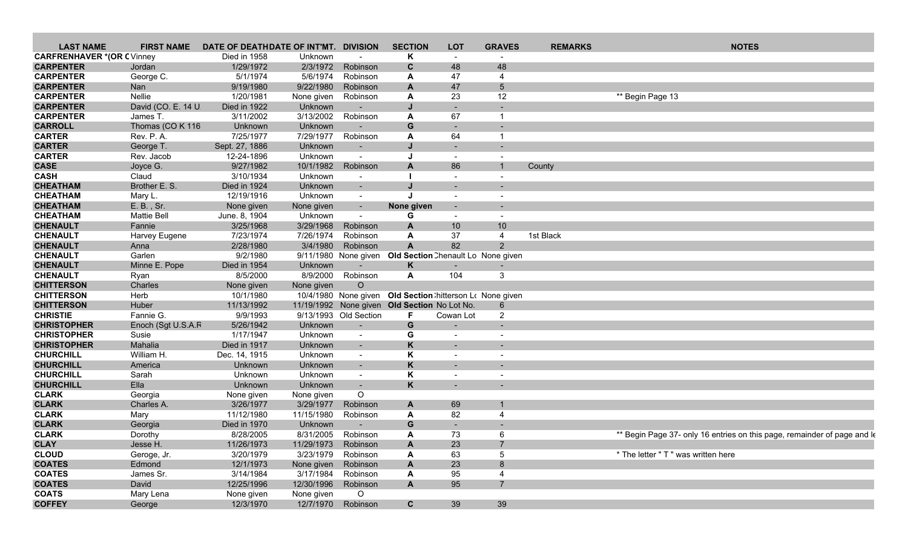| <b>LAST NAME</b>                 | <b>FIRST NAME</b>  | DATE OF DEATHDATE OF INT'MT. DIVISION |                     |                          | <b>SECTION</b>                               | <b>LOT</b>                                                 | <b>GRAVES</b>            | <b>REMARKS</b> | <b>NOTES</b>                                                             |
|----------------------------------|--------------------|---------------------------------------|---------------------|--------------------------|----------------------------------------------|------------------------------------------------------------|--------------------------|----------------|--------------------------------------------------------------------------|
| <b>CARFRENHAVER *(OR CVinney</b> |                    | Died in 1958                          | Unknown             | $\sim$                   | Κ                                            | $\sim$                                                     |                          |                |                                                                          |
| <b>CARPENTER</b>                 | Jordan             | 1/29/1972                             | 2/3/1972            | Robinson                 | C                                            | 48                                                         | 48                       |                |                                                                          |
| <b>CARPENTER</b>                 | George C.          | 5/1/1974                              | 5/6/1974            | Robinson                 | А                                            | 47                                                         | 4                        |                |                                                                          |
| <b>CARPENTER</b>                 | <b>Nan</b>         | 9/19/1980                             | 9/22/1980           | Robinson                 | A                                            | 47                                                         | 5                        |                |                                                                          |
| <b>CARPENTER</b>                 | Nellie             | 1/20/1981                             | None given          | Robinson                 | A                                            | 23                                                         | 12                       |                | ** Begin Page 13                                                         |
| <b>CARPENTER</b>                 | David (CO. E. 14 U | Died in 1922                          | Unknown             |                          |                                              |                                                            |                          |                |                                                                          |
| <b>CARPENTER</b>                 | James T.           | 3/11/2002                             | 3/13/2002           | Robinson                 | A                                            | 67                                                         |                          |                |                                                                          |
| <b>CARROLL</b>                   | Thomas (CO K 116   | Unknown                               | Unknown             |                          | G                                            |                                                            |                          |                |                                                                          |
| <b>CARTER</b>                    | Rev. P. A.         | 7/25/1977                             | 7/29/1977           | Robinson                 |                                              | 64                                                         | -1                       |                |                                                                          |
|                                  |                    |                                       |                     |                          | A                                            |                                                            |                          |                |                                                                          |
| <b>CARTER</b>                    | George T.          | Sept. 27, 1886                        | Unknown             | $\blacksquare$           |                                              |                                                            |                          |                |                                                                          |
| <b>CARTER</b>                    | Rev. Jacob         | 12-24-1896                            | Unknown             | $\sim$                   |                                              | $\sim$                                                     | $\overline{\phantom{a}}$ |                |                                                                          |
| <b>CASE</b>                      | Joyce G.           | 9/27/1982                             | 10/1/1982           | Robinson                 | A                                            | 86                                                         |                          | County         |                                                                          |
| <b>CASH</b>                      | Claud              | 3/10/1934                             | Unknown             | $\blacksquare$           |                                              | $\overline{\phantom{a}}$                                   | $\overline{\phantom{a}}$ |                |                                                                          |
| <b>CHEATHAM</b>                  | Brother E. S.      | Died in 1924                          | Unknown             | $\sim$                   |                                              | $\sim$                                                     |                          |                |                                                                          |
| <b>CHEATHAM</b>                  | Mary L.            | 12/19/1916                            | Unknown             | $\sim$                   | $\mathbf{I}$                                 | $\sim$                                                     | $\overline{\phantom{a}}$ |                |                                                                          |
| <b>CHEATHAM</b>                  | E. B., Sr.         | None given                            | None given          | $\sim$                   | None given                                   |                                                            |                          |                |                                                                          |
| <b>CHEATHAM</b>                  | Mattie Bell        | June. 8, 1904                         | Unknown             | $\blacksquare$           | G                                            | $\sim$                                                     | $\overline{\phantom{a}}$ |                |                                                                          |
| <b>CHENAULT</b>                  | Fannie             | 3/25/1968                             | 3/29/1968           | Robinson                 | A                                            | 10                                                         | 10                       |                |                                                                          |
| <b>CHENAULT</b>                  | Harvey Eugene      | 7/23/1974                             | 7/26/1974           | Robinson                 | A                                            | 37                                                         | 4                        | 1st Black      |                                                                          |
| <b>CHENAULT</b>                  | Anna               | 2/28/1980                             | 3/4/1980            | Robinson                 | $\mathsf{A}$                                 | 82                                                         | $\overline{2}$           |                |                                                                          |
| <b>CHENAULT</b>                  | Garlen             | 9/2/1980                              |                     |                          |                                              | 9/11/1980 None given Old Section Chenault Lo None given    |                          |                |                                                                          |
| <b>CHENAULT</b>                  | Minne E. Pope      | Died in 1954                          | Unknown             | $\overline{\phantom{a}}$ | Κ                                            | $\sim$                                                     |                          |                |                                                                          |
| <b>CHENAULT</b>                  | Ryan               | 8/5/2000                              | 8/9/2000            | Robinson                 | A                                            | 104                                                        | 3                        |                |                                                                          |
| <b>CHITTERSON</b>                | Charles            | None given                            | None given          | $\circ$                  |                                              |                                                            |                          |                |                                                                          |
| <b>CHITTERSON</b>                | Herb               | 10/1/1980                             |                     |                          |                                              | 10/4/1980 None given Old Section : hitterson Lo None given |                          |                |                                                                          |
| <b>CHITTERSON</b>                | Huber              | 11/13/1992                            |                     |                          | 11/19/1992 None given Old Section No Lot No. |                                                            | 6                        |                |                                                                          |
| <b>CHRISTIE</b>                  | Fannie G.          | 9/9/1993                              |                     | 9/13/1993 Old Section    | F.                                           | Cowan Lot                                                  | $\overline{2}$           |                |                                                                          |
| <b>CHRISTOPHER</b>               | Enoch (Sgt U.S.A.F | 5/26/1942                             | Unknown             | $\overline{\phantom{a}}$ | G                                            |                                                            |                          |                |                                                                          |
| <b>CHRISTOPHER</b>               | Susie              | 1/17/1947                             |                     |                          |                                              |                                                            |                          |                |                                                                          |
|                                  |                    |                                       | Unknown             | $\sim$                   | G                                            |                                                            |                          |                |                                                                          |
| <b>CHRISTOPHER</b>               | Mahalia            | Died in 1917                          | Unknown             | $\sim$                   | K                                            |                                                            |                          |                |                                                                          |
| <b>CHURCHILL</b>                 | William H.         | Dec. 14, 1915                         | Unknown             | $\blacksquare$           | Κ                                            | $\sim$                                                     | $\overline{\phantom{a}}$ |                |                                                                          |
| <b>CHURCHILL</b>                 | America            | Unknown                               | Unknown             | $\overline{\phantom{a}}$ | K                                            |                                                            |                          |                |                                                                          |
| <b>CHURCHILL</b>                 | Sarah              | Unknown                               | Unknown             | $\blacksquare$           | Κ                                            |                                                            |                          |                |                                                                          |
| <b>CHURCHILL</b>                 | Ella               | Unknown                               | Unknown             | $\overline{\phantom{a}}$ | K                                            |                                                            |                          |                |                                                                          |
| <b>CLARK</b>                     | Georgia            | None given                            | None given          | $\circ$                  |                                              |                                                            |                          |                |                                                                          |
| <b>CLARK</b>                     | Charles A.         | 3/26/1977                             | 3/29/1977           | Robinson                 | A                                            | 69                                                         |                          |                |                                                                          |
| <b>CLARK</b>                     | Mary               | 11/12/1980                            | 11/15/1980          | Robinson                 | A                                            | 82                                                         | 4                        |                |                                                                          |
| <b>CLARK</b>                     | Georgia            | Died in 1970                          | Unknown             |                          | G                                            |                                                            |                          |                |                                                                          |
| <b>CLARK</b>                     | Dorothy            | 8/28/2005                             | 8/31/2005           | Robinson                 | A                                            | 73                                                         | 6                        |                | ** Begin Page 37- only 16 entries on this page, remainder of page and Is |
| <b>CLAY</b>                      | Jesse H.           | 11/26/1973                            | 11/29/1973 Robinson |                          | Α                                            | 23                                                         |                          |                |                                                                          |
| <b>CLOUD</b>                     | Geroge, Jr.        | 3/20/1979                             | 3/23/1979           | Robinson                 | А                                            | 63                                                         | 5                        |                | * The letter " T " was written here                                      |
| <b>COATES</b>                    | Edmond             | 12/1/1973                             | None given Robinson |                          | A                                            | 23                                                         | 8                        |                |                                                                          |
| <b>COATES</b>                    | James Sr.          | 3/14/1984                             |                     | 3/17/1984 Robinson       | A                                            | 95                                                         | 4                        |                |                                                                          |
| <b>COATES</b>                    | David              | 12/25/1996                            | 12/30/1996 Robinson |                          | A                                            | 95                                                         | $\overline{7}$           |                |                                                                          |
| <b>COATS</b>                     | Mary Lena          | None given                            | None given          | $\circ$                  |                                              |                                                            |                          |                |                                                                          |
| <b>COFFEY</b>                    |                    |                                       |                     | 12/7/1970 Robinson       |                                              | 39                                                         | 39                       |                |                                                                          |
|                                  | George             | 12/3/1970                             |                     |                          | $\mathbf{C}$                                 |                                                            |                          |                |                                                                          |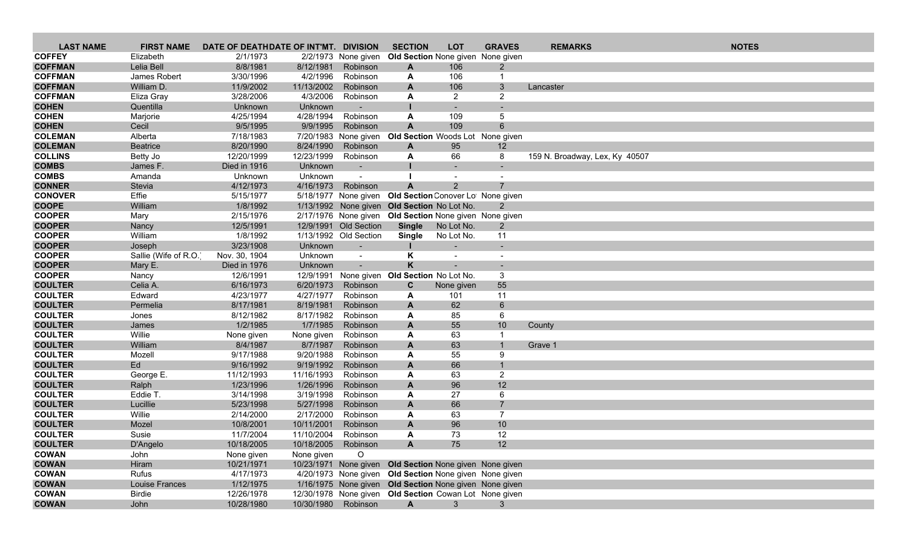| <b>LAST NAME</b>               | <b>FIRST NAME</b>    | DATE OF DEATHDATE OF INT'MT. DIVISION |            |                                                | <b>SECTION</b>                                          | <b>LOT</b>               | <b>GRAVES</b>        | <b>REMARKS</b>                 | <b>NOTES</b> |
|--------------------------------|----------------------|---------------------------------------|------------|------------------------------------------------|---------------------------------------------------------|--------------------------|----------------------|--------------------------------|--------------|
| <b>COFFEY</b>                  | Elizabeth            | 2/1/1973                              |            | 2/2/1973 None given                            | Old Section None given None given                       |                          |                      |                                |              |
| <b>COFFMAN</b>                 | Lelia Bell           | 8/8/1981                              | 8/12/1981  | Robinson                                       | A                                                       | 106                      | 2                    |                                |              |
| <b>COFFMAN</b>                 | James Robert         | 3/30/1996                             | 4/2/1996   | Robinson                                       | A                                                       | 106                      | -1                   |                                |              |
| <b>COFFMAN</b>                 | William D.           | 11/9/2002                             | 11/13/2002 | Robinson                                       | A                                                       | 106                      | 3                    | Lancaster                      |              |
| <b>COFFMAN</b>                 | Eliza Gray           | 3/28/2006                             | 4/3/2006   | Robinson                                       | A                                                       | $\overline{2}$           | $\overline{2}$       |                                |              |
| <b>COHEN</b>                   | Quentilla            | Unknown                               | Unknown    |                                                |                                                         |                          |                      |                                |              |
| <b>COHEN</b>                   | Marjorie             | 4/25/1994                             | 4/28/1994  | Robinson                                       | A                                                       | 109                      | 5                    |                                |              |
| <b>COHEN</b>                   | Cecil                | 9/5/1995                              | 9/9/1995   | Robinson                                       | $\overline{A}$                                          | 109                      | 6                    |                                |              |
| <b>COLEMAN</b>                 | Alberta              | 7/18/1983                             |            | 7/20/1983 None given                           | Old Section Woods Lot None given                        |                          |                      |                                |              |
| <b>COLEMAN</b>                 | <b>Beatrice</b>      | 8/20/1990                             | 8/24/1990  | Robinson                                       | A                                                       | 95                       | 12                   |                                |              |
| <b>COLLINS</b>                 | Betty Jo             | 12/20/1999                            | 12/23/1999 | Robinson                                       | A                                                       | 66                       | 8                    | 159 N. Broadway, Lex, Ky 40507 |              |
| <b>COMBS</b>                   | James F.             | Died in 1916                          | Unknown    | $\overline{\phantom{a}}$                       |                                                         |                          |                      |                                |              |
| <b>COMBS</b>                   | Amanda               | Unknown                               | Unknown    | $\blacksquare$                                 |                                                         |                          |                      |                                |              |
| <b>CONNER</b>                  | Stevia               | 4/12/1973                             | 4/16/1973  | Robinson                                       | $\mathbf{A}$                                            | 2                        |                      |                                |              |
| <b>CONOVER</b>                 | Effie                | 5/15/1977                             |            |                                                | 5/18/1977 None given Old Section Conover Lot None given |                          |                      |                                |              |
| <b>COOPE</b>                   | William              | 1/8/1992                              |            |                                                | 1/13/1992 None given Old Section No Lot No.             |                          |                      |                                |              |
| <b>COOPER</b>                  | Mary                 | 2/15/1976                             |            |                                                | 2/17/1976 None given Old Section None given None given  |                          |                      |                                |              |
| <b>COOPER</b><br><b>COOPER</b> | Nancy                | 12/5/1991<br>1/8/1992                 |            | 12/9/1991 Old Section<br>1/13/1992 Old Section | <b>Single</b>                                           | No Lot No.               | $\overline{2}$<br>11 |                                |              |
| <b>COOPER</b>                  | William<br>Joseph    | 3/23/1908                             | Unknown    |                                                | <b>Single</b><br>п.                                     | No Lot No.               |                      |                                |              |
| <b>COOPER</b>                  | Sallie (Wife of R.O. | Nov. 30, 1904                         | Unknown    | $\sim$<br>$\blacksquare$                       | Κ                                                       | $\overline{\phantom{a}}$ | $\sim$               |                                |              |
| <b>COOPER</b>                  | Mary E.              | Died in 1976                          | Unknown    | $\overline{\phantom{a}}$                       | K                                                       |                          |                      |                                |              |
| <b>COOPER</b>                  | Nancy                | 12/6/1991                             | 12/9/1991  |                                                | None given Old Section No Lot No.                       |                          | 3                    |                                |              |
| <b>COULTER</b>                 | Celia A.             | 6/16/1973                             | 6/20/1973  | Robinson                                       | $\mathbf c$                                             | None given               | 55                   |                                |              |
| <b>COULTER</b>                 | Edward               | 4/23/1977                             | 4/27/1977  | Robinson                                       | A                                                       | 101                      | 11                   |                                |              |
| <b>COULTER</b>                 | Permelia             | 8/17/1981                             | 8/19/1981  | Robinson                                       | A                                                       | 62                       | $\,6\,$              |                                |              |
| <b>COULTER</b>                 | Jones                | 8/12/1982                             | 8/17/1982  | Robinson                                       | A                                                       | 85                       | 6                    |                                |              |
| <b>COULTER</b>                 | James                | 1/2/1985                              | 1/7/1985   | Robinson                                       | $\mathbf{A}$                                            | 55                       | 10                   | County                         |              |
| <b>COULTER</b>                 | Willie               | None given                            | None given | Robinson                                       | A                                                       | 63                       |                      |                                |              |
| <b>COULTER</b>                 | William              | 8/4/1987                              | 8/7/1987   | Robinson                                       | A                                                       | 63                       |                      | Grave 1                        |              |
| <b>COULTER</b>                 | Mozell               | 9/17/1988                             | 9/20/1988  | Robinson                                       | A                                                       | 55                       | 9                    |                                |              |
| <b>COULTER</b>                 | Ed                   | 9/16/1992                             | 9/19/1992  | Robinson                                       | A                                                       | 66                       |                      |                                |              |
| <b>COULTER</b>                 | George E.            | 11/12/1993                            | 11/16/1993 | Robinson                                       | A                                                       | 63                       | $\overline{2}$       |                                |              |
| <b>COULTER</b>                 | Ralph                | 1/23/1996                             | 1/26/1996  | Robinson                                       | $\mathbf{A}$                                            | 96                       | 12                   |                                |              |
| <b>COULTER</b>                 | Eddie T.             | 3/14/1998                             | 3/19/1998  | Robinson                                       | A                                                       | 27                       | 6                    |                                |              |
| <b>COULTER</b>                 | Lucillie             | 5/23/1998                             | 5/27/1998  | Robinson                                       | A                                                       | 66                       | $\overline{7}$       |                                |              |
| <b>COULTER</b>                 | Willie               | 2/14/2000                             | 2/17/2000  | Robinson                                       | A                                                       | 63                       | $\overline{7}$       |                                |              |
| <b>COULTER</b>                 | Mozel                | 10/8/2001                             | 10/11/2001 | Robinson                                       | A                                                       | 96                       | 10                   |                                |              |
| <b>COULTER</b>                 | Susie                | 11/7/2004                             | 11/10/2004 | Robinson                                       | A                                                       | 73                       | 12                   |                                |              |
| <b>COULTER</b><br><b>COWAN</b> | D'Angelo             | 10/18/2005                            |            | 10/18/2005 Robinson                            | $\mathsf{A}$                                            | 75                       | 12                   |                                |              |
| <b>COWAN</b>                   | John<br>Hiram        | None given<br>10/21/1971              | None given | O                                              | 10/23/1971 None given Old Section None given None given |                          |                      |                                |              |
| <b>COWAN</b>                   | Rufus                | 4/17/1973                             |            |                                                | 4/20/1973 None given Old Section None given None given  |                          |                      |                                |              |
| <b>COWAN</b>                   | Louise Frances       | 1/12/1975                             |            |                                                | 1/16/1975 None given Old Section None given None given  |                          |                      |                                |              |
| <b>COWAN</b>                   | Birdie               | 12/26/1978                            |            |                                                | 12/30/1978 None given Old Section Cowan Lot None given  |                          |                      |                                |              |
| <b>COWAN</b>                   | John                 | 10/28/1980                            |            | 10/30/1980 Robinson                            | $\mathsf{A}$                                            | 3 <sup>2</sup>           | 3                    |                                |              |
|                                |                      |                                       |            |                                                |                                                         |                          |                      |                                |              |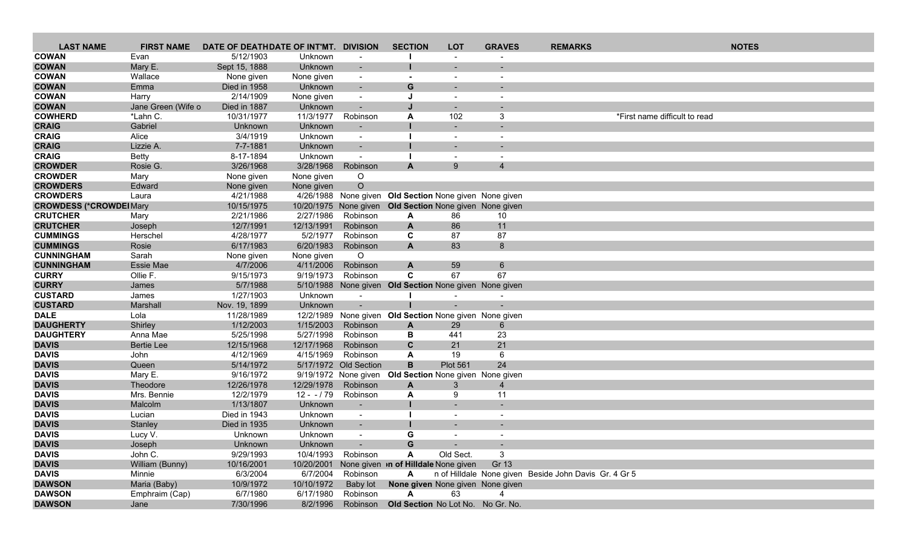| <b>LAST NAME</b>                   | <b>FIRST NAME</b>  | DATE OF DEATHDATE OF INT'MT. DIVISION |                    |                          | <b>SECTION</b>                                               | <b>LOT</b>                | <b>GRAVES</b>  | <b>REMARKS</b>                                        | <b>NOTES</b>                  |  |
|------------------------------------|--------------------|---------------------------------------|--------------------|--------------------------|--------------------------------------------------------------|---------------------------|----------------|-------------------------------------------------------|-------------------------------|--|
| <b>COWAN</b>                       | Evan               | 5/12/1903                             | Unknown            | $\overline{\phantom{a}}$ |                                                              |                           |                |                                                       |                               |  |
| <b>COWAN</b>                       | Mary E.            | Sept 15, 1888                         | Unknown            | $\overline{\phantom{a}}$ |                                                              |                           |                |                                                       |                               |  |
| <b>COWAN</b>                       | Wallace            | None given                            | None given         | $\sim$                   | $\overline{\phantom{a}}$                                     | $\overline{\phantom{a}}$  |                |                                                       |                               |  |
| <b>COWAN</b>                       | Emma               | Died in 1958                          | Unknown            | $\overline{\phantom{a}}$ | G                                                            |                           |                |                                                       |                               |  |
| <b>COWAN</b>                       | Harry              | 2/14/1909                             | None given         | $\blacksquare$           | J                                                            |                           |                |                                                       |                               |  |
| <b>COWAN</b>                       | Jane Green (Wife o | Died in 1887                          | Unknown            | $\sim$                   |                                                              |                           |                |                                                       |                               |  |
| <b>COWHERD</b>                     | *Lahn C.           | 10/31/1977                            | 11/3/1977          | Robinson                 | A                                                            | 102                       | 3              |                                                       | *First name difficult to read |  |
| <b>CRAIG</b>                       | Gabriel            | Unknown                               | Unknown            |                          |                                                              |                           |                |                                                       |                               |  |
| <b>CRAIG</b>                       | Alice              | 3/4/1919                              | Unknown            | $\overline{\phantom{a}}$ |                                                              | $\overline{\phantom{a}}$  |                |                                                       |                               |  |
| <b>CRAIG</b>                       | Lizzie A.          | 7-7-1881                              | Unknown            |                          |                                                              |                           |                |                                                       |                               |  |
| <b>CRAIG</b>                       | <b>Betty</b>       | 8-17-1894                             | Unknown            |                          |                                                              |                           |                |                                                       |                               |  |
| <b>CROWDER</b>                     | Rosie G.           | 3/26/1968                             | 3/28/1968          | Robinson                 | $\mathbf{A}$                                                 | 9                         | $\overline{4}$ |                                                       |                               |  |
| <b>CROWDER</b>                     | Mary               | None given                            | None given         | O                        |                                                              |                           |                |                                                       |                               |  |
| <b>CROWDERS</b><br><b>CROWDERS</b> | Edward             | None given                            | None given         | $\circ$                  |                                                              |                           |                |                                                       |                               |  |
| <b>CROWDESS (*CROWDEI Mary</b>     | Laura              | 4/21/1988<br>10/15/1975               |                    |                          | 4/26/1988 None given Old Section None given None given       |                           |                |                                                       |                               |  |
| <b>CRUTCHER</b>                    | Mary               | 2/21/1986                             | 2/27/1986          | Robinson                 | 10/20/1975 None given Old Section None given None given<br>A | 86                        | 10             |                                                       |                               |  |
| <b>CRUTCHER</b>                    | Joseph             | 12/7/1991                             | 12/13/1991         | Robinson                 | A                                                            | 86                        | 11             |                                                       |                               |  |
| <b>CUMMINGS</b>                    | Herschel           | 4/28/1977                             | 5/2/1977           | Robinson                 | C                                                            | 87                        | 87             |                                                       |                               |  |
| <b>CUMMINGS</b>                    | Rosie              | 6/17/1983                             | 6/20/1983          | Robinson                 | $\mathbf{A}$                                                 | 83                        | 8              |                                                       |                               |  |
| <b>CUNNINGHAM</b>                  | Sarah              | None given                            | None given         | $\circ$                  |                                                              |                           |                |                                                       |                               |  |
| <b>CUNNINGHAM</b>                  | Essie Mae          | 4/7/2006                              | 4/11/2006          | Robinson                 | A                                                            | 59                        | 6              |                                                       |                               |  |
| <b>CURRY</b>                       | Ollie F.           | 9/15/1973                             | 9/19/1973          | Robinson                 | C                                                            | 67                        | 67             |                                                       |                               |  |
| <b>CURRY</b>                       | James              | 5/7/1988                              |                    |                          | 5/10/1988 None given Old Section None given None given       |                           |                |                                                       |                               |  |
| <b>CUSTARD</b>                     | James              | 1/27/1903                             | Unknown            | $\sim$                   |                                                              |                           |                |                                                       |                               |  |
| <b>CUSTARD</b>                     | Marshall           | Nov. 19, 1899                         | Unknown            | $\blacksquare$           |                                                              |                           |                |                                                       |                               |  |
| <b>DALE</b>                        | Lola               | 11/28/1989                            |                    |                          | 12/2/1989 None given Old Section None given None given       |                           |                |                                                       |                               |  |
| <b>DAUGHERTY</b>                   | Shirley            | 1/12/2003                             | 1/15/2003          | Robinson                 | A                                                            | 29                        | 6              |                                                       |                               |  |
| <b>DAUGHTERY</b>                   | Anna Mae           | 5/25/1998                             | 5/27/1998          | Robinson                 | В                                                            | 441                       | 23             |                                                       |                               |  |
| <b>DAVIS</b>                       | <b>Bertie Lee</b>  | 12/15/1968                            | 12/17/1968         | Robinson                 | $\mathbf{C}$                                                 | 21                        | 21             |                                                       |                               |  |
| <b>DAVIS</b>                       | John               | 4/12/1969                             | 4/15/1969          | Robinson                 | A                                                            | 19                        | 6              |                                                       |                               |  |
| <b>DAVIS</b>                       | Queen              | 5/14/1972                             |                    | 5/17/1972 Old Section    | B                                                            | <b>Plot 561</b>           | 24             |                                                       |                               |  |
| <b>DAVIS</b>                       | Mary E.            | 9/16/1972                             |                    | 9/19/1972 None given     | Old Section None given None given                            |                           |                |                                                       |                               |  |
| <b>DAVIS</b>                       | Theodore           | 12/26/1978                            | 12/29/1978         | Robinson                 | $\mathbf{A}$                                                 | 3                         | $\overline{4}$ |                                                       |                               |  |
| <b>DAVIS</b>                       | Mrs. Bennie        | 12/2/1979                             | $12 - 79$          | Robinson                 | A                                                            | 9                         | 11             |                                                       |                               |  |
| <b>DAVIS</b>                       | Malcolm            | 1/13/1807                             | Unknown            |                          |                                                              |                           |                |                                                       |                               |  |
| <b>DAVIS</b><br><b>DAVIS</b>       | Lucian             | Died in 1943<br>Died in 1935          | Unknown<br>Unknown | $\sim$                   |                                                              | $\blacksquare$            |                |                                                       |                               |  |
| <b>DAVIS</b>                       | Stanley<br>Lucy V. | Unknown                               | Unknown            | $\overline{\phantom{a}}$ | G                                                            |                           |                |                                                       |                               |  |
| <b>DAVIS</b>                       | Joseph             | Unknown                               | Unknown            | <b>Contract Contract</b> | G                                                            | and the second control of |                |                                                       |                               |  |
| <b>DAVIS</b>                       | John C.            | 9/29/1993                             |                    | 10/4/1993 Robinson       | A                                                            | Old Sect.                 | 3              |                                                       |                               |  |
| <b>DAVIS</b>                       | William (Bunny)    | 10/16/2001                            |                    |                          | 10/20/2001 None given <b>of Hilldale</b> None given Gr 13    |                           |                |                                                       |                               |  |
| <b>DAVIS</b>                       | Minnie             | 6/3/2004                              |                    | 6/7/2004 Robinson        | $\mathsf{A}$                                                 |                           |                | n of Hilldale None given Beside John Davis Gr. 4 Gr 5 |                               |  |
| <b>DAWSON</b>                      | Maria (Baby)       | 10/9/1972                             | 10/10/1972         | Baby lot                 | None given None given None given                             |                           |                |                                                       |                               |  |
| <b>DAWSON</b>                      | Emphraim (Cap)     | 6/7/1980                              | 6/17/1980          | Robinson                 | A                                                            | 63                        | $\overline{4}$ |                                                       |                               |  |
| <b>DAWSON</b>                      | Jane               | 7/30/1996                             | 8/2/1996           |                          | Robinson Old Section No Lot No. No Gr. No.                   |                           |                |                                                       |                               |  |
|                                    |                    |                                       |                    |                          |                                                              |                           |                |                                                       |                               |  |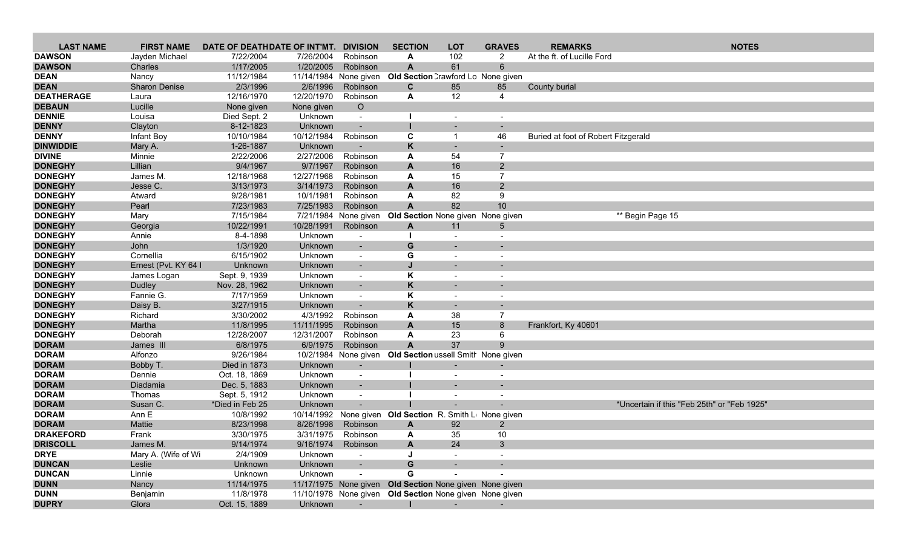| <b>LAST NAME</b>  | <b>FIRST NAME</b>    | DATE OF DEATHDATE OF INT'MT. |            | <b>DIVISION</b>          | <b>SECTION</b>                                           | <b>LOT</b>               | <b>GRAVES</b>  | <b>REMARKS</b>                      | <b>NOTES</b>                                |
|-------------------|----------------------|------------------------------|------------|--------------------------|----------------------------------------------------------|--------------------------|----------------|-------------------------------------|---------------------------------------------|
| <b>DAWSON</b>     | Jayden Michael       | 7/22/2004                    | 7/26/2004  | Robinson                 | A                                                        | 102                      | 2              | At the ft. of Lucille Ford          |                                             |
| <b>DAWSON</b>     | Charles              | 1/17/2005                    | 1/20/2005  | Robinson                 | $\mathbf{A}$                                             | 61                       | 6              |                                     |                                             |
| <b>DEAN</b>       | Nancy                | 11/12/1984                   |            | 11/14/1984 None given    | Old Section Crawford Lo None given                       |                          |                |                                     |                                             |
| <b>DEAN</b>       | <b>Sharon Denise</b> | 2/3/1996                     | 2/6/1996   | Robinson                 | C                                                        | 85                       | 85             | County burial                       |                                             |
| <b>DEATHERAGE</b> | Laura                | 12/16/1970                   | 12/20/1970 | Robinson                 | A                                                        | 12                       | $\overline{4}$ |                                     |                                             |
| <b>DEBAUN</b>     | Lucille              | None given                   | None given | $\circ$                  |                                                          |                          |                |                                     |                                             |
| <b>DENNIE</b>     | Louisa               | Died Sept. 2                 | Unknown    | $\blacksquare$           |                                                          |                          |                |                                     |                                             |
| <b>DENNY</b>      | Clayton              | 8-12-1823                    | Unknown    | $\blacksquare$           |                                                          |                          |                |                                     |                                             |
| <b>DENNY</b>      | Infant Boy           | 10/10/1984                   | 10/12/1984 | Robinson                 | C                                                        | -1                       | 46             | Buried at foot of Robert Fitzgerald |                                             |
| <b>DINWIDDIE</b>  | Mary A.              | 1-26-1887                    | Unknown    |                          | K                                                        | $\overline{\phantom{a}}$ |                |                                     |                                             |
| <b>DIVINE</b>     | Minnie               | 2/22/2006                    | 2/27/2006  | Robinson                 | A                                                        | 54                       | $\overline{7}$ |                                     |                                             |
| <b>DONEGHY</b>    | Lillian              | 9/4/1967                     | 9/7/1967   | Robinson                 | A                                                        | 16                       | $\overline{2}$ |                                     |                                             |
| <b>DONEGHY</b>    | James M.             | 12/18/1968                   | 12/27/1968 | Robinson                 | A                                                        | 15                       | $\overline{7}$ |                                     |                                             |
| <b>DONEGHY</b>    | Jesse C.             | 3/13/1973                    | 3/14/1973  | Robinson                 | $\mathsf{A}$                                             | 16                       | $\overline{2}$ |                                     |                                             |
| <b>DONEGHY</b>    | Atward               | 9/28/1981                    | 10/1/1981  | Robinson                 | A                                                        | 82                       | 9              |                                     |                                             |
| <b>DONEGHY</b>    | Pearl                | 7/23/1983                    | 7/25/1983  | Robinson                 | $\overline{A}$                                           | 82                       | 10             |                                     |                                             |
| <b>DONEGHY</b>    | Mary                 | 7/15/1984                    |            | 7/21/1984 None given     | Old Section None given None given                        |                          |                |                                     | ** Begin Page 15                            |
| <b>DONEGHY</b>    | Georgia              | 10/22/1991                   | 10/28/1991 | Robinson                 | $\mathsf{A}$                                             | 11                       | 5              |                                     |                                             |
| <b>DONEGHY</b>    | Annie                | 8-4-1898                     | Unknown    | $\sim$                   |                                                          | $\blacksquare$           |                |                                     |                                             |
| <b>DONEGHY</b>    | John                 | 1/3/1920                     | Unknown    | $\overline{\phantom{0}}$ | G                                                        |                          |                |                                     |                                             |
| <b>DONEGHY</b>    | Cornellia            | 6/15/1902                    | Unknown    | $\overline{\phantom{a}}$ | G                                                        |                          |                |                                     |                                             |
| <b>DONEGHY</b>    | Ernest (Pvt. KY 64   | Unknown                      | Unknown    | $\overline{\phantom{a}}$ |                                                          |                          |                |                                     |                                             |
| <b>DONEGHY</b>    | James Logan          | Sept. 9, 1939                | Unknown    | $\overline{\phantom{a}}$ | Κ                                                        |                          |                |                                     |                                             |
| <b>DONEGHY</b>    | Dudley               | Nov. 28, 1962                | Unknown    | $\blacksquare$           | K                                                        |                          |                |                                     |                                             |
| <b>DONEGHY</b>    | Fannie G.            | 7/17/1959                    | Unknown    | $\overline{\phantom{a}}$ | K                                                        | $\overline{\phantom{a}}$ |                |                                     |                                             |
| <b>DONEGHY</b>    | Daisy B.             | 3/27/1915                    | Unknown    |                          | K                                                        | $\sim$                   |                |                                     |                                             |
| <b>DONEGHY</b>    | Richard              | 3/30/2002                    | 4/3/1992   | Robinson                 | A                                                        | 38                       | $\overline{7}$ |                                     |                                             |
| <b>DONEGHY</b>    | Martha               | 11/8/1995                    | 11/11/1995 | Robinson                 | A                                                        | 15                       | 8              | Frankfort, Ky 40601                 |                                             |
| <b>DONEGHY</b>    | Deborah              | 12/28/2007                   | 12/31/2007 | Robinson                 | A                                                        | 23                       | 6              |                                     |                                             |
| <b>DORAM</b>      | James III            | 6/8/1975                     | 6/9/1975   | Robinson                 | $\overline{A}$                                           | 37                       | 9              |                                     |                                             |
| <b>DORAM</b>      | Alfonzo              | 9/26/1984                    |            |                          | 10/2/1984 None given Old Section ussell Smith None given |                          |                |                                     |                                             |
| <b>DORAM</b>      | Bobby T.             | Died in 1873                 | Unknown    | $\sim$                   |                                                          |                          |                |                                     |                                             |
| <b>DORAM</b>      | Dennie               | Oct. 18, 1869                | Unknown    | $\blacksquare$           |                                                          |                          |                |                                     |                                             |
| <b>DORAM</b>      | Diadamia             | Dec. 5, 1883                 | Unknown    | $\overline{\phantom{a}}$ |                                                          |                          |                |                                     |                                             |
| <b>DORAM</b>      | Thomas               | Sept. 5, 1912                | Unknown    | $\overline{\phantom{a}}$ |                                                          |                          |                |                                     |                                             |
| <b>DORAM</b>      | Susan C.             | *Died in Feb 25              | Unknown    |                          |                                                          |                          |                |                                     | *Uncertain if this "Feb 25th" or "Feb 1925" |
| <b>DORAM</b>      | Ann E                | 10/8/1992                    |            |                          | 10/14/1992 None given Old Section R. Smith Lu None given |                          |                |                                     |                                             |
| <b>DORAM</b>      | Mattie               | 8/23/1998                    | 8/26/1998  | Robinson                 | A                                                        | 92                       | $\overline{2}$ |                                     |                                             |
| <b>DRAKEFORD</b>  | Frank                | 3/30/1975                    | 3/31/1975  | Robinson                 | A                                                        | 35                       | 10             |                                     |                                             |
| <b>DRISCOLL</b>   | James M.             | 9/14/1974                    | 9/16/1974  | Robinson                 | A                                                        | 24                       | 3              |                                     |                                             |
| <b>DRYE</b>       | Mary A. (Wife of Wi  | 2/4/1909                     | Unknown    |                          |                                                          |                          |                |                                     |                                             |
| <b>DUNCAN</b>     | Leslie               | Unknown                      | Unknown    |                          | G                                                        |                          |                |                                     |                                             |
| <b>DUNCAN</b>     | Linnie               | Unknown                      | Unknown    |                          | G                                                        |                          |                |                                     |                                             |
| <b>DUNN</b>       | Nancy                | 11/14/1975                   |            |                          | 11/17/1975 None given Old Section None given None given  |                          |                |                                     |                                             |
| <b>DUNN</b>       | Benjamin             | 11/8/1978                    |            |                          | 11/10/1978 None given Old Section None given None given  |                          |                |                                     |                                             |
| <b>DUPRY</b>      | Glora                | Oct. 15, 1889                | Unknown    | $\sim$                   |                                                          | $\sim 100$               | $\sim$         |                                     |                                             |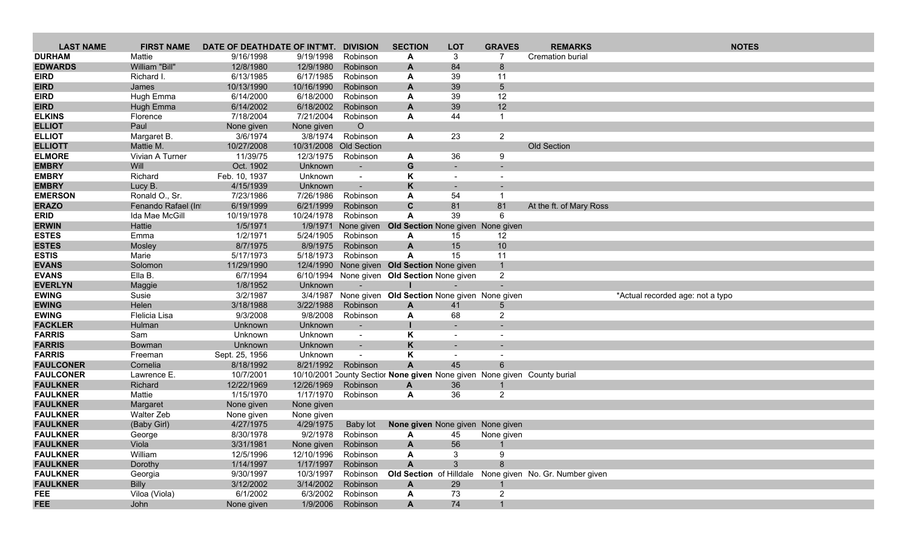| <b>LAST NAME</b>               | <b>FIRST NAME</b>  | DATE OF DEATHDATE OF INT'MT. |                     | <b>DIVISION</b>          | <b>SECTION</b>                               | <b>LOT</b>               | <b>GRAVES</b>  | <b>REMARKS</b>                                                           | <b>NOTES</b>                     |
|--------------------------------|--------------------|------------------------------|---------------------|--------------------------|----------------------------------------------|--------------------------|----------------|--------------------------------------------------------------------------|----------------------------------|
| <b>DURHAM</b>                  | Mattie             | 9/16/1998                    | 9/19/1998           | Robinson                 | A                                            | 3                        | 7              | <b>Cremation burial</b>                                                  |                                  |
| <b>EDWARDS</b>                 | William "Bill"     | 12/8/1980                    | 12/9/1980           | Robinson                 | A                                            | 84                       | 8              |                                                                          |                                  |
| <b>EIRD</b>                    | Richard I.         | 6/13/1985                    | 6/17/1985           | Robinson                 | A                                            | 39                       | 11             |                                                                          |                                  |
| <b>EIRD</b>                    | James              | 10/13/1990                   | 10/16/1990          | Robinson                 | A                                            | 39                       | 5              |                                                                          |                                  |
| <b>EIRD</b>                    | Hugh Emma          | 6/14/2000                    | 6/18/2000           | Robinson                 | A                                            | 39                       | 12             |                                                                          |                                  |
| <b>EIRD</b>                    | Hugh Emma          | 6/14/2002                    | 6/18/2002           | Robinson                 | $\mathbf{A}$                                 | 39                       | 12             |                                                                          |                                  |
| <b>ELKINS</b>                  | Florence           | 7/18/2004                    | 7/21/2004           | Robinson                 | A                                            | 44                       | $\mathbf 1$    |                                                                          |                                  |
| <b>ELLIOT</b>                  | Paul               | None given                   | None given          | $\circ$                  |                                              |                          |                |                                                                          |                                  |
| <b>ELLIOT</b>                  | Margaret B.        | 3/6/1974                     | 3/8/1974            | Robinson                 | A                                            | 23                       | $\overline{2}$ |                                                                          |                                  |
| <b>ELLIOTT</b>                 | Mattie M.          | 10/27/2008                   |                     | 10/31/2008 Old Section   |                                              |                          |                | Old Section                                                              |                                  |
| <b>ELMORE</b>                  | Vivian A Turner    | 11/39/75                     | 12/3/1975           | Robinson                 | A                                            | 36                       | 9              |                                                                          |                                  |
| <b>EMBRY</b>                   | Will               | Oct. 1902                    | Unknown             |                          | G                                            |                          |                |                                                                          |                                  |
| <b>EMBRY</b>                   | Richard            | Feb. 10, 1937                | Unknown             | $\overline{\phantom{a}}$ | Κ                                            | $\overline{\phantom{a}}$ |                |                                                                          |                                  |
| <b>EMBRY</b>                   | Lucy B.            | 4/15/1939                    | Unknown             |                          | K                                            |                          |                |                                                                          |                                  |
| <b>EMERSON</b>                 | Ronald O., Sr.     | 7/23/1986                    | 7/26/1986           | Robinson                 | A                                            | 54                       | -1             |                                                                          |                                  |
| <b>ERAZO</b>                   | Fenando Rafael (In | 6/19/1999                    | 6/21/1999           | Robinson                 | $\mathbf{C}$                                 | 81                       | 81             | At the ft. of Mary Ross                                                  |                                  |
| <b>ERID</b>                    | Ida Mae McGill     | 10/19/1978                   | 10/24/1978          | Robinson                 | A                                            | 39                       | 6              |                                                                          |                                  |
| <b>ERWIN</b>                   | Hattie             | 1/5/1971                     |                     | 1/9/1971 None given      | Old Section None given None given            |                          |                |                                                                          |                                  |
| <b>ESTES</b>                   | Emma               | 1/2/1971                     | 5/24/1905           | Robinson                 | A                                            | 15                       | 12             |                                                                          |                                  |
| <b>ESTES</b>                   | Mosley             | 8/7/1975                     | 8/9/1975            | Robinson                 | A                                            | 15                       | 10             |                                                                          |                                  |
| <b>ESTIS</b>                   | Marie              | 5/17/1973                    | 5/18/1973           | Robinson                 | A                                            | 15                       | 11             |                                                                          |                                  |
| <b>EVANS</b>                   | Solomon            | 11/29/1990                   |                     |                          | 12/4/1990 None given Old Section None given  |                          |                |                                                                          |                                  |
| <b>EVANS</b><br><b>EVERLYN</b> | Ella B.            | 6/7/1994<br>1/8/1952         | Unknown             |                          | 6/10/1994 None given Old Section None given  |                          | $\overline{2}$ |                                                                          |                                  |
| <b>EWING</b>                   | Maggie<br>Susie    | 3/2/1987                     | 3/4/1987            |                          | None given Old Section None given None given |                          |                |                                                                          | *Actual recorded age: not a typo |
| <b>EWING</b>                   | Helen              | 3/18/1988                    | 3/22/1988           | Robinson                 | A                                            | 41                       | 5              |                                                                          |                                  |
| <b>EWING</b>                   | Flelicia Lisa      | 9/3/2008                     | 9/8/2008            | Robinson                 | A                                            | 68                       | $\overline{2}$ |                                                                          |                                  |
| <b>FACKLER</b>                 | Hulman             | Unknown                      | Unknown             |                          |                                              |                          |                |                                                                          |                                  |
| <b>FARRIS</b>                  | Sam                | Unknown                      | Unknown             | $\sim$                   | K                                            | $\overline{\phantom{a}}$ |                |                                                                          |                                  |
| <b>FARRIS</b>                  | Bowman             | Unknown                      | Unknown             | $\sim$                   | K                                            |                          |                |                                                                          |                                  |
| <b>FARRIS</b>                  | Freeman            | Sept. 25, 1956               | Unknown             | $\blacksquare$           | $\pmb{\mathsf{K}}$                           | $\overline{\phantom{a}}$ |                |                                                                          |                                  |
| <b>FAULCONER</b>               | Cornelia           | 8/18/1992                    | 8/21/1992           | Robinson                 | $\mathbf{A}$                                 | 45                       | 6              |                                                                          |                                  |
| <b>FAULCONER</b>               | Lawrence E.        | 10/7/2001                    |                     |                          |                                              |                          |                | 10/10/2001 County Sectior None given None given None given County burial |                                  |
| <b>FAULKNER</b>                | Richard            | 12/22/1969                   | 12/26/1969          | Robinson                 | A                                            | 36                       | $\mathbf{1}$   |                                                                          |                                  |
| <b>FAULKNER</b>                | Mattie             | 1/15/1970                    | 1/17/1970           | Robinson                 | A                                            | 36                       | $\overline{2}$ |                                                                          |                                  |
| <b>FAULKNER</b>                | Margaret           | None given                   | None given          |                          |                                              |                          |                |                                                                          |                                  |
| <b>FAULKNER</b>                | Walter Zeb         | None given                   | None given          |                          |                                              |                          |                |                                                                          |                                  |
| <b>FAULKNER</b>                | (Baby Girl)        | 4/27/1975                    | 4/29/1975           | Baby lot                 | None given None given None given             |                          |                |                                                                          |                                  |
| <b>FAULKNER</b>                | George             | 8/30/1978                    | 9/2/1978            | Robinson                 | A                                            | 45                       | None given     |                                                                          |                                  |
| <b>FAULKNER</b>                | Viola              | 3/31/1981                    | None given Robinson |                          | A                                            | 56                       | -1             |                                                                          |                                  |
| <b>FAULKNER</b>                | William            | 12/5/1996                    | 12/10/1996          | Robinson                 | A                                            | 3                        | 9              |                                                                          |                                  |
| <b>FAULKNER</b>                | Dorothy            | 1/14/1997                    | 1/17/1997           | Robinson                 | A                                            | 3                        | 8              |                                                                          |                                  |
| <b>FAULKNER</b>                | Georgia            | 9/30/1997                    | 10/3/1997           | Robinson                 |                                              |                          |                | Old Section of Hilldale None given No. Gr. Number given                  |                                  |
| <b>FAULKNER</b>                | <b>Billy</b>       | 3/12/2002                    | 3/14/2002           | Robinson                 | A                                            | 29                       |                |                                                                          |                                  |
| <b>FEE</b>                     | Viloa (Viola)      | 6/1/2002                     | 6/3/2002            | Robinson                 | A                                            | 73                       | $\overline{2}$ |                                                                          |                                  |
| <b>FEE</b>                     | John               | None given                   | 1/9/2006            | Robinson                 | A                                            | 74                       | $\mathbf{1}$   |                                                                          |                                  |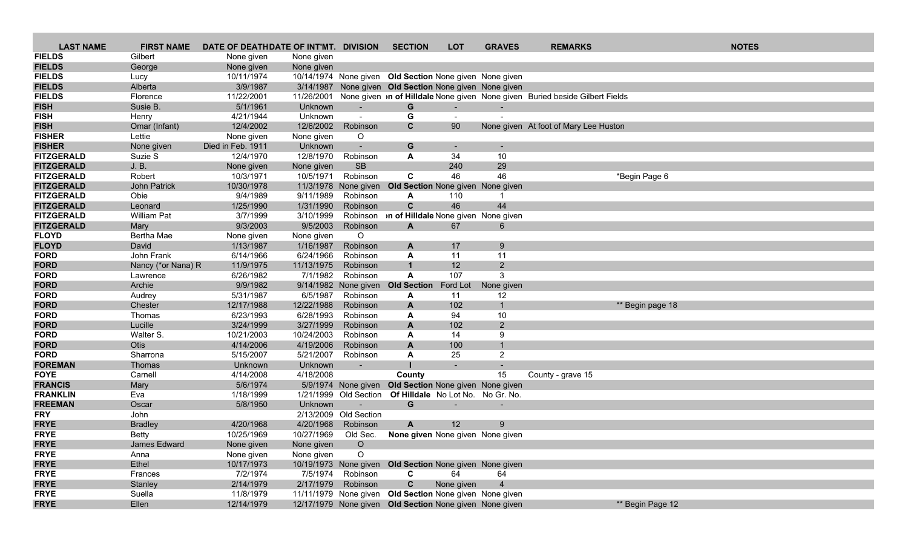| <b>LAST NAME</b>  | <b>FIRST NAME</b>  | DATE OF DEATHDATE OF INT'MT. DIVISION |            |                       | <b>SECTION</b>                                          | <b>LOT</b> | <b>GRAVES</b>  | <b>REMARKS</b>                                                                          |                  | <b>NOTES</b> |
|-------------------|--------------------|---------------------------------------|------------|-----------------------|---------------------------------------------------------|------------|----------------|-----------------------------------------------------------------------------------------|------------------|--------------|
| <b>FIELDS</b>     | Gilbert            | None given                            | None given |                       |                                                         |            |                |                                                                                         |                  |              |
| <b>FIELDS</b>     | George             | None given                            | None given |                       |                                                         |            |                |                                                                                         |                  |              |
| <b>FIELDS</b>     | Lucy               | 10/11/1974                            |            |                       | 10/14/1974 None given Old Section None given None given |            |                |                                                                                         |                  |              |
| <b>FIELDS</b>     | Alberta            | 3/9/1987                              |            |                       | 3/14/1987 None given Old Section None given None given  |            |                |                                                                                         |                  |              |
| <b>FIELDS</b>     | Florence           | 11/22/2001                            |            |                       |                                                         |            |                | 11/26/2001 None given in of Hilldale None given None given Buried beside Gilbert Fields |                  |              |
| <b>FISH</b>       | Susie B.           | 5/1/1961                              | Unknown    | $\sim$                | G                                                       | $\sim$     |                |                                                                                         |                  |              |
| <b>FISH</b>       | Henry              | 4/21/1944                             | Unknown    | $\blacksquare$        | G                                                       | $\sim$     |                |                                                                                         |                  |              |
| <b>FISH</b>       | Omar (Infant)      | 12/4/2002                             | 12/6/2002  | Robinson              | C                                                       | 90         |                | None given At foot of Mary Lee Huston                                                   |                  |              |
| <b>FISHER</b>     | Lettie             | None given                            | None given | O                     |                                                         |            |                |                                                                                         |                  |              |
| <b>FISHER</b>     | None given         | Died in Feb. 1911                     | Unknown    | $\blacksquare$        | G                                                       |            |                |                                                                                         |                  |              |
| <b>FITZGERALD</b> | Suzie S            | 12/4/1970                             | 12/8/1970  | Robinson              | A                                                       | 34         | 10             |                                                                                         |                  |              |
| <b>FITZGERALD</b> | J. B.              | None given                            | None given | <b>SB</b>             |                                                         | 240        | 29             |                                                                                         |                  |              |
| <b>FITZGERALD</b> | Robert             | 10/3/1971                             | 10/5/1971  | Robinson              | C                                                       | 46         | 46             |                                                                                         | *Begin Page 6    |              |
| <b>FITZGERALD</b> | John Patrick       | 10/30/1978                            |            | 11/3/1978 None given  | Old Section None given None given                       |            |                |                                                                                         |                  |              |
| <b>FITZGERALD</b> | Obie               | 9/4/1989                              | 9/11/1989  | Robinson              | A                                                       | 110        |                |                                                                                         |                  |              |
| <b>FITZGERALD</b> | Leonard            | 1/25/1990                             | 1/31/1990  | Robinson              | $\mathbf{C}$                                            | 46         | 44             |                                                                                         |                  |              |
| <b>FITZGERALD</b> | <b>William Pat</b> | 3/7/1999                              | 3/10/1999  | Robinson              | on of Hilldale None given None given                    |            |                |                                                                                         |                  |              |
| <b>FITZGERALD</b> | Mary               | 9/3/2003                              | 9/5/2003   | Robinson              | $\mathbf{A}$                                            | 67         | 6              |                                                                                         |                  |              |
| <b>FLOYD</b>      | Bertha Mae         | None given                            | None given | O                     |                                                         |            |                |                                                                                         |                  |              |
| <b>FLOYD</b>      | David              | 1/13/1987                             | 1/16/1987  | Robinson              | A                                                       | 17         | 9              |                                                                                         |                  |              |
| <b>FORD</b>       | John Frank         | 6/14/1966                             | 6/24/1966  | Robinson              | A                                                       | 11         | 11             |                                                                                         |                  |              |
| <b>FORD</b>       | Nancy (*or Nana) R | 11/9/1975                             | 11/13/1975 | Robinson              |                                                         | 12         | $2^{\circ}$    |                                                                                         |                  |              |
| <b>FORD</b>       | Lawrence           | 6/26/1982                             | 7/1/1982   | Robinson              | A                                                       | 107        | 3              |                                                                                         |                  |              |
| <b>FORD</b>       | Archie             | 9/9/1982                              |            | 9/14/1982 None given  | <b>Old Section</b>                                      | Ford Lot   | None given     |                                                                                         |                  |              |
| <b>FORD</b>       | Audrey             | 5/31/1987                             | 6/5/1987   | Robinson              | A                                                       | 11         | 12             |                                                                                         |                  |              |
| <b>FORD</b>       | Chester            | 12/17/1988                            | 12/22/1988 | Robinson              | A                                                       | 102        | $\mathbf{1}$   |                                                                                         | ** Begin page 18 |              |
| <b>FORD</b>       | Thomas             | 6/23/1993                             | 6/28/1993  | Robinson              | A                                                       | 94         | 10             |                                                                                         |                  |              |
| <b>FORD</b>       | Lucille            | 3/24/1999                             | 3/27/1999  | Robinson              | A                                                       | 102        | $\overline{2}$ |                                                                                         |                  |              |
| <b>FORD</b>       | Walter S.          | 10/21/2003                            | 10/24/2003 | Robinson              | A                                                       | 14         | 9              |                                                                                         |                  |              |
| <b>FORD</b>       | <b>Otis</b>        | 4/14/2006                             | 4/19/2006  | Robinson              | A                                                       | 100        | $\mathbf{1}$   |                                                                                         |                  |              |
| <b>FORD</b>       | Sharrona           | 5/15/2007                             | 5/21/2007  | Robinson              | A                                                       | 25         | $\overline{2}$ |                                                                                         |                  |              |
| <b>FOREMAN</b>    | Thomas             | Unknown                               | Unknown    |                       |                                                         |            |                |                                                                                         |                  |              |
| <b>FOYE</b>       | Carnell            | 4/14/2008                             | 4/18/2008  |                       | County                                                  |            | 15             | County - grave 15                                                                       |                  |              |
| <b>FRANCIS</b>    | Mary               | 5/6/1974                              |            | 5/9/1974 None given   | Old Section None given None given                       |            |                |                                                                                         |                  |              |
| <b>FRANKLIN</b>   | Eva                | 1/18/1999                             |            | 1/21/1999 Old Section | Of Hilldale No Lot No. No Gr. No.                       |            |                |                                                                                         |                  |              |
| <b>FREEMAN</b>    | Oscar              | 5/8/1950                              | Unknown    |                       | G                                                       |            |                |                                                                                         |                  |              |
| <b>FRY</b>        | John               |                                       |            | 2/13/2009 Old Section |                                                         |            |                |                                                                                         |                  |              |
| <b>FRYE</b>       | <b>Bradley</b>     | 4/20/1968                             | 4/20/1968  | Robinson              | A                                                       | 12         | q              |                                                                                         |                  |              |
| <b>FRYE</b>       | <b>Betty</b>       | 10/25/1969                            | 10/27/1969 | Old Sec.              | None given None given None given                        |            |                |                                                                                         |                  |              |
| <b>FRYE</b>       | James Edward       | None given                            | None given | $\circ$               |                                                         |            |                |                                                                                         |                  |              |
| <b>FRYE</b>       | Anna               | None given                            | None given | $\circ$               |                                                         |            |                |                                                                                         |                  |              |
| <b>FRYE</b>       | Ethel              | 10/17/1973                            |            |                       | 10/19/1973 None given Old Section None given None given |            |                |                                                                                         |                  |              |
| <b>FRYE</b>       | Frances            | 7/2/1974                              | 7/5/1974   | Robinson              | C                                                       | 64         | 64             |                                                                                         |                  |              |
| <b>FRYE</b>       | Stanley            | 2/14/1979                             | 2/17/1979  | Robinson              | $\mathbf{C}$                                            | None given | $\overline{4}$ |                                                                                         |                  |              |
| <b>FRYE</b>       | Suella             | 11/8/1979                             |            |                       | 11/11/1979 None given Old Section None given None given |            |                |                                                                                         |                  |              |
| <b>FRYE</b>       | Ellen              | 12/14/1979                            |            |                       | 12/17/1979 None given Old Section None given None given |            |                |                                                                                         | ** Begin Page 12 |              |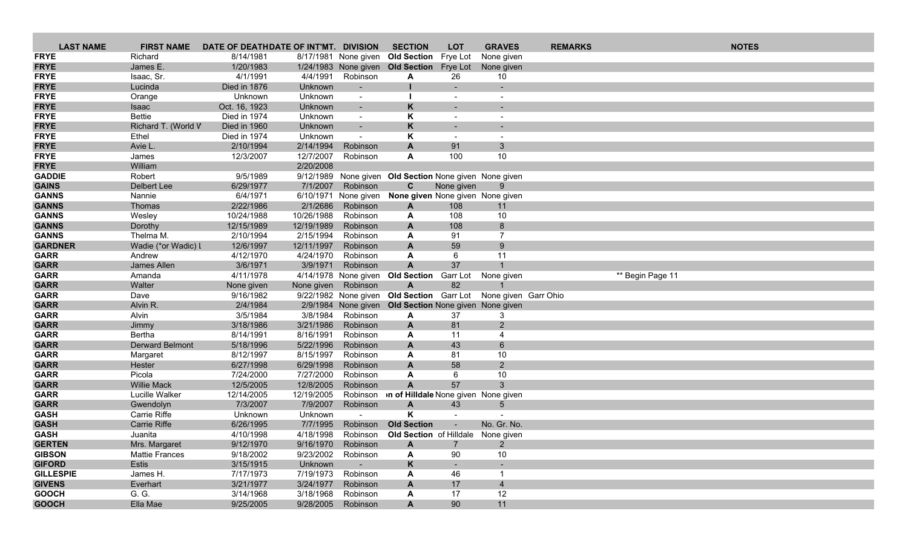| <b>LAST NAME</b>               | <b>FIRST NAME</b>              | DATE OF DEATHDATE OF INT'MT. DIVISION |                      |                          | <b>SECTION</b>                                                 | <b>LOT</b>     | <b>GRAVES</b>        | <b>REMARKS</b> | <b>NOTES</b>     |  |
|--------------------------------|--------------------------------|---------------------------------------|----------------------|--------------------------|----------------------------------------------------------------|----------------|----------------------|----------------|------------------|--|
| <b>FRYE</b>                    | Richard                        | 8/14/1981                             |                      |                          | 8/17/1981 None given Old Section Frye Lot                      |                | None given           |                |                  |  |
| <b>FRYE</b>                    | James E.                       | 1/20/1983                             |                      |                          | 1/24/1983 None given Old Section Frye Lot                      |                | None given           |                |                  |  |
| <b>FRYE</b>                    | Isaac, Sr.                     | 4/1/1991                              | 4/4/1991             | Robinson                 | A                                                              | 26             | 10                   |                |                  |  |
| <b>FRYE</b>                    | Lucinda                        | Died in 1876                          | Unknown              |                          |                                                                |                | $\sim$               |                |                  |  |
| <b>FRYE</b>                    | Orange                         | Unknown                               | Unknown              |                          |                                                                |                |                      |                |                  |  |
| <b>FRYE</b>                    | Isaac                          | Oct. 16, 1923                         | Unknown              | $\sim$                   | K                                                              |                |                      |                |                  |  |
| <b>FRYE</b>                    | <b>Bettie</b>                  | Died in 1974                          | Unknown              | $\sim$                   | Κ                                                              |                |                      |                |                  |  |
| <b>FRYE</b>                    | Richard T. (World V            | Died in 1960                          | Unknown              | $\overline{\phantom{a}}$ | K                                                              |                |                      |                |                  |  |
| <b>FRYE</b>                    | Ethel                          | Died in 1974                          | Unknown              | $\overline{\phantom{a}}$ | Κ                                                              | $\sim$         | $\overline{a}$       |                |                  |  |
| <b>FRYE</b>                    | Avie L.                        | 2/10/1994                             | 2/14/1994            | Robinson                 | A                                                              | 91             | 3 <sup>5</sup>       |                |                  |  |
| <b>FRYE</b>                    | James                          | 12/3/2007                             | 12/7/2007            | Robinson                 | A                                                              | 100            | 10                   |                |                  |  |
| <b>FRYE</b>                    | William                        |                                       | 2/20/2008            |                          |                                                                |                |                      |                |                  |  |
| <b>GADDIE</b>                  | Robert                         | 9/5/1989                              |                      |                          | 9/12/1989 None given Old Section None given None given         |                |                      |                |                  |  |
| <b>GAINS</b>                   | Delbert Lee                    | 6/29/1977                             | 7/1/2007             | Robinson                 | C                                                              | None given     | 9                    |                |                  |  |
| <b>GANNS</b>                   | Nannie                         | 6/4/1971                              |                      | 6/10/1971 None given     | None given None given None given                               |                |                      |                |                  |  |
| <b>GANNS</b>                   | Thomas                         | 2/22/1986                             | 2/1/2686             | Robinson                 | A                                                              | 108            | 11                   |                |                  |  |
| <b>GANNS</b>                   | Wesley                         | 10/24/1988                            | 10/26/1988           | Robinson                 | A                                                              | 108            | 10                   |                |                  |  |
| <b>GANNS</b>                   | Dorothy                        | 12/15/1989                            | 12/19/1989           | Robinson                 | $\mathbf{A}$                                                   | 108            | 8                    |                |                  |  |
| <b>GANNS</b>                   | Thelma M.                      | 2/10/1994                             | 2/15/1994            | Robinson                 | A                                                              | 91             | $\overline{7}$       |                |                  |  |
| <b>GARDNER</b>                 | Wadie (*or Wadic) I            | 12/6/1997                             | 12/11/1997           | Robinson                 | A                                                              | 59             | 9                    |                |                  |  |
| <b>GARR</b>                    | Andrew                         | 4/12/1970                             | 4/24/1970            | Robinson                 | A                                                              | 6              | 11                   |                |                  |  |
| <b>GARR</b>                    | James Allen                    | 3/6/1971                              | 3/9/1971             | Robinson                 | $\mathbf{A}$                                                   | 37             |                      |                |                  |  |
| <b>GARR</b>                    | Amanda                         | 4/11/1978                             |                      | 4/14/1978 None given     | <b>Old Section</b>                                             | Garr Lot       | None given           |                | ** Begin Page 11 |  |
| <b>GARR</b>                    | Walter                         | None given                            | None given           | Robinson                 | A                                                              | 82             |                      |                |                  |  |
| <b>GARR</b>                    | Dave                           | 9/16/1982                             |                      |                          | 9/22/1982 None given Old Section Garr Lot None given Garr Ohio |                |                      |                |                  |  |
| <b>GARR</b>                    | Alvin R.                       | 2/4/1984                              |                      |                          | 2/9/1984 None given Old Section None given None given          |                |                      |                |                  |  |
| <b>GARR</b>                    | Alvin                          | 3/5/1984                              | 3/8/1984             | Robinson                 | A                                                              | 37             | 3                    |                |                  |  |
| <b>GARR</b>                    | Jimmy                          | 3/18/1986                             | 3/21/1986            | Robinson                 | A                                                              | 81             | $\overline{2}$       |                |                  |  |
| <b>GARR</b>                    | Bertha                         | 8/14/1991                             | 8/16/1991            | Robinson                 | A                                                              | 11             | 4                    |                |                  |  |
| <b>GARR</b>                    | <b>Derward Belmont</b>         | 5/18/1996                             | 5/22/1996            | Robinson                 | A                                                              | 43             | $\,6\,$              |                |                  |  |
| <b>GARR</b>                    | Margaret                       | 8/12/1997                             | 8/15/1997            | Robinson                 | A                                                              | 81             | 10                   |                |                  |  |
| <b>GARR</b>                    | Hester                         | 6/27/1998                             | 6/29/1998            | Robinson                 | A                                                              | 58             | $\overline{2}$       |                |                  |  |
| <b>GARR</b>                    | Picola                         | 7/24/2000                             | 7/27/2000            | Robinson                 | A                                                              | 6              | 10                   |                |                  |  |
| <b>GARR</b>                    | <b>Willie Mack</b>             | 12/5/2005                             | 12/8/2005            | Robinson                 | $\overline{A}$                                                 | 57             | 3                    |                |                  |  |
| <b>GARR</b>                    | Lucille Walker                 | 12/14/2005                            | 12/19/2005           |                          | Robinson <b>of Hilldale</b> None given None given              |                |                      |                |                  |  |
| <b>GARR</b>                    | Gwendolyn                      | 7/3/2007                              | 7/9/2007             | Robinson                 | A                                                              | 43             | $5^{\circ}$          |                |                  |  |
| <b>GASH</b>                    | Carrie Riffe                   | Unknown                               | Unknown              | $\overline{\phantom{a}}$ | Κ                                                              | $\blacksquare$ |                      |                |                  |  |
| <b>GASH</b>                    | Carrie Riffe                   | 6/26/1995                             | 7/7/1995             | Robinson                 | <b>Old Section</b>                                             |                | No. Gr. No.          |                |                  |  |
| <b>GASH</b>                    | Juanita                        | 4/10/1998                             | 4/18/1998            | Robinson                 | Old Section of Hilldale None given                             |                |                      |                |                  |  |
| <b>GERTEN</b>                  | Mrs. Margaret                  | 9/12/1970                             | 9/16/1970            | Robinson                 | A                                                              |                | $\overline{2}$       |                |                  |  |
| <b>GIBSON</b><br><b>GIFORD</b> | <b>Mattie Frances</b><br>Estis | 9/18/2002                             | 9/23/2002            | Robinson                 | A<br>K                                                         | 90             | 10                   |                |                  |  |
| <b>GILLESPIE</b>               | James H.                       | 3/15/1915<br>7/17/1973                | Unknown<br>7/19/1973 | Robinson                 |                                                                | 46             |                      |                |                  |  |
| <b>GIVENS</b>                  | Everhart                       | 3/21/1977                             | 3/24/1977            | Robinson                 | A                                                              | 17             |                      |                |                  |  |
| <b>GOOCH</b>                   | G. G.                          | 3/14/1968                             | 3/18/1968            | Robinson                 | A                                                              | 17             | $\overline{4}$<br>12 |                |                  |  |
| <b>GOOCH</b>                   | Ella Mae                       | 9/25/2005                             | 9/28/2005            | Robinson                 | A<br>$\mathsf{A}$                                              | 90             | 11                   |                |                  |  |
|                                |                                |                                       |                      |                          |                                                                |                |                      |                |                  |  |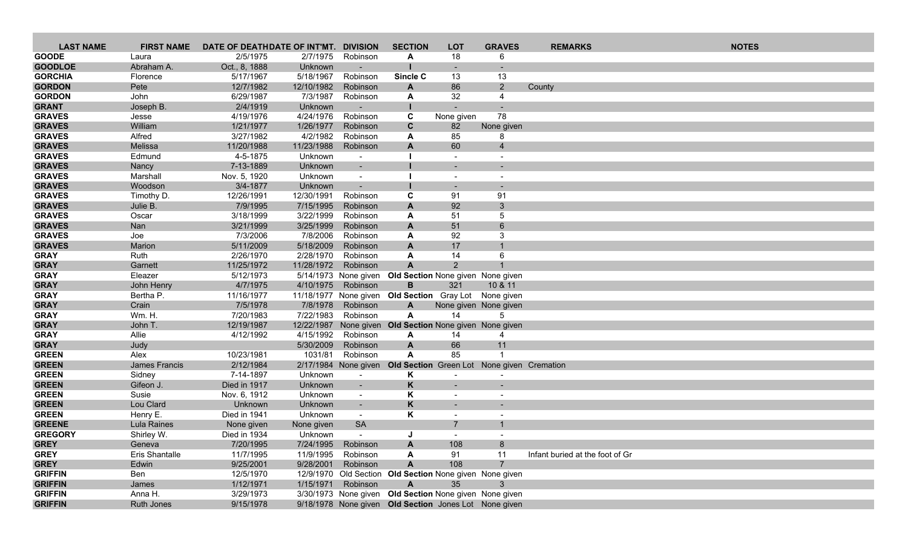| <b>LAST NAME</b>                | <b>FIRST NAME</b>         | DATE OF DEATHDATE OF INT'MT. DIVISION |                       |                              | <b>SECTION</b>                                          | <b>LOT</b>                                 | <b>GRAVES</b>            | <b>REMARKS</b>                  | <b>NOTES</b> |
|---------------------------------|---------------------------|---------------------------------------|-----------------------|------------------------------|---------------------------------------------------------|--------------------------------------------|--------------------------|---------------------------------|--------------|
| <b>GOODE</b>                    | Laura                     | 2/5/1975                              | 2/7/1975              | Robinson                     | A                                                       | 18                                         | 6                        |                                 |              |
| <b>GOODLOE</b>                  | Abraham A.                | Oct., 8, 1888                         | Unknown               | $\overline{\phantom{a}}$     |                                                         |                                            |                          |                                 |              |
| <b>GORCHIA</b>                  | Florence                  | 5/17/1967                             | 5/18/1967             | Robinson                     | Sincle C                                                | 13                                         | 13                       |                                 |              |
| <b>GORDON</b>                   | Pete                      | 12/7/1982                             | 12/10/1982            | Robinson                     | A                                                       | 86                                         | $2^{\circ}$              | County                          |              |
| <b>GORDON</b>                   | John                      | 6/29/1987                             | 7/3/1987              | Robinson                     | A                                                       | 32                                         | 4                        |                                 |              |
| <b>GRANT</b>                    | Joseph B.                 | 2/4/1919                              | Unknown               |                              |                                                         |                                            |                          |                                 |              |
| <b>GRAVES</b>                   | Jesse                     | 4/19/1976                             | 4/24/1976             | Robinson                     | C                                                       | None given                                 | 78                       |                                 |              |
| <b>GRAVES</b>                   | William                   | 1/21/1977                             | 1/26/1977             | Robinson                     | C                                                       | 82                                         | None given               |                                 |              |
| <b>GRAVES</b>                   | Alfred                    | 3/27/1982                             | 4/2/1982              | Robinson                     | A                                                       | 85                                         | 8                        |                                 |              |
| <b>GRAVES</b>                   | Melissa                   | 11/20/1988                            | 11/23/1988            | Robinson                     | $\mathbf{A}$                                            | 60                                         | $\overline{4}$           |                                 |              |
| <b>GRAVES</b>                   | Edmund                    | 4-5-1875                              | Unknown               | $\overline{\phantom{a}}$     |                                                         |                                            |                          |                                 |              |
| <b>GRAVES</b>                   | Nancy                     | 7-13-1889                             | Unknown               | $\sim$                       |                                                         |                                            |                          |                                 |              |
| <b>GRAVES</b>                   | Marshall                  | Nov. 5, 1920                          | Unknown               | $\sim$                       |                                                         | $\overline{\phantom{a}}$                   | $\overline{\phantom{a}}$ |                                 |              |
| <b>GRAVES</b>                   | Woodson                   | 3/4-1877                              | Unknown               | $\blacksquare$               |                                                         | $\sim$                                     |                          |                                 |              |
| <b>GRAVES</b>                   | Timothy D.                | 12/26/1991                            | 12/30/1991            | Robinson                     | C                                                       | 91                                         | 91                       |                                 |              |
| <b>GRAVES</b>                   | Julie B.                  | 7/9/1995                              | 7/15/1995             | Robinson                     | A                                                       | 92                                         | 3                        |                                 |              |
| <b>GRAVES</b>                   | Oscar                     | 3/18/1999                             | 3/22/1999             | Robinson                     | A                                                       | 51                                         | 5                        |                                 |              |
| <b>GRAVES</b><br><b>GRAVES</b>  | Nan                       | 3/21/1999<br>7/3/2006                 | 3/25/1999<br>7/8/2006 | Robinson<br>Robinson         | $\mathbf{A}$                                            | 51<br>92                                   | 6<br>3                   |                                 |              |
| <b>GRAVES</b>                   | Joe<br>Marion             | 5/11/2009                             | 5/18/2009             | Robinson                     | A<br>A                                                  | 17                                         |                          |                                 |              |
| <b>GRAY</b>                     | Ruth                      | 2/26/1970                             | 2/28/1970             | Robinson                     | A                                                       | 14                                         | 6                        |                                 |              |
| <b>GRAY</b>                     | Garnett                   | 11/25/1972                            | 11/28/1972            | Robinson                     | $\overline{A}$                                          | 2                                          |                          |                                 |              |
| <b>GRAY</b>                     | Eleazer                   | 5/12/1973                             |                       | 5/14/1973 None given         | Old Section None given None given                       |                                            |                          |                                 |              |
| <b>GRAY</b>                     | John Henry                | 4/7/1975                              | 4/10/1975             | Robinson                     | B                                                       | 321                                        | 10 & 11                  |                                 |              |
| <b>GRAY</b>                     | Bertha P.                 | 11/16/1977                            |                       |                              | 11/18/1977 None given Old Section Gray Lot None given   |                                            |                          |                                 |              |
| <b>GRAY</b>                     | Crain                     | 7/5/1978                              | 7/8/1978              | Robinson                     | A                                                       |                                            | None given None given    |                                 |              |
| <b>GRAY</b>                     | Wm. H.                    | 7/20/1983                             | 7/22/1983             | Robinson                     | A                                                       | 14                                         | 5                        |                                 |              |
| <b>GRAY</b>                     | John T.                   | 12/19/1987                            |                       |                              | 12/22/1987 None given Old Section None given None given |                                            |                          |                                 |              |
| <b>GRAY</b>                     | Allie                     | 4/12/1992                             | 4/15/1992             | Robinson                     | A                                                       | 14                                         | 4                        |                                 |              |
| <b>GRAY</b>                     | Judy                      |                                       | 5/30/2009             | Robinson                     | A                                                       | 66                                         | 11                       |                                 |              |
| <b>GREEN</b>                    | Alex                      | 10/23/1981                            | 1031/81               | Robinson                     | A                                                       | 85                                         |                          |                                 |              |
| <b>GREEN</b>                    | James Francis             | 2/12/1984                             |                       | 2/17/1984 None given         | <b>Old Section</b> Green Lot None given Cremation       |                                            |                          |                                 |              |
| <b>GREEN</b>                    | Sidney                    | 7-14-1897                             | Unknown               | $\sim$                       | Κ                                                       |                                            |                          |                                 |              |
| <b>GREEN</b>                    | Gifeon J.                 | Died in 1917                          | Unknown               | $\overline{\phantom{a}}$     | K                                                       |                                            |                          |                                 |              |
| <b>GREEN</b>                    | Susie                     | Nov. 6, 1912                          | Unknown               | $\sim$                       | Κ                                                       | $\overline{\phantom{a}}$                   | $\overline{\phantom{a}}$ |                                 |              |
| <b>GREEN</b>                    | Lou Clard                 | Unknown                               | Unknown               | $\sim$                       | K                                                       |                                            |                          |                                 |              |
| <b>GREEN</b>                    | Henry E.                  | Died in 1941                          | Unknown               | $\sim$                       | Κ                                                       | $\overline{\phantom{a}}$<br>$\overline{7}$ |                          |                                 |              |
| <b>GREENE</b><br><b>GREGORY</b> | Lula Raines<br>Shirley W. | None given<br>Died in 1934            | None given<br>Unknown | <b>SA</b>                    |                                                         |                                            |                          |                                 |              |
| <b>GREY</b>                     | Geneva                    | 7/20/1995                             |                       | $\sim$<br>7/24/1995 Robinson |                                                         | 108                                        | 8                        |                                 |              |
| <b>GREY</b>                     | Eris Shantalle            | 11/7/1995                             | 11/9/1995             | Robinson                     | A<br>A                                                  | 91                                         | 11                       | Infant buried at the foot of Gr |              |
| <b>GREY</b>                     | Edwin                     | 9/25/2001                             | 9/28/2001             | Robinson                     | A                                                       | 108                                        | $\overline{7}$           |                                 |              |
| <b>GRIFFIN</b>                  | Ben                       | 12/5/1970                             |                       |                              | 12/9/1970 Old Section Old Section None given None given |                                            |                          |                                 |              |
| <b>GRIFFIN</b>                  | James                     | 1/12/1971                             | 1/15/1971             | Robinson                     | A                                                       | 35                                         | 3                        |                                 |              |
| <b>GRIFFIN</b>                  | Anna H.                   | 3/29/1973                             |                       |                              | 3/30/1973 None given Old Section None given None given  |                                            |                          |                                 |              |
| <b>GRIFFIN</b>                  | Ruth Jones                | 9/15/1978                             |                       |                              | 9/18/1978 None given Old Section Jones Lot None given   |                                            |                          |                                 |              |
|                                 |                           |                                       |                       |                              |                                                         |                                            |                          |                                 |              |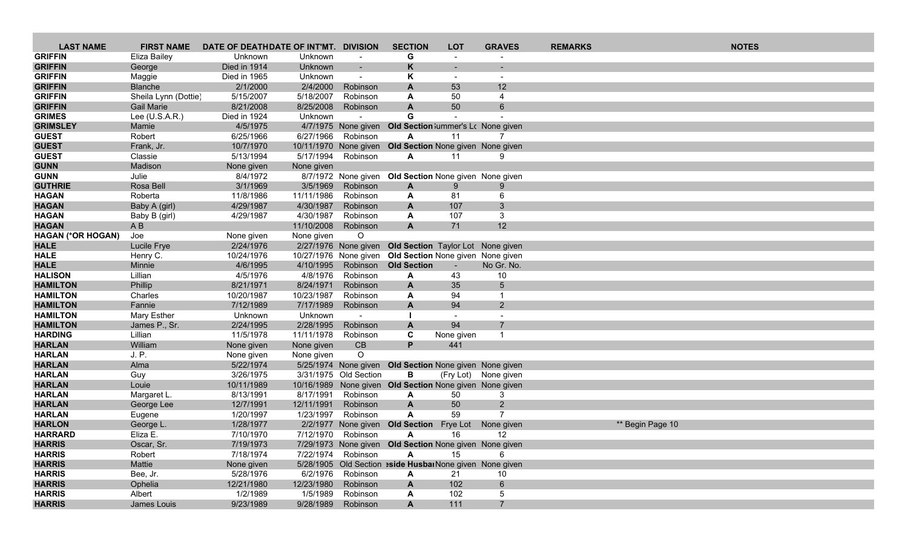| <b>LAST NAME</b>               | <b>FIRST NAME</b>    | DATE OF DEATHDATE OF INT'MT. DIVISION |                       |                                  | <b>SECTION</b>                                          | <b>LOT</b>               | <b>GRAVES</b>                    | <b>REMARKS</b> | <b>NOTES</b>     |  |
|--------------------------------|----------------------|---------------------------------------|-----------------------|----------------------------------|---------------------------------------------------------|--------------------------|----------------------------------|----------------|------------------|--|
| <b>GRIFFIN</b>                 | Eliza Bailey         | Unknown                               | Unknown               | $\overline{\phantom{a}}$         | G                                                       |                          |                                  |                |                  |  |
| <b>GRIFFIN</b>                 | George               | Died in 1914                          | Unknown               | $\sim$                           | K                                                       |                          |                                  |                |                  |  |
| <b>GRIFFIN</b>                 | Maggie               | Died in 1965                          | Unknown               | $\blacksquare$                   | K                                                       |                          |                                  |                |                  |  |
| <b>GRIFFIN</b>                 | <b>Blanche</b>       | 2/1/2000                              | 2/4/2000              | Robinson                         | $\mathbf{A}$                                            | 53                       | 12                               |                |                  |  |
| <b>GRIFFIN</b>                 | Sheila Lynn (Dottie) | 5/15/2007                             | 5/18/2007             | Robinson                         | A                                                       | 50                       | 4                                |                |                  |  |
| <b>GRIFFIN</b>                 | <b>Gail Marie</b>    | 8/21/2008                             | 8/25/2008             | Robinson                         | A                                                       | 50                       | 6                                |                |                  |  |
| <b>GRIMES</b>                  | Lee (U.S.A.R.)       | Died in 1924                          | Unknown               | $\overline{\phantom{a}}$         | G                                                       |                          |                                  |                |                  |  |
| <b>GRIMSLEY</b>                | Mamie                | 4/5/1975                              |                       | 4/7/1975 None given              | Old Section lummer's Lc None given                      |                          |                                  |                |                  |  |
| <b>GUEST</b>                   | Robert               | 6/25/1966                             | 6/27/1966             | Robinson                         | A                                                       | 11                       |                                  |                |                  |  |
| <b>GUEST</b>                   | Frank, Jr.           | 10/7/1970                             |                       | 10/11/1970 None given            | Old Section None given None given                       |                          |                                  |                |                  |  |
| <b>GUEST</b>                   | Classie              | 5/13/1994                             | 5/17/1994             | Robinson                         | A                                                       | 11                       | 9                                |                |                  |  |
| <b>GUNN</b><br><b>GUNN</b>     | Madison              | None given                            | None given            |                                  |                                                         |                          |                                  |                |                  |  |
| <b>GUTHRIE</b>                 | Julie<br>Rosa Bell   | 8/4/1972<br>3/1/1969                  | 3/5/1969              | 8/7/1972 None given<br>Robinson  | Old Section None given None given                       | 9                        | 9                                |                |                  |  |
| <b>HAGAN</b>                   | Roberta              | 11/8/1986                             | 11/11/1986            | Robinson                         | A<br>A                                                  | 81                       | 6                                |                |                  |  |
| <b>HAGAN</b>                   | Baby A (girl)        | 4/29/1987                             | 4/30/1987             | Robinson                         | A                                                       | 107                      | 3                                |                |                  |  |
| <b>HAGAN</b>                   | Baby B (girl)        | 4/29/1987                             | 4/30/1987             | Robinson                         | A                                                       | 107                      | 3                                |                |                  |  |
| <b>HAGAN</b>                   | AB                   |                                       | 11/10/2008            | Robinson                         | $\mathbf{A}$                                            | 71                       | 12                               |                |                  |  |
| <b>HAGAN (*OR HOGAN)</b>       | Joe                  | None given                            | None given            | O                                |                                                         |                          |                                  |                |                  |  |
| <b>HALE</b>                    | Lucile Frye          | 2/24/1976                             |                       |                                  | 2/27/1976 None given Old Section Taylor Lot None given  |                          |                                  |                |                  |  |
| <b>HALE</b>                    | Henry C.             | 10/24/1976                            |                       |                                  | 10/27/1976 None given Old Section None given None given |                          |                                  |                |                  |  |
| <b>HALE</b>                    | Minnie               | 4/6/1995                              | 4/10/1995             | Robinson                         | <b>Old Section</b>                                      |                          | No Gr. No.                       |                |                  |  |
| <b>HALISON</b>                 | Lillian              | 4/5/1976                              | 4/8/1976              | Robinson                         | A                                                       | 43                       | 10                               |                |                  |  |
| <b>HAMILTON</b>                | Phillip              | 8/21/1971                             | 8/24/1971             | Robinson                         | A                                                       | 35                       | 5                                |                |                  |  |
| <b>HAMILTON</b>                | Charles              | 10/20/1987                            | 10/23/1987            | Robinson                         | A                                                       | 94                       | -1                               |                |                  |  |
| <b>HAMILTON</b>                | Fannie               | 7/12/1989                             | 7/17/1989             | Robinson                         | $\mathbf{A}$                                            | 94                       | $\overline{2}$                   |                |                  |  |
| <b>HAMILTON</b>                | Mary Esther          | Unknown                               | Unknown               |                                  |                                                         | $\overline{\phantom{a}}$ | $\overline{\phantom{a}}$         |                |                  |  |
| <b>HAMILTON</b>                | James P., Sr.        | 2/24/1995                             | 2/28/1995             | Robinson                         | A                                                       | 94                       | $\overline{7}$                   |                |                  |  |
| <b>HARDING</b>                 | Lillian              | 11/5/1978                             | 11/11/1978            | Robinson                         | C                                                       | None given               | $\mathbf 1$                      |                |                  |  |
| <b>HARLAN</b>                  | William              | None given                            | None given            | CB                               | P                                                       | 441                      |                                  |                |                  |  |
| <b>HARLAN</b>                  | J. P.                | None given                            | None given            | $\circ$                          |                                                         |                          |                                  |                |                  |  |
| <b>HARLAN</b>                  | Alma                 | 5/22/1974                             |                       | 5/25/1974 None given             | Old Section None given None given                       |                          |                                  |                |                  |  |
| <b>HARLAN</b>                  | Guy                  | 3/26/1975                             |                       | 3/31/1975 Old Section            | В                                                       |                          | (Fry Lot) None given             |                |                  |  |
| <b>HARLAN</b>                  | Louie                | 10/11/1989                            |                       |                                  | 10/16/1989 None given Old Section None given None given |                          |                                  |                |                  |  |
| <b>HARLAN</b>                  | Margaret L.          | 8/13/1991                             | 8/17/1991             | Robinson                         | A                                                       | 50                       | 3                                |                |                  |  |
| <b>HARLAN</b>                  | George Lee           | 12/7/1991                             | 12/11/1991            | Robinson                         | $\mathbf{A}$<br>A                                       | 50<br>59                 | $\overline{2}$<br>$\overline{7}$ |                |                  |  |
| <b>HARLAN</b><br><b>HARLON</b> | Eugene<br>George L.  | 1/20/1997<br>1/28/1977                | 1/23/1997<br>2/2/1977 | Robinson                         |                                                         |                          |                                  |                |                  |  |
| <b>HARRARD</b>                 | Eliza E.             | 7/10/1970                             |                       | None given<br>7/12/1970 Robinson | <b>Old Section</b><br>A                                 | <b>Frye Lot</b><br>16    | None given<br>12                 |                | ** Begin Page 10 |  |
| <b>HARRIS</b>                  | Oscar, Sr.           | 7/19/1973                             |                       |                                  | 7/29/1973 None given Old Section None given None given  |                          |                                  |                |                  |  |
| <b>HARRIS</b>                  | Robert               | 7/18/1974                             |                       | 7/22/1974 Robinson               | A                                                       | 15                       | 6                                |                |                  |  |
| <b>HARRIS</b>                  | Mattie               | None given                            |                       |                                  | 5/28/1905 Old Section aside HusbarNone given None given |                          |                                  |                |                  |  |
| <b>HARRIS</b>                  | Bee, Jr.             | 5/28/1976                             |                       | 6/2/1976 Robinson                | A                                                       | 21                       | 10                               |                |                  |  |
| <b>HARRIS</b>                  | Ophelia              | 12/21/1980                            | 12/23/1980            | Robinson                         | A                                                       | 102                      | $6\phantom{.}$                   |                |                  |  |
| <b>HARRIS</b>                  | Albert               | 1/2/1989                              | 1/5/1989              | Robinson                         | A                                                       | 102                      | 5                                |                |                  |  |
| <b>HARRIS</b>                  | James Louis          | 9/23/1989                             | 9/28/1989             | Robinson                         | A                                                       | 111                      | $\overline{7}$                   |                |                  |  |
|                                |                      |                                       |                       |                                  |                                                         |                          |                                  |                |                  |  |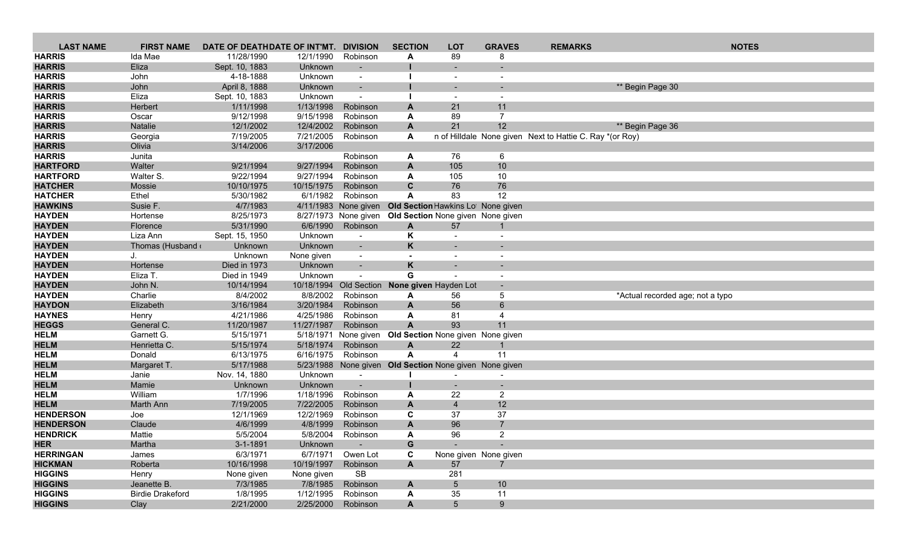| <b>LAST NAME</b>                  | <b>FIRST NAME</b>       | DATE OF DEATHDATE OF INT'MT. |                         | <b>DIVISION</b>          | <b>SECTION</b> | <b>LOT</b>                                             | <b>GRAVES</b>         | <b>REMARKS</b>                                           | <b>NOTES</b>                     |
|-----------------------------------|-------------------------|------------------------------|-------------------------|--------------------------|----------------|--------------------------------------------------------|-----------------------|----------------------------------------------------------|----------------------------------|
| <b>HARRIS</b>                     | Ida Mae                 | 11/28/1990                   | 12/1/1990               | Robinson                 | A              | 89                                                     | 8                     |                                                          |                                  |
| <b>HARRIS</b>                     | Eliza                   | Sept. 10, 1883               | Unknown                 |                          |                |                                                        |                       |                                                          |                                  |
| <b>HARRIS</b>                     | John                    | 4-18-1888                    | Unknown                 | $\sim$                   |                | $\overline{\phantom{a}}$                               |                       |                                                          |                                  |
| <b>HARRIS</b>                     | John                    | April 8, 1888                | Unknown                 |                          |                |                                                        |                       |                                                          | ** Begin Page 30                 |
| <b>HARRIS</b>                     | Eliza                   | Sept. 10, 1883               | Unknown                 |                          |                |                                                        |                       |                                                          |                                  |
| <b>HARRIS</b>                     | Herbert                 | 1/11/1998                    | 1/13/1998               | Robinson                 | A              | 21                                                     | 11                    |                                                          |                                  |
| <b>HARRIS</b>                     | Oscar                   | 9/12/1998                    | 9/15/1998               | Robinson                 | A              | 89                                                     | $\overline{7}$        |                                                          |                                  |
| <b>HARRIS</b>                     | Natalie                 | 12/1/2002                    | 12/4/2002               | Robinson                 | A              | 21                                                     | 12 <sub>2</sub>       |                                                          | ** Begin Page 36                 |
| <b>HARRIS</b>                     | Georgia                 | 7/19/2005                    | 7/21/2005               | Robinson                 | A              |                                                        |                       | n of Hilldale None given Next to Hattie C. Ray *(or Roy) |                                  |
| <b>HARRIS</b>                     | Olivia                  | 3/14/2006                    | 3/17/2006               |                          |                |                                                        |                       |                                                          |                                  |
| <b>HARRIS</b>                     | Junita                  |                              |                         | Robinson                 | A              | 76                                                     | 6                     |                                                          |                                  |
| <b>HARTFORD</b>                   | Walter                  | 9/21/1994                    | 9/27/1994               | Robinson                 | A              | 105                                                    | 10                    |                                                          |                                  |
| <b>HARTFORD</b><br><b>HATCHER</b> | Walter S.<br>Mossie     | 9/22/1994<br>10/10/1975      | 9/27/1994<br>10/15/1975 | Robinson<br>Robinson     | A<br>C         | 105<br>76                                              | 10<br>76              |                                                          |                                  |
| <b>HATCHER</b>                    | Ethel                   | 5/30/1982                    | 6/1/1982                | Robinson                 | A              | 83                                                     | 12                    |                                                          |                                  |
| <b>HAWKINS</b>                    | Susie F.                | 4/7/1983                     |                         | 4/11/1983 None given     |                | Old Section Hawkins Lot None given                     |                       |                                                          |                                  |
| <b>HAYDEN</b>                     | Hortense                | 8/25/1973                    |                         | 8/27/1973 None given     |                | Old Section None given None given                      |                       |                                                          |                                  |
| <b>HAYDEN</b>                     | Florence                | 5/31/1990                    | 6/6/1990                | Robinson                 | $\mathbf{A}$   | 57                                                     |                       |                                                          |                                  |
| <b>HAYDEN</b>                     | Liza Ann                | Sept. 15, 1950               | Unknown                 | $\sim$                   | Κ              |                                                        |                       |                                                          |                                  |
| <b>HAYDEN</b>                     | Thomas (Husband         | Unknown                      | Unknown                 | $\sim$                   | K              |                                                        |                       |                                                          |                                  |
| <b>HAYDEN</b>                     | J.                      | Unknown                      | None given              | $\overline{\phantom{a}}$ |                |                                                        |                       |                                                          |                                  |
| <b>HAYDEN</b>                     | Hortense                | Died in 1973                 | Unknown                 | $\overline{\phantom{a}}$ | K              |                                                        |                       |                                                          |                                  |
| <b>HAYDEN</b>                     | Eliza T.                | Died in 1949                 | Unknown                 |                          | G              |                                                        |                       |                                                          |                                  |
| <b>HAYDEN</b>                     | John N.                 | 10/14/1994                   | 10/18/1994              | Old Section              |                | None given Hayden Lot                                  |                       |                                                          |                                  |
| <b>HAYDEN</b>                     | Charlie                 | 8/4/2002                     | 8/8/2002                | Robinson                 | A              | 56                                                     | 5                     |                                                          | *Actual recorded age; not a typo |
| <b>HAYDON</b>                     | Elizabeth               | 3/16/1984                    | 3/20/1984               | Robinson                 | A              | 56                                                     | 6                     |                                                          |                                  |
| <b>HAYNES</b>                     | Henry                   | 4/21/1986                    | 4/25/1986               | Robinson                 | A              | 81                                                     | $\overline{4}$        |                                                          |                                  |
| <b>HEGGS</b>                      | General C.              | 11/20/1987                   | 11/27/1987              | Robinson                 | $\mathbf{A}$   | 93                                                     | 11                    |                                                          |                                  |
| <b>HELM</b>                       | Garnett G.              | 5/15/1971                    | 5/18/1971               | None given               |                | Old Section None given None given                      |                       |                                                          |                                  |
| <b>HELM</b>                       | Henrietta C.            | 5/15/1974                    | 5/18/1974               | Robinson                 | A              | 22                                                     |                       |                                                          |                                  |
| <b>HELM</b>                       | Donald                  | 6/13/1975                    | 6/16/1975               | Robinson                 | A              | $\overline{4}$                                         | 11                    |                                                          |                                  |
| <b>HELM</b><br><b>HELM</b>        | Margaret T.<br>Janie    | 5/17/1988<br>Nov. 14, 1880   | Unknown                 | $\overline{\phantom{a}}$ |                | 5/23/1988 None given Old Section None given None given |                       |                                                          |                                  |
| <b>HELM</b>                       | Mamie                   | Unknown                      | Unknown                 |                          |                |                                                        |                       |                                                          |                                  |
| <b>HELM</b>                       | William                 | 1/7/1996                     | 1/18/1996               | Robinson                 | A              | 22                                                     | $\overline{2}$        |                                                          |                                  |
| <b>HELM</b>                       | Marth Ann               | 7/19/2005                    | 7/22/2005               | Robinson                 | A              | $\overline{4}$                                         | 12                    |                                                          |                                  |
| <b>HENDERSON</b>                  | Joe                     | 12/1/1969                    | 12/2/1969               | Robinson                 | C              | 37                                                     | 37                    |                                                          |                                  |
| <b>HENDERSON</b>                  | Claude                  | 4/6/1999                     | 4/8/1999                | Robinson                 | A              | 96                                                     | $\overline{7}$        |                                                          |                                  |
| <b>HENDRICK</b>                   | Mattie                  | 5/5/2004                     | 5/8/2004                | Robinson                 | A              | 96                                                     | $\overline{2}$        |                                                          |                                  |
| <b>HER</b>                        | Martha                  | $3 - 1 - 1891$               | Unknown                 | $\sim$                   | G              | <b>All Contract Contract</b>                           | $\sim$                |                                                          |                                  |
| <b>HERRINGAN</b>                  | James                   | 6/3/1971                     | 6/7/1971                | Owen Lot                 | C              |                                                        | None given None given |                                                          |                                  |
| <b>HICKMAN</b>                    | Roberta                 | 10/16/1998                   | 10/19/1997              | Robinson                 | $\mathbf{A}$   | 57                                                     |                       |                                                          |                                  |
| <b>HIGGINS</b>                    | Henry                   | None given                   | None given              | <b>SB</b>                |                | 281                                                    |                       |                                                          |                                  |
| <b>HIGGINS</b>                    | Jeanette B.             | 7/3/1985                     | 7/8/1985                | Robinson                 | A              | 5                                                      | 10                    |                                                          |                                  |
| <b>HIGGINS</b>                    | <b>Birdie Drakeford</b> | 1/8/1995                     | 1/12/1995               | Robinson                 | A              | 35                                                     | 11                    |                                                          |                                  |
| <b>HIGGINS</b>                    | Clay                    | 2/21/2000                    | 2/25/2000               | Robinson                 | $\mathsf{A}$   | $5\phantom{.0}$                                        | 9                     |                                                          |                                  |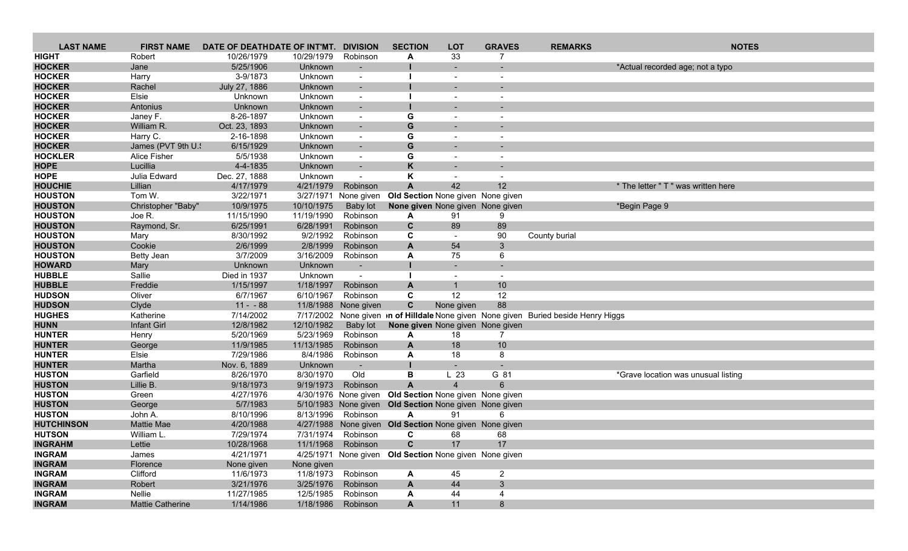| <b>LAST NAME</b>                 | <b>FIRST NAME</b>            | DATE OF DEATHDATE OF INT'MT. |                          | <b>DIVISION</b>          | <b>SECTION</b>                                         | <b>LOT</b>               | <b>GRAVES</b>                | <b>REMARKS</b>                                                                            | <b>NOTES</b>                        |
|----------------------------------|------------------------------|------------------------------|--------------------------|--------------------------|--------------------------------------------------------|--------------------------|------------------------------|-------------------------------------------------------------------------------------------|-------------------------------------|
| <b>HIGHT</b>                     | Robert                       | 10/26/1979                   | 10/29/1979               | Robinson                 | A                                                      | 33                       | 7                            |                                                                                           |                                     |
| <b>HOCKER</b>                    | Jane                         | 5/25/1906                    | Unknown                  |                          |                                                        |                          |                              |                                                                                           | *Actual recorded age; not a typo    |
| <b>HOCKER</b>                    | Harry                        | 3-9/1873                     | Unknown                  | $\overline{\phantom{a}}$ |                                                        | $\overline{\phantom{a}}$ |                              |                                                                                           |                                     |
| <b>HOCKER</b>                    | Rachel                       | July 27, 1886                | Unknown                  |                          |                                                        |                          |                              |                                                                                           |                                     |
| <b>HOCKER</b>                    | Elsie                        | Unknown                      | Unknown                  |                          |                                                        |                          |                              |                                                                                           |                                     |
| <b>HOCKER</b>                    | Antonius                     | Unknown                      | Unknown                  | $\overline{\phantom{a}}$ |                                                        |                          |                              |                                                                                           |                                     |
| <b>HOCKER</b>                    | Janey F.                     | 8-26-1897                    | Unknown                  | $\overline{\phantom{a}}$ | G                                                      |                          |                              |                                                                                           |                                     |
| <b>HOCKER</b>                    | William R.                   | Oct. 23, 1893                | Unknown                  | $\overline{\phantom{a}}$ | G                                                      |                          |                              |                                                                                           |                                     |
| <b>HOCKER</b>                    | Harry C.                     | 2-16-1898                    | Unknown                  | $\overline{\phantom{a}}$ | G                                                      | $\blacksquare$           |                              |                                                                                           |                                     |
| <b>HOCKER</b>                    | James (PVT 9th U.            | 6/15/1929                    | Unknown                  |                          | G                                                      |                          |                              |                                                                                           |                                     |
| <b>HOCKLER</b>                   | <b>Alice Fisher</b>          | 5/5/1938                     | Unknown                  |                          | G                                                      |                          |                              |                                                                                           |                                     |
| <b>HOPE</b>                      | Lucillia                     | 4-4-1835                     | Unknown                  | $\overline{\phantom{a}}$ | K                                                      |                          |                              |                                                                                           |                                     |
| <b>HOPE</b>                      | Julia Edward                 | Dec. 27, 1888                | Unknown                  | $\overline{\phantom{a}}$ | K                                                      |                          |                              |                                                                                           |                                     |
| <b>HOUCHIE</b><br><b>HOUSTON</b> | Lillian<br>Tom W.            | 4/17/1979                    | 4/21/1979                | Robinson                 | $\mathsf{A}$                                           | 42                       | 12 <sub>2</sub>              |                                                                                           | * The letter " T " was written here |
|                                  |                              | 3/22/1971                    | 3/27/1971                | None given               | Old Section None given None given                      |                          |                              |                                                                                           |                                     |
| <b>HOUSTON</b><br><b>HOUSTON</b> | Christopher "Baby"<br>Joe R. | 10/9/1975<br>11/15/1990      | 10/10/1975<br>11/19/1990 | Baby lot<br>Robinson     | None given None given None given<br>A                  | 91                       | 9                            |                                                                                           | *Begin Page 9                       |
| <b>HOUSTON</b>                   | Raymond, Sr.                 | 6/25/1991                    | 6/28/1991                | Robinson                 | $\mathbf{C}$                                           | 89                       | 89                           |                                                                                           |                                     |
| <b>HOUSTON</b>                   | Mary                         | 8/30/1992                    | 9/2/1992                 | Robinson                 | C                                                      | $\overline{\phantom{a}}$ | 90                           | County burial                                                                             |                                     |
| <b>HOUSTON</b>                   | Cookie                       | 2/6/1999                     | 2/8/1999                 | Robinson                 | A                                                      | 54                       | 3                            |                                                                                           |                                     |
| <b>HOUSTON</b>                   | Betty Jean                   | 3/7/2009                     | 3/16/2009                | Robinson                 | A                                                      | 75                       | 6                            |                                                                                           |                                     |
| <b>HOWARD</b>                    | Mary                         | Unknown                      | Unknown                  |                          |                                                        |                          |                              |                                                                                           |                                     |
| <b>HUBBLE</b>                    | Sallie                       | Died in 1937                 | Unknown                  |                          |                                                        |                          |                              |                                                                                           |                                     |
| <b>HUBBLE</b>                    | Freddie                      | 1/15/1997                    | 1/18/1997                | Robinson                 | A                                                      |                          | 10                           |                                                                                           |                                     |
| <b>HUDSON</b>                    | Oliver                       | 6/7/1967                     | 6/10/1967                | Robinson                 | C                                                      | 12                       | 12                           |                                                                                           |                                     |
| <b>HUDSON</b>                    | Clyde                        | $11 - 88$                    |                          | 11/8/1988 None given     | $\mathbf c$                                            | None given               | 88                           |                                                                                           |                                     |
| <b>HUGHES</b>                    | Katherine                    | 7/14/2002                    |                          |                          |                                                        |                          |                              | 7/17/2002 None given <b>n of Hilldale</b> None given None given Buried beside Henry Higgs |                                     |
| <b>HUNN</b>                      | Infant Girl                  | 12/8/1982                    | 12/10/1982               | Baby lot                 | None given None given None given                       |                          |                              |                                                                                           |                                     |
| <b>HUNTER</b>                    | Henry                        | 5/20/1969                    | 5/23/1969                | Robinson                 | A                                                      | 18                       | 7                            |                                                                                           |                                     |
| <b>HUNTER</b>                    | George                       | 11/9/1985                    | 11/13/1985               | Robinson                 | A                                                      | 18                       | 10                           |                                                                                           |                                     |
| <b>HUNTER</b>                    | Elsie                        | 7/29/1986                    | 8/4/1986                 | Robinson                 | A                                                      | 18                       | 8                            |                                                                                           |                                     |
| <b>HUNTER</b>                    | Martha                       | Nov. 6, 1889                 | Unknown                  | $\overline{\phantom{a}}$ |                                                        |                          |                              |                                                                                           |                                     |
| <b>HUSTON</b>                    | Garfield                     | 8/26/1970                    | 8/30/1970                | Old                      | $\, {\bf B}$                                           | L <sub>23</sub>          | G 81                         |                                                                                           | *Grave location was unusual listing |
| <b>HUSTON</b>                    | Lillie B.                    | 9/18/1973                    | 9/19/1973                | Robinson                 | $\overline{A}$                                         | $\overline{4}$           |                              |                                                                                           |                                     |
| <b>HUSTON</b>                    | Green                        | 4/27/1976                    |                          |                          | 4/30/1976 None given Old Section None given None given |                          |                              |                                                                                           |                                     |
| <b>HUSTON</b>                    | George                       | 5/7/1983                     |                          |                          | 5/10/1983 None given Old Section None given None given |                          |                              |                                                                                           |                                     |
| <b>HUSTON</b>                    | John A.                      | 8/10/1996                    | 8/13/1996                | Robinson                 | A                                                      | 91                       | 6                            |                                                                                           |                                     |
| <b>HUTCHINSON</b>                | Mattie Mae                   | 4/20/1988                    |                          | 4/27/1988 None given     | Old Section None given None given                      |                          |                              |                                                                                           |                                     |
| <b>HUTSON</b>                    | William L.                   | 7/29/1974                    | 7/31/1974                | Robinson                 | C                                                      | 68                       | 68                           |                                                                                           |                                     |
| <b>INGRAHM</b>                   | Lettie                       | 10/28/1968                   |                          | 11/1/1968 Robinson       | C                                                      | 17                       | 17                           |                                                                                           |                                     |
| <b>INGRAM</b>                    | James                        | 4/21/1971                    |                          |                          | 4/25/1971 None given Old Section None given None given |                          |                              |                                                                                           |                                     |
| <b>INGRAM</b>                    | Florence                     | None given                   | None given               |                          |                                                        |                          |                              |                                                                                           |                                     |
| <b>INGRAM</b><br><b>INGRAM</b>   | Clifford<br>Robert           | 11/6/1973                    | 11/8/1973<br>3/25/1976   | Robinson<br>Robinson     | A                                                      | 45<br>44                 | $\mathbf{2}$<br>$\mathbf{3}$ |                                                                                           |                                     |
| <b>INGRAM</b>                    | Nellie                       | 3/21/1976<br>11/27/1985      | 12/5/1985                | Robinson                 | A                                                      |                          | 4                            |                                                                                           |                                     |
| <b>INGRAM</b>                    | Mattie Catherine             | 1/14/1986                    | 1/18/1986                | Robinson                 | A<br>$\mathsf{A}$                                      | 44<br>11                 |                              |                                                                                           |                                     |
|                                  |                              |                              |                          |                          |                                                        |                          | 8                            |                                                                                           |                                     |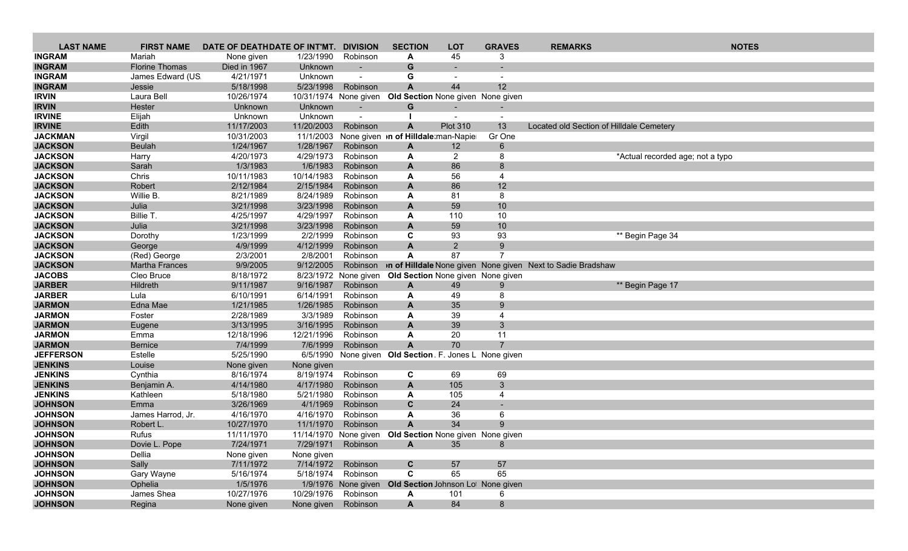| <b>LAST NAME</b>               | <b>FIRST NAME</b>     | DATE OF DEATHDATE OF INT'MT. |                        | <b>DIVISION</b>      | <b>SECTION</b>                                          | <b>LOT</b>        | <b>GRAVES</b>            | <b>REMARKS</b>                                                              | <b>NOTES</b>                     |  |
|--------------------------------|-----------------------|------------------------------|------------------------|----------------------|---------------------------------------------------------|-------------------|--------------------------|-----------------------------------------------------------------------------|----------------------------------|--|
| <b>INGRAM</b>                  | Mariah                | None given                   | 1/23/1990              | Robinson             | A                                                       | 45                | 3                        |                                                                             |                                  |  |
| <b>INGRAM</b>                  | <b>Florine Thomas</b> | Died in 1967                 | Unknown                |                      | G                                                       |                   |                          |                                                                             |                                  |  |
| <b>INGRAM</b>                  | James Edward (US      | 4/21/1971                    | Unknown                |                      | G                                                       |                   |                          |                                                                             |                                  |  |
| <b>INGRAM</b>                  | Jessie                | 5/18/1998                    | 5/23/1998              | Robinson             | A                                                       | 44                | 12                       |                                                                             |                                  |  |
| <b>IRVIN</b>                   | Laura Bell            | 10/26/1974                   |                        |                      | 10/31/1974 None given Old Section None given None given |                   |                          |                                                                             |                                  |  |
| <b>IRVIN</b>                   | Hester                | Unknown                      | Unknown                | $\sim$               | G                                                       |                   | $\overline{\phantom{0}}$ |                                                                             |                                  |  |
| <b>IRVINE</b>                  | Elijah                | Unknown                      | Unknown                |                      |                                                         |                   | $\overline{\phantom{a}}$ |                                                                             |                                  |  |
| <b>IRVINE</b>                  | Edith                 | 11/17/2003                   | 11/20/2003             | Robinson             | A                                                       | <b>Plot 310</b>   | 13                       | Located old Section of Hilldale Cemetery                                    |                                  |  |
| <b>JACKMAN</b>                 | Virgil                | 10/31/2003                   | 11/1/2003              |                      | None given on of Hilldale man-Napier                    |                   | Gr One                   |                                                                             |                                  |  |
| <b>JACKSON</b>                 | <b>Beulah</b>         | 1/24/1967                    | 1/28/1967              | Robinson             | A                                                       | $12 \overline{ }$ | 6                        |                                                                             |                                  |  |
| <b>JACKSON</b>                 | Harry                 | 4/20/1973                    | 4/29/1973              | Robinson             | A                                                       | $\overline{c}$    | 8                        |                                                                             | *Actual recorded age; not a typo |  |
| <b>JACKSON</b>                 | Sarah                 | 1/3/1983                     | 1/6/1983               | Robinson             | $\mathbf{A}$                                            | 86                | 8                        |                                                                             |                                  |  |
| <b>JACKSON</b>                 | Chris                 | 10/11/1983                   | 10/14/1983             | Robinson             | A                                                       | 56                | $\overline{4}$           |                                                                             |                                  |  |
| <b>JACKSON</b>                 | Robert                | 2/12/1984                    | 2/15/1984              | Robinson             | A                                                       | 86                | 12                       |                                                                             |                                  |  |
| <b>JACKSON</b>                 | Willie B.             | 8/21/1989                    | 8/24/1989              | Robinson             | A                                                       | 81                | 8                        |                                                                             |                                  |  |
| <b>JACKSON</b>                 | Julia                 | 3/21/1998                    | 3/23/1998              | Robinson             | A                                                       | 59                | 10                       |                                                                             |                                  |  |
| <b>JACKSON</b>                 | Billie T.             | 4/25/1997                    | 4/29/1997              | Robinson             | A                                                       | 110               | 10                       |                                                                             |                                  |  |
| <b>JACKSON</b>                 | Julia                 | 3/21/1998                    | 3/23/1998              | Robinson             | $\mathsf{A}$                                            | 59                | 10                       |                                                                             |                                  |  |
| <b>JACKSON</b>                 | Dorothy               | 1/23/1999                    | 2/2/1999               | Robinson             | C                                                       | 93                | 93                       |                                                                             | ** Begin Page 34                 |  |
| <b>JACKSON</b>                 | George                | 4/9/1999                     | 4/12/1999              | Robinson             | A                                                       | $\overline{2}$    | 9                        |                                                                             |                                  |  |
| <b>JACKSON</b>                 | (Red) George          | 2/3/2001                     | 2/8/2001               | Robinson             | A                                                       | 87                | 7                        |                                                                             |                                  |  |
| <b>JACKSON</b>                 | <b>Martha Frances</b> | 9/9/2005                     | 9/12/2005              |                      |                                                         |                   |                          | Robinson <b>In of Hilldale</b> None given None given Next to Sadie Bradshaw |                                  |  |
| <b>JACOBS</b>                  | Cleo Bruce            | 8/18/1972                    |                        | 8/23/1972 None given | Old Section None given None given                       |                   |                          |                                                                             |                                  |  |
| <b>JARBER</b>                  | Hildreth              | 9/11/1987                    | 9/16/1987              | Robinson             | A                                                       | 49                | 9<br>8                   |                                                                             | ** Begin Page 17                 |  |
| <b>JARBER</b><br><b>JARMON</b> | Lula<br>Edna Mae      | 6/10/1991<br>1/21/1985       | 6/14/1991<br>1/26/1985 | Robinson<br>Robinson | A<br>$\mathbf{A}$                                       | 49<br>35          | 9                        |                                                                             |                                  |  |
| <b>JARMON</b>                  | Foster                | 2/28/1989                    | 3/3/1989               | Robinson             |                                                         |                   | 4                        |                                                                             |                                  |  |
| <b>JARMON</b>                  | Eugene                | 3/13/1995                    | 3/16/1995              | Robinson             | A<br>A                                                  | 39<br>39          | 3                        |                                                                             |                                  |  |
| <b>JARMON</b>                  | Emma                  | 12/18/1996                   | 12/21/1996             | Robinson             | A                                                       | 20                | 11                       |                                                                             |                                  |  |
| <b>JARMON</b>                  | <b>Bernice</b>        | 7/4/1999                     | 7/6/1999               | Robinson             | A                                                       | 70                |                          |                                                                             |                                  |  |
| <b>JEFFERSON</b>               | Estelle               | 5/25/1990                    | 6/5/1990               |                      | None given Old Section F. Jones L None given            |                   |                          |                                                                             |                                  |  |
| <b>JENKINS</b>                 | Louise                | None given                   | None given             |                      |                                                         |                   |                          |                                                                             |                                  |  |
| <b>JENKINS</b>                 | Cynthia               | 8/16/1974                    | 8/19/1974              | Robinson             | C                                                       | 69                | 69                       |                                                                             |                                  |  |
| <b>JENKINS</b>                 | Benjamin A.           | 4/14/1980                    | 4/17/1980              | Robinson             | A                                                       | 105               | 3                        |                                                                             |                                  |  |
| <b>JENKINS</b>                 | Kathleen              | 5/18/1980                    | 5/21/1980              | Robinson             | A                                                       | 105               | 4                        |                                                                             |                                  |  |
| <b>JOHNSON</b>                 | Emma                  | 3/26/1969                    | 4/1/1969               | Robinson             | C                                                       | 24                |                          |                                                                             |                                  |  |
| <b>JOHNSON</b>                 | James Harrod, Jr.     | 4/16/1970                    | 4/16/1970              | Robinson             | A                                                       | 36                | 6                        |                                                                             |                                  |  |
| <b>JOHNSON</b>                 | Robert L.             | 10/27/1970                   | 11/1/1970              | Robinson             |                                                         | 34                | $\mathbf{Q}$             |                                                                             |                                  |  |
| <b>JOHNSON</b>                 | Rufus                 | 11/11/1970                   |                        |                      | 11/14/1970 None given Old Section None given None given |                   |                          |                                                                             |                                  |  |
| <b>JOHNSON</b>                 | Dovie L. Pope         | 7/24/1971                    |                        | 7/29/1971 Robinson   | A                                                       | 35                | 8                        |                                                                             |                                  |  |
| <b>JOHNSON</b>                 | Dellia                | None given                   | None given             |                      |                                                         |                   |                          |                                                                             |                                  |  |
| <b>JOHNSON</b>                 | Sally                 | 7/11/1972                    | 7/14/1972              | Robinson             | $\mathbf{C}$                                            | 57                | 57                       |                                                                             |                                  |  |
| <b>JOHNSON</b>                 | Gary Wayne            | 5/16/1974                    | 5/18/1974              | Robinson             | C                                                       | 65                | 65                       |                                                                             |                                  |  |
| <b>JOHNSON</b>                 | Ophelia               | 1/5/1976                     |                        |                      | 1/9/1976 None given Old Section Johnson Lot None given  |                   |                          |                                                                             |                                  |  |
| <b>JOHNSON</b>                 | James Shea            | 10/27/1976                   | 10/29/1976             | Robinson             | A                                                       | 101               | 6                        |                                                                             |                                  |  |
| <b>JOHNSON</b>                 | Regina                | None given                   | None given             | Robinson             | $\mathsf{A}$                                            | 84                | 8                        |                                                                             |                                  |  |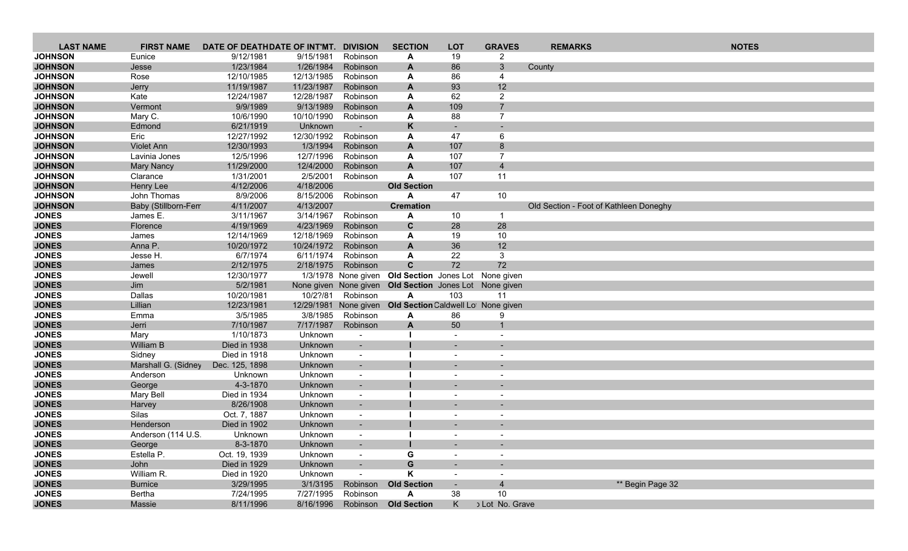| <b>LAST NAME</b>             | <b>FIRST NAME</b>               | DATE OF DEATHDATE OF INT'MT. |                        | <b>DIVISION</b>          | <b>SECTION</b>                                         | <b>LOT</b>               | <b>GRAVES</b>  | <b>REMARKS</b>                         | <b>NOTES</b> |
|------------------------------|---------------------------------|------------------------------|------------------------|--------------------------|--------------------------------------------------------|--------------------------|----------------|----------------------------------------|--------------|
| <b>JOHNSON</b>               | Eunice                          | 9/12/1981                    | 9/15/1981              | Robinson                 | A                                                      | 19                       | $\overline{2}$ |                                        |              |
| <b>JOHNSON</b>               | Jesse                           | 1/23/1984                    | 1/26/1984              | Robinson                 | A                                                      | 86                       | 3              | County                                 |              |
| <b>JOHNSON</b>               | Rose                            | 12/10/1985                   | 12/13/1985             | Robinson                 | A                                                      | 86                       | 4              |                                        |              |
| <b>JOHNSON</b>               | Jerry                           | 11/19/1987                   | 11/23/1987             | Robinson                 | A                                                      | 93                       | 12             |                                        |              |
| <b>JOHNSON</b>               | Kate                            | 12/24/1987                   | 12/28/1987             | Robinson                 | A                                                      | 62                       | $\overline{2}$ |                                        |              |
| <b>JOHNSON</b>               | Vermont                         | 9/9/1989                     | 9/13/1989              | Robinson                 | A                                                      | 109                      | $\overline{7}$ |                                        |              |
| <b>JOHNSON</b>               | Mary C.                         | 10/6/1990                    | 10/10/1990             | Robinson                 | A                                                      | 88                       | $\overline{7}$ |                                        |              |
| <b>JOHNSON</b>               | Edmond                          | 6/21/1919                    | Unknown                |                          | K                                                      |                          |                |                                        |              |
| <b>JOHNSON</b>               | Eric                            | 12/27/1992                   | 12/30/1992             | Robinson                 | A                                                      | 47                       | 6              |                                        |              |
| <b>JOHNSON</b>               | <b>Violet Ann</b>               | 12/30/1993                   | 1/3/1994               | Robinson                 | A                                                      | 107                      | 8              |                                        |              |
| <b>JOHNSON</b>               | Lavinia Jones                   | 12/5/1996                    | 12/7/1996              | Robinson                 | A                                                      | 107                      | $\overline{7}$ |                                        |              |
| <b>JOHNSON</b>               | <b>Mary Nancy</b>               | 11/29/2000                   | 12/4/2000              | Robinson                 | $\mathbf{A}$                                           | 107                      | $\overline{4}$ |                                        |              |
| <b>JOHNSON</b>               | Clarance                        | 1/31/2001                    | 2/5/2001               | Robinson                 | A                                                      | 107                      | 11             |                                        |              |
| <b>JOHNSON</b>               | Henry Lee                       | 4/12/2006                    | 4/18/2006              |                          | <b>Old Section</b>                                     |                          |                |                                        |              |
| <b>JOHNSON</b>               | John Thomas                     | 8/9/2006                     | 8/15/2006              | Robinson                 | A                                                      | 47                       | 10             |                                        |              |
| <b>JOHNSON</b>               | Baby (Stillborn-Fem<br>James E. | 4/11/2007                    | 4/13/2007<br>3/14/1967 | Robinson                 | <b>Cremation</b>                                       | 10                       | -1             | Old Section - Foot of Kathleen Doneghy |              |
| <b>JONES</b><br><b>JONES</b> | Florence                        | 3/11/1967                    | 4/23/1969              | Robinson                 | A<br>$\mathbf{C}$                                      | 28                       | 28             |                                        |              |
| <b>JONES</b>                 | James                           | 4/19/1969<br>12/14/1969      | 12/18/1969             | Robinson                 | A                                                      | 19                       | 10             |                                        |              |
| <b>JONES</b>                 | Anna P.                         | 10/20/1972                   | 10/24/1972             | Robinson                 | A                                                      | 36                       | 12             |                                        |              |
| <b>JONES</b>                 | Jesse H.                        | 6/7/1974                     | 6/11/1974              | Robinson                 | A                                                      | 22                       | 3              |                                        |              |
| <b>JONES</b>                 | James                           | 2/12/1975                    | 2/18/1975              | Robinson                 | $\mathbf{C}$                                           | 72                       | 72             |                                        |              |
| <b>JONES</b>                 | Jewell                          | 12/30/1977                   |                        | 1/3/1978 None given      | Old Section Jones Lot None given                       |                          |                |                                        |              |
| <b>JONES</b>                 | Jim                             | 5/2/1981                     |                        |                          | None given None given Old Section Jones Lot None given |                          |                |                                        |              |
| <b>JONES</b>                 | Dallas                          | 10/20/1981                   | 10/2?/81               | Robinson                 | $\mathbf{A}$                                           | 103                      | 11             |                                        |              |
| <b>JONES</b>                 | Lillian                         | 12/23/1981                   |                        | 12/29/1981 None given    | Old Section Caldwell Lot None given                    |                          |                |                                        |              |
| <b>JONES</b>                 | Emma                            | 3/5/1985                     | 3/8/1985               | Robinson                 | A                                                      | 86                       | 9              |                                        |              |
| <b>JONES</b>                 | Jerri                           | 7/10/1987                    | 7/17/1987              | Robinson                 | $\mathbf{A}$                                           | 50                       | $\mathbf{1}$   |                                        |              |
| <b>JONES</b>                 | Mary                            | 1/10/1873                    | Unknown                |                          |                                                        |                          |                |                                        |              |
| <b>JONES</b>                 | <b>William B</b>                | Died in 1938                 | Unknown                | $\sim$                   |                                                        |                          |                |                                        |              |
| <b>JONES</b>                 | Sidney                          | Died in 1918                 | Unknown                | $\sim$                   |                                                        | $\overline{\phantom{a}}$ |                |                                        |              |
| <b>JONES</b>                 | Marshall G. (Sidney             | Dec. 125, 1898               | Unknown                | $\blacksquare$           |                                                        |                          |                |                                        |              |
| <b>JONES</b>                 | Anderson                        | Unknown                      | Unknown                | $\overline{\phantom{a}}$ |                                                        | $\overline{\phantom{a}}$ |                |                                        |              |
| <b>JONES</b>                 | George                          | 4-3-1870                     | Unknown                |                          |                                                        |                          |                |                                        |              |
| <b>JONES</b>                 | Mary Bell                       | Died in 1934                 | Unknown                | $\overline{\phantom{a}}$ |                                                        |                          |                |                                        |              |
| <b>JONES</b>                 | Harvey                          | 8/26/1908                    | Unknown                | $\blacksquare$           |                                                        |                          |                |                                        |              |
| <b>JONES</b>                 | Silas                           | Oct. 7, 1887                 | Unknown                | $\sim$                   |                                                        | $\blacksquare$           |                |                                        |              |
| <b>JONES</b>                 | Henderson                       | Died in 1902                 | Unknown                |                          |                                                        |                          |                |                                        |              |
| <b>JONES</b>                 | Anderson (114 U.S.              | Unknown                      | Unknown                | $\blacksquare$           |                                                        |                          |                |                                        |              |
| <b>JONES</b>                 | George                          | 8-3-1870                     | Unknown                |                          |                                                        |                          |                |                                        |              |
| <b>JONES</b>                 | Estella P.                      | Oct. 19, 1939                | Unknown                | $\sim$                   | G                                                      | $\overline{\phantom{a}}$ |                |                                        |              |
| <b>JONES</b>                 | John                            | Died in 1929                 | Unknown                | $\sim$                   | G                                                      |                          |                |                                        |              |
| <b>JONES</b>                 | William R.                      | Died in 1920                 | Unknown                | $\overline{\phantom{a}}$ | Κ                                                      | $\overline{\phantom{a}}$ |                |                                        |              |
| <b>JONES</b>                 | <b>Burnice</b>                  | 3/29/1995                    | 3/1/3195               | Robinson                 | <b>Old Section</b>                                     | $\overline{\phantom{a}}$ | $\overline{4}$ | ** Begin Page 32                       |              |
| <b>JONES</b>                 | Bertha                          | 7/24/1995                    | 7/27/1995              | Robinson                 | A                                                      | 38                       | 10             |                                        |              |
| <b>JONES</b>                 | Massie                          | 8/11/1996                    | 8/16/1996              | Robinson                 | <b>Old Section</b>                                     | K                        | Lot No. Grave  |                                        |              |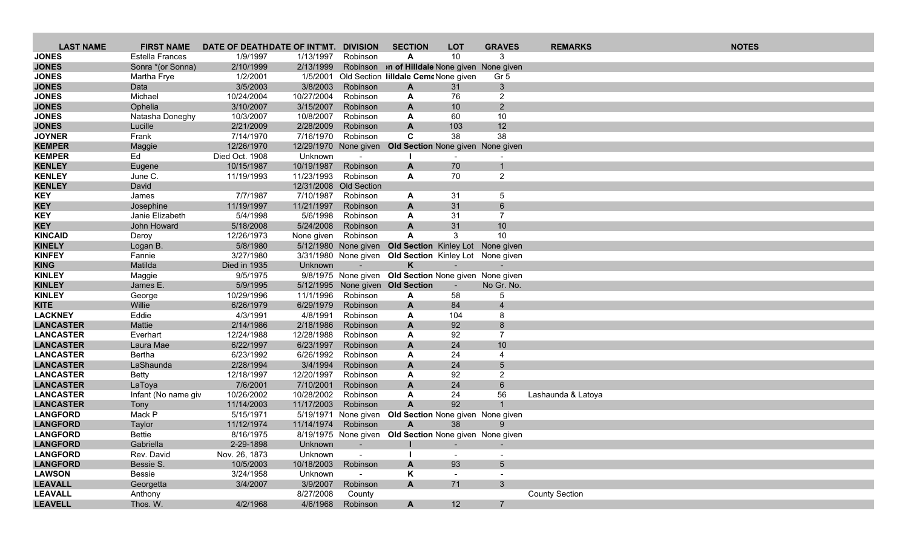| <b>LAST NAME</b>             | <b>FIRST NAME</b>      | DATE OF DEATHDATE OF INT'MT. DIVISION |            |                          | <b>SECTION</b>                                         | <b>LOT</b>     | <b>GRAVES</b>            | <b>REMARKS</b>        | <b>NOTES</b> |
|------------------------------|------------------------|---------------------------------------|------------|--------------------------|--------------------------------------------------------|----------------|--------------------------|-----------------------|--------------|
| <b>JONES</b>                 | <b>Estella Frances</b> | 1/9/1997                              | 1/13/1997  | Robinson                 | A                                                      | 10             | 3                        |                       |              |
| <b>JONES</b>                 | Sonra *(or Sonna)      | 2/10/1999                             | 2/13/1999  |                          | Robinson <b>of Hilldale</b> None given None given      |                |                          |                       |              |
| <b>JONES</b>                 | Martha Frye            | 1/2/2001                              |            |                          | 1/5/2001 Old Section Iilldale CemeNone given           |                | Gr <sub>5</sub>          |                       |              |
| <b>JONES</b>                 | Data                   | 3/5/2003                              | 3/8/2003   | Robinson                 | A                                                      | 31             | 3 <sup>5</sup>           |                       |              |
| <b>JONES</b>                 | Michael                | 10/24/2004                            | 10/27/2004 | Robinson                 | A                                                      | 76             | $\overline{2}$           |                       |              |
| <b>JONES</b>                 | Ophelia                | 3/10/2007                             | 3/15/2007  | Robinson                 | A                                                      | 10             | $\overline{2}$           |                       |              |
| <b>JONES</b>                 | Natasha Doneghy        | 10/3/2007                             | 10/8/2007  | Robinson                 | A                                                      | 60             | 10                       |                       |              |
| <b>JONES</b>                 | Lucille                | 2/21/2009                             | 2/28/2009  | Robinson                 | A                                                      | 103            | 12                       |                       |              |
| <b>JOYNER</b>                | Frank                  | 7/14/1970                             | 7/16/1970  | Robinson                 | C                                                      | 38             | 38                       |                       |              |
| <b>KEMPER</b>                | Maggie                 | 12/26/1970                            |            | 12/29/1970 None given    | Old Section None given None given                      |                |                          |                       |              |
| <b>KEMPER</b>                | Ed                     | Died Oct. 1908                        | Unknown    | $\sim$                   |                                                        | $\blacksquare$ |                          |                       |              |
| <b>KENLEY</b>                | Eugene                 | 10/15/1987                            | 10/19/1987 | Robinson                 | A                                                      | 70             |                          |                       |              |
| <b>KENLEY</b>                | June C.                | 11/19/1993                            | 11/23/1993 | Robinson                 | A                                                      | 70             | $\overline{2}$           |                       |              |
| <b>KENLEY</b>                | David                  |                                       |            | 12/31/2008 Old Section   |                                                        |                |                          |                       |              |
| <b>KEY</b>                   | James                  | 7/7/1987                              | 7/10/1987  | Robinson                 | A                                                      | 31             | 5                        |                       |              |
| <b>KEY</b>                   | Josephine              | 11/19/1997                            | 11/21/1997 | Robinson                 | A                                                      | 31             | 6                        |                       |              |
| <b>KEY</b>                   | Janie Elizabeth        | 5/4/1998                              | 5/6/1998   | Robinson                 | A                                                      | 31             | $\overline{7}$           |                       |              |
| <b>KEY</b>                   | John Howard            | 5/18/2008                             | 5/24/2008  | Robinson                 | $\mathbf{A}$                                           | 31             | 10                       |                       |              |
| <b>KINCAID</b>               | Deroy                  | 12/26/1973                            | None given | Robinson                 | A                                                      | 3              | 10                       |                       |              |
| <b>KINELY</b>                | Logan B.               | 5/8/1980                              |            | 5/12/1980 None given     | Old Section Kinley Lot None given                      |                |                          |                       |              |
| <b>KINFEY</b>                | Fannie                 | 3/27/1980                             |            |                          | 3/31/1980 None given Old Section Kinley Lot None given |                |                          |                       |              |
| <b>KING</b>                  | Matilda                | Died in 1935                          | Unknown    |                          | K                                                      | $\sim$         | $\sim$                   |                       |              |
| <b>KINLEY</b>                | Maggie                 | 9/5/1975                              |            |                          | 9/8/1975 None given Old Section None given None given  |                |                          |                       |              |
| <b>KINLEY</b>                | James E.               | 5/9/1995                              | 11/1/1996  | Robinson                 | 5/12/1995 None given Old Section                       | $\sim$         | No Gr. No.               |                       |              |
| <b>KINLEY</b><br><b>KITE</b> | George<br>Willie       | 10/29/1996<br>6/26/1979               | 6/29/1979  | Robinson                 | A<br>A                                                 | 58<br>84       | 5<br>$\overline{4}$      |                       |              |
| <b>LACKNEY</b>               | Eddie                  | 4/3/1991                              | 4/8/1991   | Robinson                 | A                                                      | 104            | 8                        |                       |              |
| <b>LANCASTER</b>             | Mattie                 | 2/14/1986                             | 2/18/1986  | Robinson                 | $\mathbf{A}$                                           | 92             | 8                        |                       |              |
| <b>LANCASTER</b>             | Everhart               | 12/24/1988                            | 12/28/1988 | Robinson                 | A                                                      | 92             | 7                        |                       |              |
| <b>LANCASTER</b>             | Laura Mae              | 6/22/1997                             | 6/23/1997  | Robinson                 | A                                                      | 24             | 10                       |                       |              |
| <b>LANCASTER</b>             | Bertha                 | 6/23/1992                             | 6/26/1992  | Robinson                 | A                                                      | 24             | 4                        |                       |              |
| <b>LANCASTER</b>             | LaShaunda              | 2/28/1994                             | 3/4/1994   | Robinson                 | A                                                      | 24             | $\sqrt{5}$               |                       |              |
| <b>LANCASTER</b>             | <b>Betty</b>           | 12/18/1997                            | 12/20/1997 | Robinson                 | A                                                      | 92             | $\overline{2}$           |                       |              |
| <b>LANCASTER</b>             | LaToya                 | 7/6/2001                              | 7/10/2001  | Robinson                 | $\mathbf{A}$                                           | 24             | 6                        |                       |              |
| <b>LANCASTER</b>             | Infant (No name giv    | 10/26/2002                            | 10/28/2002 | Robinson                 | A                                                      | 24             | 56                       | Lashaunda & Latoya    |              |
| <b>LANCASTER</b>             | Tony                   | 11/14/2003                            | 11/17/2003 | Robinson                 | $\overline{A}$                                         | 92             |                          |                       |              |
| <b>LANGFORD</b>              | Mack P                 | 5/15/1971                             |            | 5/19/1971 None given     | Old Section None given None given                      |                |                          |                       |              |
| <b>LANGFORD</b>              | Taylor                 | 11/12/1974                            | 11/14/1974 | Robinson                 | A                                                      | 38             | 9                        |                       |              |
| <b>LANGFORD</b>              | <b>Bettie</b>          | 8/16/1975                             |            |                          | 8/19/1975 None given Old Section None given None given |                |                          |                       |              |
| <b>LANGFORD</b>              | Gabriella              | 2-29-1898                             | Unknown    | $\overline{\phantom{a}}$ |                                                        | -              | $\overline{\phantom{a}}$ |                       |              |
| <b>LANGFORD</b>              | Rev. David             | Nov. 26, 1873                         | Unknown    | $\overline{\phantom{a}}$ |                                                        | $\sim$         |                          |                       |              |
| <b>LANGFORD</b>              | Bessie S.              | 10/5/2003                             | 10/18/2003 | Robinson                 | A                                                      | 93             | $5\overline{)}$          |                       |              |
| <b>LAWSON</b>                | Bessie                 | 3/24/1958                             | Unknown    | $\sim$                   | Κ                                                      | $\sim$         | $\sim$                   |                       |              |
| <b>LEAVALL</b>               | Georgetta              | 3/4/2007                              | 3/9/2007   | Robinson                 | A                                                      | 71             | 3 <sup>2</sup>           |                       |              |
| <b>LEAVALL</b>               | Anthony                |                                       | 8/27/2008  | County                   |                                                        |                |                          | <b>County Section</b> |              |
| <b>LEAVELL</b>               | Thos. W.               | 4/2/1968                              | 4/6/1968   | Robinson                 | A                                                      | 12             | $\overline{7}$           |                       |              |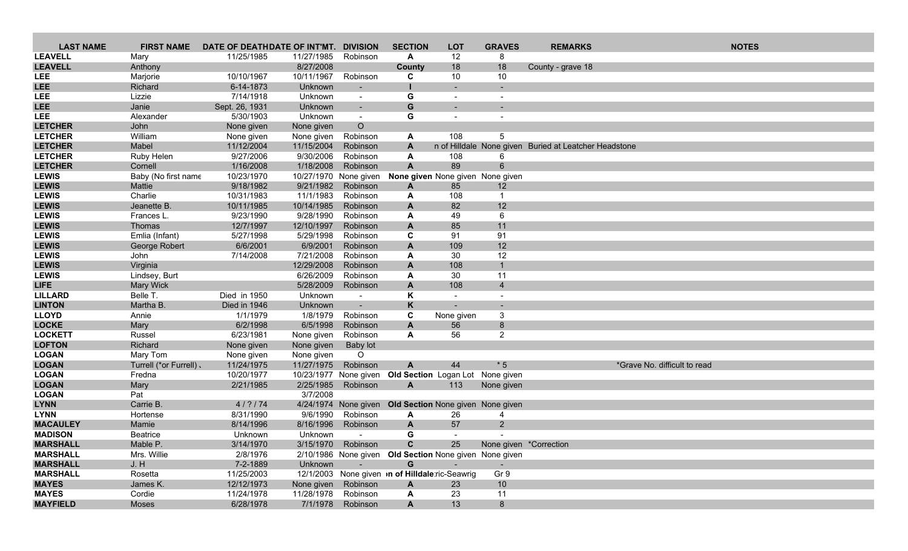| <b>LAST NAME</b>             | <b>FIRST NAME</b>                | DATE OF DEATHDATE OF INT'MT. |                                    | <b>DIVISION</b>                   | <b>SECTION</b>                                         | <b>LOT</b>                             | <b>GRAVES</b>          | <b>REMARKS</b>                                        | <b>NOTES</b>                 |
|------------------------------|----------------------------------|------------------------------|------------------------------------|-----------------------------------|--------------------------------------------------------|----------------------------------------|------------------------|-------------------------------------------------------|------------------------------|
| <b>LEAVELL</b>               | Mary                             | 11/25/1985                   | 11/27/1985                         | Robinson                          | A                                                      | 12                                     | 8                      |                                                       |                              |
| <b>LEAVELL</b>               | Anthony                          |                              | 8/27/2008                          |                                   | County                                                 | 18                                     | 18                     | County - grave 18                                     |                              |
| <b>LEE</b>                   | Marjorie                         | 10/10/1967                   | 10/11/1967                         | Robinson                          | C                                                      | 10                                     | 10                     |                                                       |                              |
| <b>LEE</b>                   | Richard                          | 6-14-1873                    | Unknown                            | $\overline{\phantom{a}}$          |                                                        |                                        |                        |                                                       |                              |
| <b>LEE</b>                   | Lizzie                           | 7/14/1918                    | Unknown                            | $\blacksquare$                    | G                                                      |                                        |                        |                                                       |                              |
| <b>LEE</b>                   | Janie                            | Sept. 26, 1931               | Unknown                            | $\sim$                            | G                                                      |                                        |                        |                                                       |                              |
| <b>LEE</b>                   | Alexander                        | 5/30/1903                    | Unknown                            | $\sim$                            | G                                                      |                                        |                        |                                                       |                              |
| <b>LETCHER</b>               | John                             | None given                   | None given                         | $\circ$                           |                                                        |                                        |                        |                                                       |                              |
| <b>LETCHER</b>               | William                          | None given                   | None given                         | Robinson                          | A                                                      | 108                                    | 5                      |                                                       |                              |
| <b>LETCHER</b>               | Mabel                            | 11/12/2004                   | 11/15/2004                         | Robinson                          | $\mathbf{A}$                                           |                                        |                        | n of Hilldale None given Buried at Leatcher Headstone |                              |
| <b>LETCHER</b>               | Ruby Helen                       | 9/27/2006                    | 9/30/2006                          | Robinson                          | A                                                      | 108                                    | 6                      |                                                       |                              |
| <b>LETCHER</b>               | Cornell                          | 1/16/2008                    | 1/18/2008                          | Robinson                          | $\mathbf{A}$                                           | 89                                     | 6                      |                                                       |                              |
| <b>LEWIS</b><br><b>LEWIS</b> | Baby (No first name<br>Mattie    | 10/23/1970<br>9/18/1982      | 10/27/1970 None given<br>9/21/1982 | Robinson                          |                                                        | None given None given None given       |                        |                                                       |                              |
| <b>LEWIS</b>                 | Charlie                          | 10/31/1983                   | 11/1/1983                          | Robinson                          | A<br>A                                                 | 85<br>108                              | 12<br>$\mathbf{1}$     |                                                       |                              |
| <b>LEWIS</b>                 | Jeanette B.                      | 10/11/1985                   | 10/14/1985                         | Robinson                          | $\mathsf{A}$                                           | 82                                     | 12                     |                                                       |                              |
| <b>LEWIS</b>                 | Frances L.                       | 9/23/1990                    | 9/28/1990                          | Robinson                          | A                                                      | 49                                     | 6                      |                                                       |                              |
| <b>LEWIS</b>                 | Thomas                           | 12/7/1997                    | 12/10/1997                         | Robinson                          | $\mathbf{A}$                                           | 85                                     | 11                     |                                                       |                              |
| <b>LEWIS</b>                 | Emlia (Infant)                   | 5/27/1998                    | 5/29/1998                          | Robinson                          | C                                                      | 91                                     | 91                     |                                                       |                              |
| <b>LEWIS</b>                 | George Robert                    | 6/6/2001                     | 6/9/2001                           | Robinson                          | A                                                      | 109                                    | 12                     |                                                       |                              |
| <b>LEWIS</b>                 | John                             | 7/14/2008                    | 7/21/2008                          | Robinson                          | A                                                      | 30                                     | 12                     |                                                       |                              |
| <b>LEWIS</b>                 | Virginia                         |                              | 12/29/2008                         | Robinson                          | $\mathsf{A}$                                           | 108                                    | $\mathbf{1}$           |                                                       |                              |
| <b>LEWIS</b>                 | Lindsey, Burt                    |                              | 6/26/2009                          | Robinson                          | A                                                      | 30                                     | 11                     |                                                       |                              |
| <b>LIFE</b>                  | <b>Mary Wick</b>                 |                              | 5/28/2009                          | Robinson                          | A                                                      | 108                                    | $\overline{4}$         |                                                       |                              |
| <b>LILLARD</b>               | Belle T.                         | Died in 1950                 | Unknown                            | $\sim$                            | K                                                      | $\sim$                                 |                        |                                                       |                              |
| <b>LINTON</b>                | Martha B.                        | Died in 1946                 | Unknown                            | $\sim$                            | K                                                      | $\sim$                                 | $\sim$                 |                                                       |                              |
| <b>LLOYD</b>                 | Annie                            | 1/1/1979                     | 1/8/1979                           | Robinson                          | $\mathbf C$                                            | None given                             | 3                      |                                                       |                              |
| <b>LOCKE</b>                 | Mary                             | 6/2/1998                     | 6/5/1998                           | Robinson                          | A                                                      | 56                                     | 8                      |                                                       |                              |
| <b>LOCKETT</b>               | Russel                           | 6/23/1981                    | None given                         | Robinson                          | A                                                      | 56                                     | $\overline{2}$         |                                                       |                              |
| <b>LOFTON</b>                | Richard                          | None given                   | None given                         | <b>Baby lot</b>                   |                                                        |                                        |                        |                                                       |                              |
| <b>LOGAN</b>                 | Mary Tom                         | None given                   | None given                         | $\circ$                           |                                                        |                                        |                        |                                                       |                              |
| <b>LOGAN</b><br><b>LOGAN</b> | Turrell (*or Furrell).<br>Fredna | 11/24/1975<br>10/20/1977     | 11/27/1975                         | Robinson<br>10/23/1977 None given | A                                                      | 44<br>Old Section Logan Lot None given | $*5$                   |                                                       | *Grave No. difficult to read |
| <b>LOGAN</b>                 | Mary                             | 2/21/1985                    | 2/25/1985                          | Robinson                          | A                                                      | 113                                    | None given             |                                                       |                              |
| <b>LOGAN</b>                 | Pat                              |                              | 3/7/2008                           |                                   |                                                        |                                        |                        |                                                       |                              |
| <b>LYNN</b>                  | Carrie B.                        | 4/? / 74                     |                                    | 4/24/1974 None given              |                                                        | Old Section None given None given      |                        |                                                       |                              |
| <b>LYNN</b>                  | Hortense                         | 8/31/1990                    | 9/6/1990                           | Robinson                          | A                                                      | 26                                     | 4                      |                                                       |                              |
| <b>MACAULEY</b>              | Mamie                            | 8/14/1996                    | 8/16/1996                          | Robinson                          | A                                                      | 57                                     | $\overline{2}$         |                                                       |                              |
| <b>MADISON</b>               | <b>Beatrice</b>                  | Unknown                      | Unknown                            | $\overline{\phantom{a}}$          | G                                                      |                                        |                        |                                                       |                              |
| <b>MARSHALL</b>              | Mable P.                         | 3/14/1970                    |                                    | 3/15/1970 Robinson                | C                                                      | 25                                     | None given *Correction |                                                       |                              |
| <b>MARSHALL</b>              | Mrs. Willie                      | 2/8/1976                     |                                    |                                   | 2/10/1986 None given Old Section None given None given |                                        |                        |                                                       |                              |
| <b>MARSHALL</b>              | J. H                             | 7-2-1889                     | Unknown                            | $\sim$                            | G                                                      |                                        |                        |                                                       |                              |
| <b>MARSHALL</b>              | Rosetta                          | 11/25/2003                   |                                    |                                   | 12/1/2003 None given <b>n of Hilldale</b> ric-Seawrig  |                                        | Gr 9                   |                                                       |                              |
| <b>MAYES</b>                 | James K.                         | 12/12/1973                   | None given                         | Robinson                          | A                                                      | 23                                     | 10                     |                                                       |                              |
| <b>MAYES</b>                 | Cordie                           | 11/24/1978                   | 11/28/1978                         | Robinson                          | A                                                      | 23                                     | 11                     |                                                       |                              |
| <b>MAYFIELD</b>              | Moses                            | 6/28/1978                    |                                    | 7/1/1978 Robinson                 | $\mathsf{A}$                                           | 13                                     | 8                      |                                                       |                              |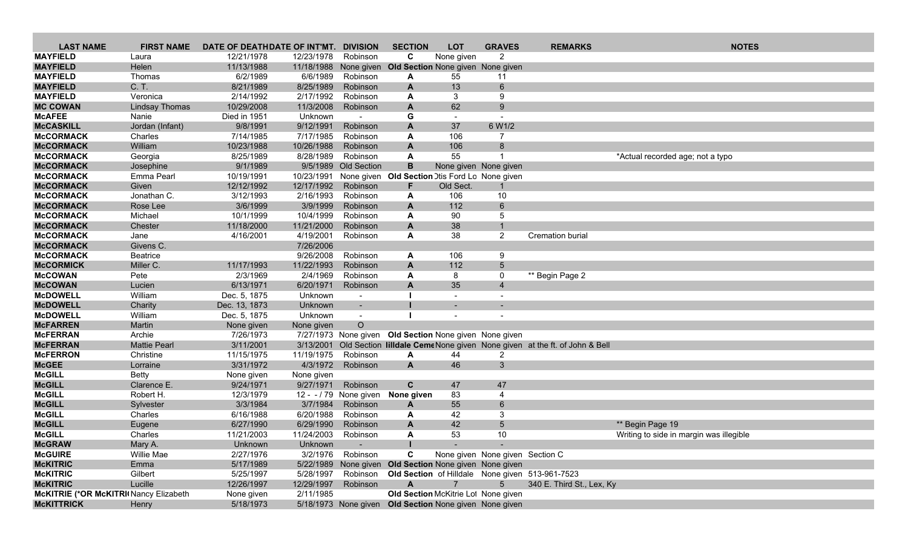| <b>LAST NAME</b>                      | <b>FIRST NAME</b>   | DATE OF DEATHDATE OF INT'MT. |            | <b>DIVISION</b>        | <b>SECTION</b>                                         | <b>LOT</b>               | <b>GRAVES</b>                   | <b>REMARKS</b>                                                           | <b>NOTES</b>                            |
|---------------------------------------|---------------------|------------------------------|------------|------------------------|--------------------------------------------------------|--------------------------|---------------------------------|--------------------------------------------------------------------------|-----------------------------------------|
| <b>MAYFIELD</b>                       | Laura               | 12/21/1978                   | 12/23/1978 | Robinson               | C                                                      | None given               | $\overline{2}$                  |                                                                          |                                         |
| <b>MAYFIELD</b>                       | Helen               | 11/13/1988                   | 11/18/1988 | None given             | Old Section None given None given                      |                          |                                 |                                                                          |                                         |
| <b>MAYFIELD</b>                       | Thomas              | 6/2/1989                     | 6/6/1989   | Robinson               | A                                                      | 55                       | 11                              |                                                                          |                                         |
| <b>MAYFIELD</b>                       | C. T.               | 8/21/1989                    | 8/25/1989  | Robinson               | A                                                      | 13                       | 6                               |                                                                          |                                         |
| <b>MAYFIELD</b>                       | Veronica            | 2/14/1992                    | 2/17/1992  | Robinson               | A                                                      | 3                        | 9                               |                                                                          |                                         |
| <b>MC COWAN</b>                       | Lindsay Thomas      | 10/29/2008                   | 11/3/2008  | Robinson               | A                                                      | 62                       | 9                               |                                                                          |                                         |
| <b>McAFEE</b>                         | Nanie               | Died in 1951                 | Unknown    |                        | G                                                      |                          |                                 |                                                                          |                                         |
| <b>McCASKILL</b>                      | Jordan (Infant)     | 9/8/1991                     | 9/12/1991  | Robinson               | A                                                      | 37                       | 6 W1/2                          |                                                                          |                                         |
| <b>McCORMACK</b>                      | Charles             | 7/14/1985                    | 7/17/1985  | Robinson               | A                                                      | 106                      | 7                               |                                                                          |                                         |
| <b>McCORMACK</b>                      | William             | 10/23/1988                   | 10/26/1988 | Robinson               | A                                                      | 106                      | 8                               |                                                                          |                                         |
| <b>McCORMACK</b>                      | Georgia             | 8/25/1989                    | 8/28/1989  | Robinson               | A                                                      | 55                       |                                 |                                                                          | *Actual recorded age; not a typo        |
| <b>McCORMACK</b>                      | Josephine           | 9/1/1989                     | 9/5/1989   | Old Section            | B                                                      |                          | None given None given           |                                                                          |                                         |
| <b>McCORMACK</b>                      | Emma Pearl          | 10/19/1991                   | 10/23/1991 |                        | None given Old Section Dtis Ford Lo None given         |                          |                                 |                                                                          |                                         |
| <b>McCORMACK</b>                      | Given               | 12/12/1992                   | 12/17/1992 | Robinson               | F.                                                     | Old Sect.                |                                 |                                                                          |                                         |
| <b>McCORMACK</b>                      | Jonathan C.         | 3/12/1993                    | 2/16/1993  | Robinson               | A                                                      | 106                      | 10                              |                                                                          |                                         |
| <b>McCORMACK</b>                      | Rose Lee            | 3/6/1999                     | 3/9/1999   | Robinson               | A                                                      | 112                      | $6\phantom{a}$                  |                                                                          |                                         |
| <b>McCORMACK</b>                      | Michael             | 10/1/1999                    | 10/4/1999  | Robinson               | A                                                      | 90                       | 5                               |                                                                          |                                         |
| <b>McCORMACK</b>                      | Chester             | 11/18/2000                   | 11/21/2000 | Robinson               | A                                                      | 38                       | $\mathbf{1}$                    |                                                                          |                                         |
| <b>McCORMACK</b>                      | Jane                | 4/16/2001                    | 4/19/2001  | Robinson               | A                                                      | 38                       | $\overline{2}$                  | <b>Cremation burial</b>                                                  |                                         |
| <b>McCORMACK</b>                      | Givens C.           |                              | 7/26/2006  |                        |                                                        |                          |                                 |                                                                          |                                         |
| <b>McCORMACK</b>                      | <b>Beatrice</b>     |                              | 9/26/2008  | Robinson               | A                                                      | 106                      | 9                               |                                                                          |                                         |
| <b>McCORMICK</b>                      | Miller C.           | 11/17/1993                   | 11/22/1993 | Robinson               | A                                                      | 112                      | 5 <sup>5</sup>                  |                                                                          |                                         |
| <b>McCOWAN</b>                        | Pete                | 2/3/1969                     | 2/4/1969   | Robinson               | A                                                      | 8                        | 0                               | ** Begin Page 2                                                          |                                         |
| <b>McCOWAN</b>                        | Lucien              | 6/13/1971                    | 6/20/1971  | Robinson               | A                                                      | 35                       | $\overline{4}$                  |                                                                          |                                         |
| <b>McDOWELL</b>                       | William             | Dec. 5, 1875                 | Unknown    | $\blacksquare$         |                                                        |                          |                                 |                                                                          |                                         |
| <b>McDOWELL</b>                       | Charity             | Dec. 13, 1873                | Unknown    | $\sim$                 |                                                        |                          |                                 |                                                                          |                                         |
| <b>McDOWELL</b>                       | William             | Dec. 5, 1875                 | Unknown    | $\sim$                 |                                                        | $\overline{\phantom{a}}$ |                                 |                                                                          |                                         |
| <b>McFARREN</b>                       | Martin              | None given                   | None given | $\circ$                |                                                        |                          |                                 |                                                                          |                                         |
| <b>McFERRAN</b>                       | Archie              | 7/26/1973                    |            | 7/27/1973 None given   | <b>Old Section None given None given</b>               |                          |                                 |                                                                          |                                         |
| <b>McFERRAN</b>                       | <b>Mattie Pearl</b> | 3/11/2001                    | 3/13/2001  |                        |                                                        |                          |                                 | Old Section Iilldale CemeNone given None given at the ft. of John & Bell |                                         |
| <b>McFERRON</b>                       | Christine           | 11/15/1975                   | 11/19/1975 | Robinson               | A                                                      | 44                       | 2                               |                                                                          |                                         |
| <b>McGEE</b>                          | Lorraine            | 3/31/1972                    | 4/3/1972   | Robinson               | $\mathbf{A}$                                           | 46                       | 3                               |                                                                          |                                         |
| <b>McGILL</b>                         | <b>Betty</b>        | None given                   | None given |                        |                                                        |                          |                                 |                                                                          |                                         |
| <b>McGILL</b>                         | Clarence E.         | 9/24/1971                    | 9/27/1971  | Robinson               | $\mathbf{C}$                                           | 47                       | 47                              |                                                                          |                                         |
| <b>McGILL</b>                         | Robert H.           | 12/3/1979                    |            | 12 - - / 79 None given | None given                                             | 83                       | $\overline{4}$                  |                                                                          |                                         |
| <b>McGILL</b>                         | Sylvester           | 3/3/1984                     | 3/7/1984   | Robinson               | $\mathbf{A}$                                           | 55                       | 6                               |                                                                          |                                         |
| <b>McGILL</b>                         | Charles             | 6/16/1988                    | 6/20/1988  | Robinson               | A                                                      | 42                       | 3                               |                                                                          |                                         |
| <b>McGILL</b>                         | Eugene              | 6/27/1990                    | 6/29/1990  | Robinson               | $\mathbf{A}$                                           | 42                       | $5\overline{)}$                 |                                                                          | ** Begin Page 19                        |
| <b>McGILL</b>                         | Charles             | 11/21/2003                   | 11/24/2003 | Robinson               | A                                                      | 53                       | 10                              |                                                                          | Writing to side in margin was illegible |
| <b>McGRAW</b>                         | Mary A.             | Unknown                      | Unknown    | $\sim$                 |                                                        |                          |                                 |                                                                          |                                         |
| <b>McGUIRE</b>                        | Willie Mae          | 2/27/1976                    |            | 3/2/1976 Robinson      | C                                                      |                          | None given None given Section C |                                                                          |                                         |
| <b>McKITRIC</b>                       | Emma                | 5/17/1989                    |            |                        | 5/22/1989 None given Old Section None given None given |                          |                                 |                                                                          |                                         |
| <b>McKITRIC</b>                       | Gilbert             | 5/25/1997                    | 5/28/1997  |                        |                                                        |                          |                                 | Robinson Old Section of Hilldale None given 513-961-7523                 |                                         |
| <b>McKITRIC</b>                       | Lucille             | 12/26/1997                   | 12/29/1997 | Robinson               | $\mathsf{A}$                                           | $\overline{7}$           | $5^{\circ}$                     | 340 E. Third St., Lex, Ky                                                |                                         |
| McKITRIE (*OR McKITRI Nancy Elizabeth |                     | None given                   | 2/11/1985  |                        | Old Section McKitrie Lot None given                    |                          |                                 |                                                                          |                                         |
| <b>MCKITTRICK</b>                     | Henry               | 5/18/1973                    |            |                        | 5/18/1973 None given Old Section None given None given |                          |                                 |                                                                          |                                         |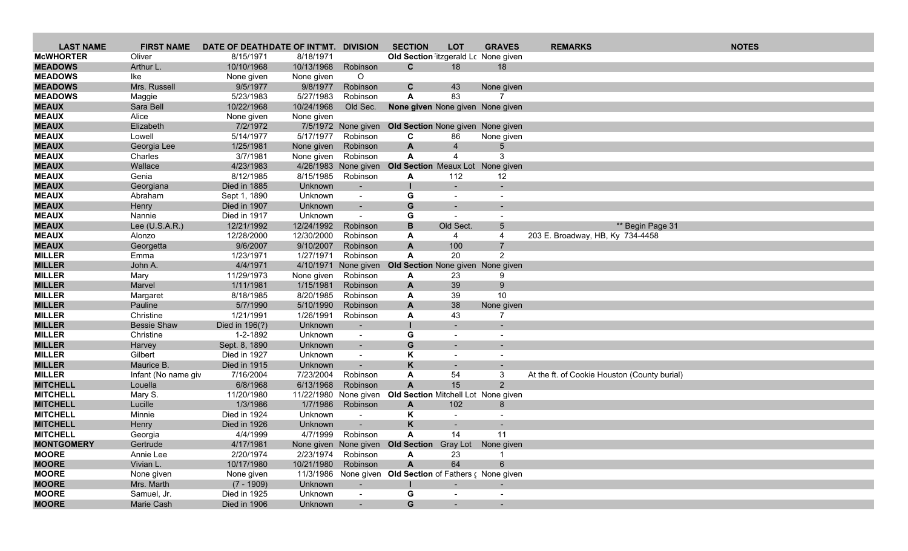| <b>LAST NAME</b>               | <b>FIRST NAME</b>    | DATE OF DEATHDATE OF INT'MT. |                        | <b>DIVISION</b>          | <b>SECTION</b>                                           | <b>LOT</b>               | <b>GRAVES</b>            | <b>REMARKS</b>                               |                  | <b>NOTES</b> |  |
|--------------------------------|----------------------|------------------------------|------------------------|--------------------------|----------------------------------------------------------|--------------------------|--------------------------|----------------------------------------------|------------------|--------------|--|
| <b>McWHORTER</b>               | Oliver               | 8/15/1971                    | 8/18/1971              |                          | Old Section itzgerald Lc None given                      |                          |                          |                                              |                  |              |  |
| <b>MEADOWS</b>                 | Arthur L.            | 10/10/1968                   | 10/13/1968             | Robinson                 | C.                                                       | 18                       | 18                       |                                              |                  |              |  |
| <b>MEADOWS</b>                 | lke                  | None given                   | None given             | $\circ$                  |                                                          |                          |                          |                                              |                  |              |  |
| <b>MEADOWS</b>                 | Mrs. Russell         | 9/5/1977                     | 9/8/1977               | Robinson                 | C                                                        | 43                       | None given               |                                              |                  |              |  |
| <b>MEADOWS</b>                 | Maggie               | 5/23/1983                    | 5/27/1983              | Robinson                 | A                                                        | 83                       | $\overline{7}$           |                                              |                  |              |  |
| <b>MEAUX</b>                   | Sara Bell            | 10/22/1968                   | 10/24/1968             | Old Sec.                 | <b>None given</b> None given None given                  |                          |                          |                                              |                  |              |  |
| <b>MEAUX</b>                   | Alice                | None given                   | None given             |                          |                                                          |                          |                          |                                              |                  |              |  |
| <b>MEAUX</b>                   | Elizabeth            | 7/2/1972                     |                        | 7/5/1972 None given      | Old Section None given None given                        |                          |                          |                                              |                  |              |  |
| <b>MEAUX</b>                   | Lowell               | 5/14/1977                    | 5/17/1977              | Robinson                 | C                                                        | 86                       | None given               |                                              |                  |              |  |
| <b>MEAUX</b>                   | Georgia Lee          | 1/25/1981                    | None given             | Robinson                 | $\mathbf{A}$                                             | $\overline{4}$           | 5                        |                                              |                  |              |  |
| <b>MEAUX</b>                   | Charles              | 3/7/1981                     | None given             | Robinson                 | A                                                        | 4                        | 3                        |                                              |                  |              |  |
| <b>MEAUX</b>                   | Wallace              | 4/23/1983                    |                        | 4/26/1983 None given     | <b>Old Section</b> Meaux Lot None given                  |                          |                          |                                              |                  |              |  |
| <b>MEAUX</b>                   | Genia                | 8/12/1985                    | 8/15/1985              | Robinson                 | A                                                        | 112                      | 12                       |                                              |                  |              |  |
| <b>MEAUX</b>                   | Georgiana            | Died in 1885                 | Unknown                | $\overline{\phantom{a}}$ |                                                          |                          |                          |                                              |                  |              |  |
| <b>MEAUX</b>                   | Abraham              | Sept 1, 1890                 | Unknown                | $\sim$                   | G                                                        | $\overline{\phantom{a}}$ | $\overline{\phantom{a}}$ |                                              |                  |              |  |
| <b>MEAUX</b>                   | Henry                | Died in 1907                 | Unknown                | $\blacksquare$           | G                                                        |                          |                          |                                              |                  |              |  |
| <b>MEAUX</b>                   | Nannie               | Died in 1917                 | Unknown                | $\blacksquare$           | G                                                        |                          |                          |                                              |                  |              |  |
| <b>MEAUX</b>                   | Lee (U.S.A.R.)       | 12/21/1992                   | 12/24/1992             | Robinson                 | B                                                        | Old Sect.                | $5^{\circ}$              |                                              | ** Begin Page 31 |              |  |
| <b>MEAUX</b>                   | Alonzo               | 12/28/2000                   | 12/30/2000             | Robinson                 | A                                                        | 4                        | 4                        | 203 E. Broadway, HB, Ky 734-4458             |                  |              |  |
| <b>MEAUX</b>                   | Georgetta            | 9/6/2007                     | 9/10/2007              | Robinson                 | $\overline{A}$                                           | 100                      | $\overline{7}$           |                                              |                  |              |  |
| <b>MILLER</b>                  | Emma                 | 1/23/1971                    | 1/27/1971              | Robinson                 | A                                                        | 20                       | $\overline{2}$           |                                              |                  |              |  |
| <b>MILLER</b>                  | John A.              | 4/4/1971                     | 4/10/1971              | None given               | Old Section None given None given                        |                          |                          |                                              |                  |              |  |
| <b>MILLER</b>                  | Mary                 | 11/29/1973                   | None given             | Robinson                 | A                                                        | 23                       | 9                        |                                              |                  |              |  |
| <b>MILLER</b>                  | Marvel               | 1/11/1981                    | 1/15/1981              | Robinson                 | A                                                        | 39                       | 9                        |                                              |                  |              |  |
| <b>MILLER</b><br><b>MILLER</b> | Margaret             | 8/18/1985                    | 8/20/1985<br>5/10/1990 | Robinson                 | A                                                        | 39                       | 10                       |                                              |                  |              |  |
| <b>MILLER</b>                  | Pauline<br>Christine | 5/7/1990<br>1/21/1991        | 1/26/1991              | Robinson<br>Robinson     | A                                                        | 38<br>43                 | None given<br>7          |                                              |                  |              |  |
| <b>MILLER</b>                  | <b>Bessie Shaw</b>   | Died in 196(?)               | Unknown                |                          | A                                                        |                          | -                        |                                              |                  |              |  |
| <b>MILLER</b>                  | Christine            | 1-2-1892                     | Unknown                | $\overline{\phantom{a}}$ | G                                                        |                          |                          |                                              |                  |              |  |
| <b>MILLER</b>                  | Harvey               | Sept. 8, 1890                | Unknown                | $\sim$                   | G                                                        |                          |                          |                                              |                  |              |  |
| <b>MILLER</b>                  | Gilbert              | Died in 1927                 | Unknown                | $\sim$                   | K                                                        | $\blacksquare$           |                          |                                              |                  |              |  |
| <b>MILLER</b>                  | Maurice B.           | Died in 1915                 | Unknown                | $\overline{\phantom{a}}$ | K                                                        | $\sim$                   | $\sim$                   |                                              |                  |              |  |
| <b>MILLER</b>                  | Infant (No name giv  | 7/16/2004                    | 7/23/2004              | Robinson                 | A                                                        | 54                       | 3                        | At the ft. of Cookie Houston (County burial) |                  |              |  |
| <b>MITCHELL</b>                | Louella              | 6/8/1968                     | 6/13/1968              | Robinson                 | $\overline{A}$                                           | 15                       | $\overline{2}$           |                                              |                  |              |  |
| <b>MITCHELL</b>                | Mary S.              | 11/20/1980                   |                        | 11/22/1980 None given    | Old Section Mitchell Lot None given                      |                          |                          |                                              |                  |              |  |
| <b>MITCHELL</b>                | Lucille              | 1/3/1986                     | 1/7/1986               | Robinson                 | $\mathsf{A}$                                             | 102                      | 8                        |                                              |                  |              |  |
| <b>MITCHELL</b>                | Minnie               | Died in 1924                 | Unknown                | $\overline{\phantom{a}}$ | Κ                                                        | $\overline{\phantom{a}}$ |                          |                                              |                  |              |  |
| <b>MITCHELL</b>                | Henry                | Died in 1926                 | Unknown                | $\overline{\phantom{a}}$ | K                                                        | $\sim$                   | $\overline{\phantom{a}}$ |                                              |                  |              |  |
| <b>MITCHELL</b>                | Georgia              | 4/4/1999                     | 4/7/1999               | Robinson                 | A                                                        | 14                       | 11                       |                                              |                  |              |  |
| <b>MONTGOMERY</b>              | Gertrude             | 4/17/1981                    |                        |                          | None given None given Old Section Gray Lot None given    |                          |                          |                                              |                  |              |  |
| <b>MOORE</b>                   | Annie Lee            | 2/20/1974                    |                        | 2/23/1974 Robinson       | A                                                        | 23                       |                          |                                              |                  |              |  |
| <b>MOORE</b>                   | Vivian L.            | 10/17/1980                   | 10/21/1980             | Robinson                 | $\mathsf{A}$                                             | 64                       | 6                        |                                              |                  |              |  |
| <b>MOORE</b>                   | None given           | None given                   |                        |                          | 11/3/1986 None given Old Section of Fathers c None given |                          |                          |                                              |                  |              |  |
| <b>MOORE</b>                   | Mrs. Marth           | $(7 - 1909)$                 | Unknown                | $\sim$                   |                                                          |                          |                          |                                              |                  |              |  |
| <b>MOORE</b>                   | Samuel, Jr.          | Died in 1925                 | Unknown                | $\blacksquare$           | G                                                        |                          | $\blacksquare$           |                                              |                  |              |  |
| <b>MOORE</b>                   | Marie Cash           | Died in 1906                 | Unknown                |                          | G                                                        |                          |                          |                                              |                  |              |  |
|                                |                      |                              |                        |                          |                                                          |                          |                          |                                              |                  |              |  |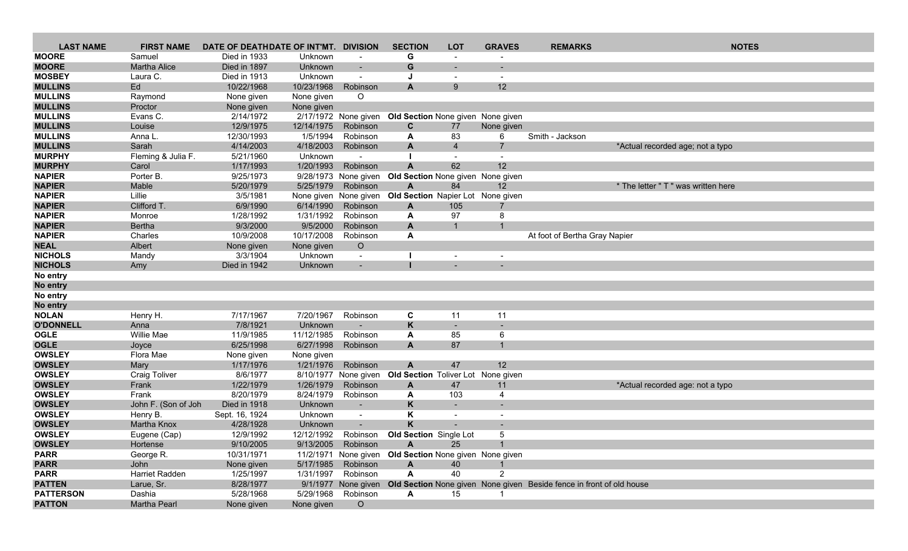| <b>LAST NAME</b>               | <b>FIRST NAME</b>     | DATE OF DEATHDATE OF INT'MT. |                        | <b>DIVISION</b>          | <b>SECTION</b>                                              | <b>LOT</b>     | <b>GRAVES</b>            | <b>REMARKS</b>                                                                           | <b>NOTES</b>                        |
|--------------------------------|-----------------------|------------------------------|------------------------|--------------------------|-------------------------------------------------------------|----------------|--------------------------|------------------------------------------------------------------------------------------|-------------------------------------|
| <b>MOORE</b>                   | Samuel                | Died in 1933                 | Unknown                |                          | G                                                           |                |                          |                                                                                          |                                     |
| <b>MOORE</b>                   | <b>Martha Alice</b>   | Died in 1897                 | Unknown                |                          | G                                                           |                |                          |                                                                                          |                                     |
| <b>MOSBEY</b>                  | Laura C.              | Died in 1913                 | Unknown                |                          |                                                             |                | $\overline{\phantom{a}}$ |                                                                                          |                                     |
| <b>MULLINS</b>                 | Ed                    | 10/22/1968                   | 10/23/1968             | Robinson                 | A                                                           | 9 <sup>°</sup> | 12 <sup>2</sup>          |                                                                                          |                                     |
| <b>MULLINS</b>                 | Raymond               | None given                   | None given             | $\circ$                  |                                                             |                |                          |                                                                                          |                                     |
| <b>MULLINS</b>                 | Proctor               | None given                   | None given             |                          |                                                             |                |                          |                                                                                          |                                     |
| <b>MULLINS</b>                 | Evans C.              | 2/14/1972                    |                        | 2/17/1972 None given     | Old Section None given None given                           |                |                          |                                                                                          |                                     |
| <b>MULLINS</b>                 | Louise                | 12/9/1975                    | 12/14/1975             | Robinson                 | C                                                           | 77             | None given               |                                                                                          |                                     |
| <b>MULLINS</b>                 | Anna L                | 12/30/1993                   | 1/5/1994               | Robinson                 | A                                                           | 83             | 6                        | Smith - Jackson                                                                          |                                     |
| <b>MULLINS</b>                 | Sarah                 | 4/14/2003                    | 4/18/2003              | Robinson                 | A                                                           | $\overline{4}$ | $\overline{7}$           |                                                                                          | *Actual recorded age; not a typo    |
| <b>MURPHY</b>                  | Fleming & Julia F.    | 5/21/1960                    | Unknown                |                          |                                                             |                | $\overline{\phantom{a}}$ |                                                                                          |                                     |
| <b>MURPHY</b>                  | Carol                 | 1/17/1993                    | 1/20/1993              | Robinson                 | A                                                           | 62             | 12                       |                                                                                          |                                     |
| <b>NAPIER</b>                  | Porter B.             | 9/25/1973                    | 9/28/1973              | None given               | Old Section None given None given                           |                |                          |                                                                                          |                                     |
| <b>NAPIER</b>                  | Mable                 | 5/20/1979                    | 5/25/1979              | Robinson                 | Α                                                           | 84             | 12                       |                                                                                          | * The letter " T " was written here |
| <b>NAPIER</b>                  | Lillie                | 3/5/1981                     |                        | None given None given    | Old Section Napier Lot None given                           |                |                          |                                                                                          |                                     |
| <b>NAPIER</b>                  | Clifford T.           | 6/9/1990                     | 6/14/1990              | Robinson                 | A                                                           | 105            | 7                        |                                                                                          |                                     |
| <b>NAPIER</b>                  | Monroe                | 1/28/1992                    | 1/31/1992              | Robinson                 | A                                                           | 97             | 8<br>$\mathbf{1}$        |                                                                                          |                                     |
| <b>NAPIER</b><br><b>NAPIER</b> | Bertha<br>Charles     | 9/3/2000<br>10/9/2008        | 9/5/2000<br>10/17/2008 | Robinson<br>Robinson     | A<br>A                                                      |                |                          |                                                                                          |                                     |
| <b>NEAL</b>                    | Albert                |                              |                        | $\circ$                  |                                                             |                |                          | At foot of Bertha Gray Napier                                                            |                                     |
| <b>NICHOLS</b>                 | Mandy                 | None given<br>3/3/1904       | None given<br>Unknown  | $\overline{\phantom{a}}$ |                                                             | $\sim$         | $\overline{\phantom{a}}$ |                                                                                          |                                     |
| <b>NICHOLS</b>                 | Amy                   | Died in 1942                 | Unknown                |                          |                                                             |                |                          |                                                                                          |                                     |
| No entry                       |                       |                              |                        |                          |                                                             |                |                          |                                                                                          |                                     |
| No entry                       |                       |                              |                        |                          |                                                             |                |                          |                                                                                          |                                     |
| No entry                       |                       |                              |                        |                          |                                                             |                |                          |                                                                                          |                                     |
| No entry                       |                       |                              |                        |                          |                                                             |                |                          |                                                                                          |                                     |
| <b>NOLAN</b>                   | Henry H.              | 7/17/1967                    | 7/20/1967              | Robinson                 | C                                                           | 11             | 11                       |                                                                                          |                                     |
| <b>O'DONNELL</b>               | Anna                  | 7/8/1921                     | Unknown                |                          | K                                                           |                | $\overline{\phantom{a}}$ |                                                                                          |                                     |
| <b>OGLE</b>                    | Willie Mae            | 11/9/1985                    | 11/12/1985             | Robinson                 | A                                                           | 85             | 6                        |                                                                                          |                                     |
| <b>OGLE</b>                    | Joyce                 | 6/25/1998                    | 6/27/1998              | Robinson                 | A                                                           | 87             |                          |                                                                                          |                                     |
| <b>OWSLEY</b>                  | Flora Mae             | None given                   | None given             |                          |                                                             |                |                          |                                                                                          |                                     |
| <b>OWSLEY</b>                  | Mary                  | 1/17/1976                    | 1/21/1976              | Robinson                 | A                                                           | 47             | 12                       |                                                                                          |                                     |
| <b>OWSLEY</b>                  | <b>Craig Toliver</b>  | 8/6/1977                     | 8/10/1977              | None given               | Old Section Toliver Lot None given                          |                |                          |                                                                                          |                                     |
| <b>OWSLEY</b>                  | Frank                 | 1/22/1979                    | 1/26/1979              | Robinson                 | A                                                           | 47             | 11                       |                                                                                          | *Actual recorded age: not a typo    |
| <b>OWSLEY</b>                  | Frank                 | 8/20/1979                    | 8/24/1979              | Robinson                 | A                                                           | 103            | 4                        |                                                                                          |                                     |
| <b>OWSLEY</b>                  | John F. (Son of Joh   | Died in 1918                 | Unknown                |                          | ĸ                                                           |                |                          |                                                                                          |                                     |
| <b>OWSLEY</b>                  | Henry B.              | Sept. 16, 1924               | Unknown                | $\overline{\phantom{a}}$ | Κ                                                           |                | $\overline{\phantom{a}}$ |                                                                                          |                                     |
| <b>OWSLEY</b><br><b>OWSLEY</b> | Martha Knox           | 4/28/1928                    | Unknown                |                          |                                                             |                | $\overline{\phantom{a}}$ |                                                                                          |                                     |
|                                | Eugene (Cap)          | 12/9/1992                    | 12/12/1992             | Robinson                 | <b>Old Section</b> Single Lot                               |                | 5                        |                                                                                          |                                     |
| <b>OWSLEY</b><br><b>PARR</b>   | Hortense<br>George R. | 9/10/2005<br>10/31/1971      |                        | 9/13/2005 Robinson       | A<br>11/2/1971 None given Old Section None given None given | 25             |                          |                                                                                          |                                     |
| <b>PARR</b>                    | John                  | None given                   | 5/17/1985              | Robinson                 | A                                                           | 40             |                          |                                                                                          |                                     |
| <b>PARR</b>                    | Harriet Radden        | 1/25/1997                    | 1/31/1997              | Robinson                 | A                                                           | 40             | $\overline{2}$           |                                                                                          |                                     |
| <b>PATTEN</b>                  | Larue, Sr.            | 8/28/1977                    |                        |                          |                                                             |                |                          | 9/1/1977 None given Old Section None given None given Beside fence in front of old house |                                     |
| <b>PATTERSON</b>               | Dashia                | 5/28/1968                    | 5/29/1968              | Robinson                 | $\mathsf{A}$                                                | 15             |                          |                                                                                          |                                     |
| <b>PATTON</b>                  | Martha Pearl          | None given                   | None given             | $\circ$                  |                                                             |                |                          |                                                                                          |                                     |
|                                |                       |                              |                        |                          |                                                             |                |                          |                                                                                          |                                     |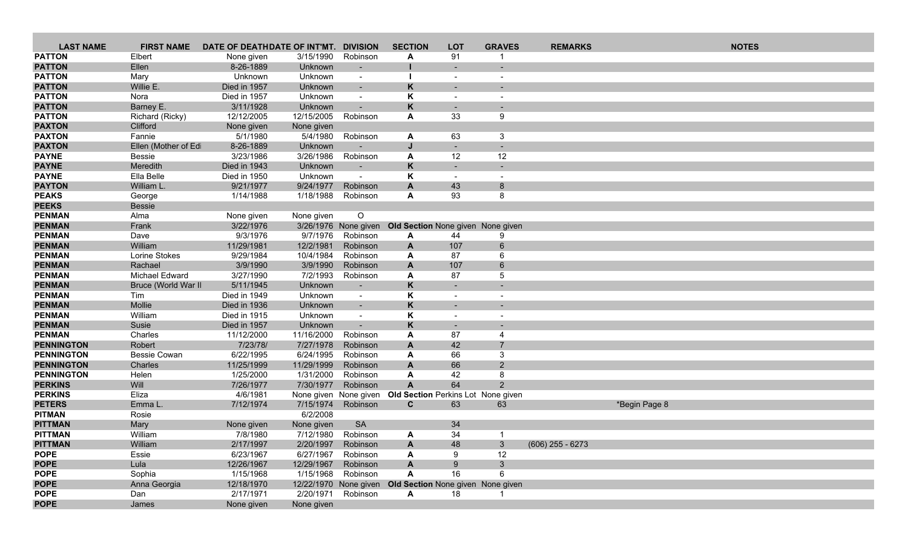| <b>LAST NAME</b>                       | <b>FIRST NAME</b>              | DATE OF DEATHDATE OF INT'MT. |                         | <b>DIVISION</b>          | <b>SECTION</b>                                          | <b>LOT</b>                     | <b>GRAVES</b>                 | <b>REMARKS</b>     |               | <b>NOTES</b> |
|----------------------------------------|--------------------------------|------------------------------|-------------------------|--------------------------|---------------------------------------------------------|--------------------------------|-------------------------------|--------------------|---------------|--------------|
| <b>PATTON</b>                          | Elbert                         | None given                   | 3/15/1990               | Robinson                 | A                                                       | 91                             |                               |                    |               |              |
| <b>PATTON</b>                          | Ellen                          | 8-26-1889                    | Unknown                 | $\overline{\phantom{a}}$ |                                                         |                                |                               |                    |               |              |
| <b>PATTON</b>                          | Mary                           | Unknown                      | Unknown                 | $\overline{\phantom{a}}$ |                                                         | $\overline{\phantom{a}}$       |                               |                    |               |              |
| <b>PATTON</b>                          | Willie E.                      | Died in 1957                 | Unknown                 | $\blacksquare$           | K                                                       |                                |                               |                    |               |              |
| <b>PATTON</b>                          | Nora                           | Died in 1957                 | Unknown                 | $\overline{\phantom{a}}$ | Κ                                                       | $\overline{\phantom{a}}$       |                               |                    |               |              |
| <b>PATTON</b>                          | Barney E.                      | 3/11/1928                    | Unknown                 | $\blacksquare$           | K                                                       | $\overline{\phantom{a}}$       |                               |                    |               |              |
| <b>PATTON</b>                          | Richard (Ricky)                | 12/12/2005                   | 12/15/2005              | Robinson                 | A                                                       | 33                             | 9                             |                    |               |              |
| <b>PAXTON</b>                          | Clifford                       | None given                   | None given              |                          |                                                         |                                |                               |                    |               |              |
| <b>PAXTON</b>                          | Fannie                         | 5/1/1980                     | 5/4/1980                | Robinson                 | A                                                       | 63                             | 3                             |                    |               |              |
| <b>PAXTON</b>                          | Ellen (Mother of Ed            | 8-26-1889                    | Unknown                 |                          | IJ                                                      | $\overline{\phantom{a}}$       |                               |                    |               |              |
| <b>PAYNE</b>                           | <b>Bessie</b>                  | 3/23/1986                    | 3/26/1986               | Robinson                 | A                                                       | 12                             | 12                            |                    |               |              |
| <b>PAYNE</b>                           | Meredith<br>Ella Belle         | Died in 1943                 | Unknown                 | $\overline{\phantom{a}}$ | K                                                       | $\overline{\phantom{a}}$       |                               |                    |               |              |
| <b>PAYNE</b><br><b>PAYTON</b>          | William L.                     | Died in 1950<br>9/21/1977    | Unknown<br>9/24/1977    | $\sim$<br>Robinson       | K<br>A                                                  | $\overline{\phantom{a}}$<br>43 | $\overline{\phantom{a}}$<br>8 |                    |               |              |
| <b>PEAKS</b>                           | George                         | 1/14/1988                    | 1/18/1988               | Robinson                 | A                                                       | 93                             | 8                             |                    |               |              |
| <b>PEEKS</b>                           | <b>Bessie</b>                  |                              |                         |                          |                                                         |                                |                               |                    |               |              |
| <b>PENMAN</b>                          | Alma                           | None given                   | None given              | $\circ$                  |                                                         |                                |                               |                    |               |              |
| <b>PENMAN</b>                          | Frank                          | 3/22/1976                    |                         | 3/26/1976 None given     | <b>Old Section None given None given</b>                |                                |                               |                    |               |              |
| <b>PENMAN</b>                          | Dave                           | 9/3/1976                     | 9/7/1976                | Robinson                 | A                                                       | 44                             | 9                             |                    |               |              |
| <b>PENMAN</b>                          | William                        | 11/29/1981                   | 12/2/1981               | Robinson                 | A                                                       | 107                            | 6                             |                    |               |              |
| <b>PENMAN</b>                          | Lorine Stokes                  | 9/29/1984                    | 10/4/1984               | Robinson                 | A                                                       | 87                             | 6                             |                    |               |              |
| <b>PENMAN</b>                          | Rachael                        | 3/9/1990                     | 3/9/1990                | Robinson                 | A                                                       | 107                            | 6                             |                    |               |              |
| <b>PENMAN</b>                          | Michael Edward                 | 3/27/1990                    | 7/2/1993                | Robinson                 | A                                                       | 87                             | 5                             |                    |               |              |
| <b>PENMAN</b>                          | Bruce (World War II            | 5/11/1945                    | Unknown                 | $\sim$                   | K                                                       |                                |                               |                    |               |              |
| <b>PENMAN</b>                          | Tim                            | Died in 1949                 | Unknown                 | $\sim$                   | Κ                                                       | $\overline{\phantom{a}}$       | $\overline{\phantom{a}}$      |                    |               |              |
| <b>PENMAN</b>                          | Mollie                         | Died in 1936                 | Unknown                 | $\sim$                   | K                                                       | ۰                              |                               |                    |               |              |
| <b>PENMAN</b>                          | William                        | Died in 1915                 | Unknown                 | $\sim$                   | Κ                                                       | $\overline{\phantom{a}}$       | $\overline{\phantom{a}}$      |                    |               |              |
| <b>PENMAN</b>                          | Susie                          | Died in 1957                 | Unknown                 | $\sim$                   | K                                                       |                                |                               |                    |               |              |
| <b>PENMAN</b>                          | Charles                        | 11/12/2000                   | 11/16/2000              | Robinson                 | A                                                       | 87                             | 4                             |                    |               |              |
| <b>PENNINGTON</b>                      | Robert                         | 7/23/78/                     | 7/27/1978               | Robinson                 | A                                                       | 42                             | $\overline{7}$                |                    |               |              |
| <b>PENNINGTON</b><br><b>PENNINGTON</b> | <b>Bessie Cowan</b><br>Charles | 6/22/1995                    | 6/24/1995<br>11/29/1999 | Robinson                 | A                                                       | 66<br>66                       | 3                             |                    |               |              |
| <b>PENNINGTON</b>                      | Helen                          | 11/25/1999<br>1/25/2000      | 1/31/2000               | Robinson<br>Robinson     | A<br>A                                                  | 42                             | $\overline{2}$<br>8           |                    |               |              |
| <b>PERKINS</b>                         | Will                           | 7/26/1977                    | 7/30/1977               | Robinson                 | $\overline{A}$                                          | 64                             | $\mathcal{P}$                 |                    |               |              |
| <b>PERKINS</b>                         | Eliza                          | 4/6/1981                     |                         | None given None given    | Old Section Perkins Lot None given                      |                                |                               |                    |               |              |
| <b>PETERS</b>                          | Emma L.                        | 7/12/1974                    | 7/15/1974               | Robinson                 | $\mathbf{C}$                                            | 63                             | 63                            |                    | *Begin Page 8 |              |
| <b>PITMAN</b>                          | Rosie                          |                              | 6/2/2008                |                          |                                                         |                                |                               |                    |               |              |
| <b>PITTMAN</b>                         | Mary                           | None given                   | None given              | <b>SA</b>                |                                                         | 34                             |                               |                    |               |              |
| <b>PITTMAN</b>                         | William                        | 7/8/1980                     | 7/12/1980               | Robinson                 | A                                                       | 34                             | -1                            |                    |               |              |
| <b>PITTMAN</b>                         | William                        | 2/17/1997                    | 2/20/1997               | Robinson                 | A                                                       | 48                             | 3                             | $(606)$ 255 - 6273 |               |              |
| <b>POPE</b>                            | Essie                          | 6/23/1967                    | 6/27/1967               | Robinson                 | A                                                       | 9                              | 12                            |                    |               |              |
| <b>POPE</b>                            | Lula                           | 12/26/1967                   | 12/29/1967              | Robinson                 | A                                                       | 9                              | 3 <sup>1</sup>                |                    |               |              |
| <b>POPE</b>                            | Sophia                         | 1/15/1968                    | 1/15/1968               | Robinson                 | Α                                                       | 16                             | 6                             |                    |               |              |
| <b>POPE</b>                            | Anna Georgia                   | 12/18/1970                   |                         |                          | 12/22/1970 None given Old Section None given None given |                                |                               |                    |               |              |
| <b>POPE</b>                            | Dan                            | 2/17/1971                    | 2/20/1971               | Robinson                 | A                                                       | 18                             |                               |                    |               |              |
| <b>POPE</b>                            | James                          | None given                   | None given              |                          |                                                         |                                |                               |                    |               |              |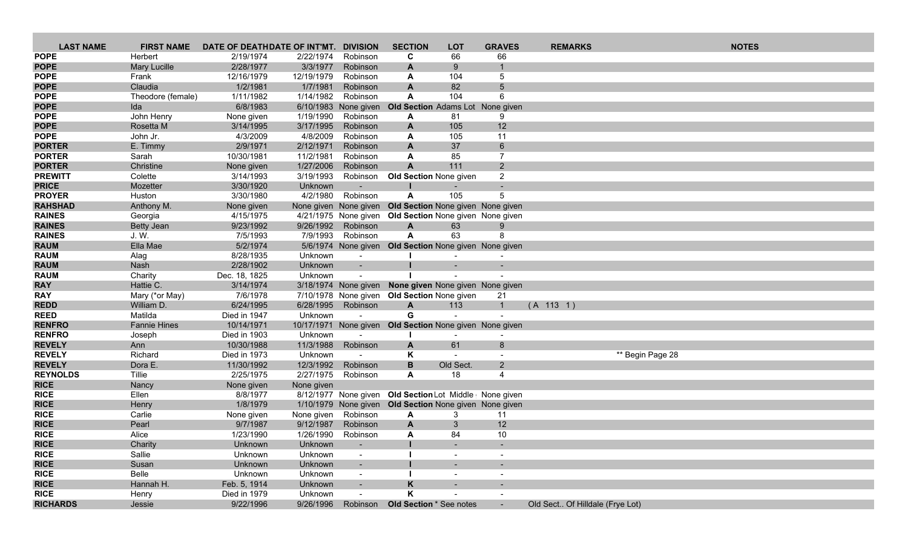| <b>LAST NAME</b>                 | <b>FIRST NAME</b>   | DATE OF DEATHDATE OF INT'MT. |                        | <b>DIVISION</b>          | <b>SECTION</b>                                           | <b>LOT</b>               | <b>GRAVES</b>                             | <b>REMARKS</b>                  |                  | <b>NOTES</b> |  |
|----------------------------------|---------------------|------------------------------|------------------------|--------------------------|----------------------------------------------------------|--------------------------|-------------------------------------------|---------------------------------|------------------|--------------|--|
| <b>POPE</b>                      | Herbert             | 2/19/1974                    | 2/22/1974              | Robinson                 | C                                                        | 66                       | 66                                        |                                 |                  |              |  |
| <b>POPE</b>                      | <b>Mary Lucille</b> | 2/28/1977                    | 3/3/1977               | Robinson                 | A                                                        | 9                        |                                           |                                 |                  |              |  |
| <b>POPE</b>                      | Frank               | 12/16/1979                   | 12/19/1979             | Robinson                 | A                                                        | 104                      | 5                                         |                                 |                  |              |  |
| <b>POPE</b>                      | Claudia             | 1/2/1981                     | 1/7/1981               | Robinson                 | $\mathsf{A}$                                             | 82                       | 5                                         |                                 |                  |              |  |
| <b>POPE</b>                      | Theodore (female)   | 1/11/1982                    | 1/14/1982              | Robinson                 | A                                                        | 104                      | 6                                         |                                 |                  |              |  |
| <b>POPE</b>                      | Ida                 | 6/8/1983                     |                        | 6/10/1983 None given     | <b>Old Section</b> Adams Lot None given                  |                          |                                           |                                 |                  |              |  |
| <b>POPE</b>                      | John Henry          | None given                   | 1/19/1990              | Robinson                 | A                                                        | 81                       | 9                                         |                                 |                  |              |  |
| <b>POPE</b>                      | Rosetta M           | 3/14/1995                    | 3/17/1995              | Robinson                 | A                                                        | 105                      | 12                                        |                                 |                  |              |  |
| <b>POPE</b>                      | John Jr.            | 4/3/2009                     | 4/8/2009               | Robinson                 | A                                                        | 105                      | 11                                        |                                 |                  |              |  |
| <b>PORTER</b>                    | E. Timmy            | 2/9/1971                     | 2/12/1971              | Robinson                 | $\mathbf{A}$                                             | 37                       | 6                                         |                                 |                  |              |  |
| <b>PORTER</b>                    | Sarah               | 10/30/1981                   | 11/2/1981              | Robinson                 | A                                                        | 85                       | $\overline{7}$                            |                                 |                  |              |  |
| <b>PORTER</b>                    | Christine           | None given                   | 1/27/2006              | Robinson                 | A                                                        | 111                      | $\overline{2}$                            |                                 |                  |              |  |
| <b>PREWITT</b><br><b>PRICE</b>   | Colette<br>Mozetter | 3/14/1993<br>3/30/1920       | 3/19/1993<br>Unknown   | Robinson                 | <b>Old Section None given</b>                            |                          | $\overline{2}$                            |                                 |                  |              |  |
| <b>PROYER</b>                    | Huston              | 3/30/1980                    | 4/2/1980               | Robinson                 | A                                                        | 105                      | 5                                         |                                 |                  |              |  |
| <b>RAHSHAD</b>                   | Anthony M.          | None given                   |                        |                          | None given None given Old Section None given None given  |                          |                                           |                                 |                  |              |  |
| <b>RAINES</b>                    | Georgia             | 4/15/1975                    |                        | 4/21/1975 None given     | Old Section None given None given                        |                          |                                           |                                 |                  |              |  |
| <b>RAINES</b>                    | Betty Jean          | 9/23/1992                    | 9/26/1992              | Robinson                 | $\mathsf{A}$                                             | 63                       | 9                                         |                                 |                  |              |  |
| <b>RAINES</b>                    | J.W.                | 7/5/1993                     | 7/9/1993               | Robinson                 | A                                                        | 63                       | 8                                         |                                 |                  |              |  |
| <b>RAUM</b>                      | Ella Mae            | 5/2/1974                     |                        |                          | 5/6/1974 None given Old Section None given None given    |                          |                                           |                                 |                  |              |  |
| <b>RAUM</b>                      | Alag                | 8/28/1935                    | Unknown                | $\sim$                   |                                                          |                          |                                           |                                 |                  |              |  |
| <b>RAUM</b>                      | Nash                | 2/28/1902                    | Unknown                |                          |                                                          |                          |                                           |                                 |                  |              |  |
| <b>RAUM</b>                      | Charity             | Dec. 18, 1825                | Unknown                |                          |                                                          |                          |                                           |                                 |                  |              |  |
| <b>RAY</b>                       | Hattie C.           | 3/14/1974                    |                        |                          | 3/18/1974 None given None given None given None given    |                          |                                           |                                 |                  |              |  |
| <b>RAY</b>                       | Mary (*or May)      | 7/6/1978                     |                        |                          | 7/10/1978 None given Old Section None given              |                          | 21                                        |                                 |                  |              |  |
| <b>REDD</b>                      | William D.          | 6/24/1995                    | 6/28/1995              | Robinson                 | A                                                        | 113                      | $\mathbf{1}$                              | (A 113 1)                       |                  |              |  |
| <b>REED</b>                      | Matilda             | Died in 1947                 | Unknown                |                          | G                                                        |                          |                                           |                                 |                  |              |  |
| <b>RENFRO</b>                    | <b>Fannie Hines</b> | 10/14/1971                   |                        |                          | 10/17/1971 None given Old Section None given None given  |                          |                                           |                                 |                  |              |  |
| <b>RENFRO</b>                    | Joseph              | Died in 1903                 | Unknown                |                          |                                                          |                          |                                           |                                 |                  |              |  |
| <b>REVELY</b>                    | Ann                 | 10/30/1988                   | 11/3/1988              | Robinson                 | A                                                        | 61                       | 8                                         |                                 |                  |              |  |
| <b>REVELY</b>                    | Richard             | Died in 1973                 | Unknown                | $\sim$                   | Κ                                                        | $\sim$                   |                                           |                                 | ** Begin Page 28 |              |  |
| <b>REVELY</b><br><b>REYNOLDS</b> | Dora E.<br>Tillie   | 11/30/1992<br>2/25/1975      | 12/3/1992<br>2/27/1975 | Robinson<br>Robinson     | B<br>A                                                   | Old Sect.<br>18          | $\overline{2}$<br>$\overline{\mathbf{4}}$ |                                 |                  |              |  |
| <b>RICE</b>                      | Nancy               | None given                   | None given             |                          |                                                          |                          |                                           |                                 |                  |              |  |
| <b>RICE</b>                      | Ellen               | 8/8/1977                     |                        |                          | 8/12/1977 None given Old Section Lot Middle   None given |                          |                                           |                                 |                  |              |  |
| <b>RICE</b>                      | Henry               | 1/8/1979                     |                        |                          | 1/10/1979 None given Old Section None given None given   |                          |                                           |                                 |                  |              |  |
| <b>RICE</b>                      | Carlie              | None given                   | None given             | Robinson                 | A                                                        | 3                        | 11                                        |                                 |                  |              |  |
| <b>RICE</b>                      | Pearl               | 9/7/1987                     | 9/12/1987              | Robinson                 | A                                                        | 3                        | 12                                        |                                 |                  |              |  |
| <b>RICE</b>                      | Alice               | 1/23/1990                    | 1/26/1990              | Robinson                 | A                                                        | 84                       | 10                                        |                                 |                  |              |  |
| <b>RICE</b>                      | Charity             | Unknown                      | Unknown                | $\overline{\phantom{a}}$ |                                                          |                          |                                           |                                 |                  |              |  |
| <b>RICE</b>                      | Sallie              | Unknown                      | Unknown                | $\overline{\phantom{a}}$ |                                                          | $\overline{\phantom{a}}$ |                                           |                                 |                  |              |  |
| <b>RICE</b>                      | Susan               | Unknown                      | Unknown                |                          |                                                          |                          |                                           |                                 |                  |              |  |
| <b>RICE</b>                      | Belle               | Unknown                      | Unknown                | $\overline{\phantom{a}}$ |                                                          | $\overline{\phantom{a}}$ | $\overline{\phantom{a}}$                  |                                 |                  |              |  |
| <b>RICE</b>                      | Hannah H.           | Feb. 5, 1914                 | Unknown                |                          | K                                                        |                          |                                           |                                 |                  |              |  |
| <b>RICE</b>                      | Henry               | Died in 1979                 | Unknown                | $\overline{\phantom{a}}$ | Κ                                                        |                          |                                           |                                 |                  |              |  |
| <b>RICHARDS</b>                  | Jessie              | 9/22/1996                    | 9/26/1996              | Robinson                 | Old Section * See notes                                  |                          | $\sim$ $-$                                | Old Sect Of Hilldale (Frye Lot) |                  |              |  |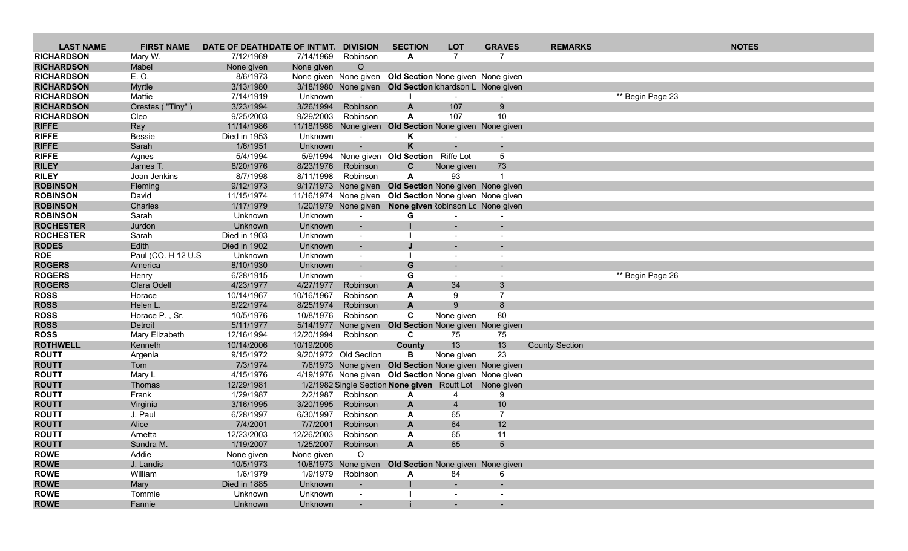| <b>LAST NAME</b>  | <b>FIRST NAME</b>  | DATE OF DEATHDATE OF INT'MT. DIVISION |            |                          | <b>SECTION</b>                                          | <b>LOT</b>               | <b>GRAVES</b>  | <b>REMARKS</b>        |                  | <b>NOTES</b> |
|-------------------|--------------------|---------------------------------------|------------|--------------------------|---------------------------------------------------------|--------------------------|----------------|-----------------------|------------------|--------------|
| <b>RICHARDSON</b> | Mary W.            | 7/12/1969                             | 7/14/1969  | Robinson                 | A                                                       | $\overline{7}$           | $\overline{7}$ |                       |                  |              |
| <b>RICHARDSON</b> | Mabel              | None given                            | None given | $\circ$                  |                                                         |                          |                |                       |                  |              |
| <b>RICHARDSON</b> | E.O.               | 8/6/1973                              |            | None given None given    | Old Section None given None given                       |                          |                |                       |                  |              |
| <b>RICHARDSON</b> | Myrtle             | 3/13/1980                             |            |                          | 3/18/1980 None given Old Section ichardson L None given |                          |                |                       |                  |              |
| <b>RICHARDSON</b> | Mattie             | 7/14/1919                             | Unknown    | $\overline{\phantom{a}}$ |                                                         |                          |                |                       | ** Begin Page 23 |              |
| <b>RICHARDSON</b> | Orestes ("Tiny")   | 3/23/1994                             | 3/26/1994  | Robinson                 | A                                                       | 107                      | 9              |                       |                  |              |
| <b>RICHARDSON</b> | Cleo               | 9/25/2003                             | 9/29/2003  | Robinson                 | A                                                       | 107                      | 10             |                       |                  |              |
| <b>RIFFE</b>      | Ray                | 11/14/1986                            |            |                          | 11/18/1986 None given Old Section None given None given |                          |                |                       |                  |              |
| <b>RIFFE</b>      | <b>Bessie</b>      | Died in 1953                          | Unknown    |                          | Κ                                                       |                          |                |                       |                  |              |
| <b>RIFFE</b>      | Sarah              | 1/6/1951                              | Unknown    | $\blacksquare$           | K                                                       |                          |                |                       |                  |              |
| <b>RIFFE</b>      | Agnes              | 5/4/1994                              |            |                          | 5/9/1994 None given Old Section Riffe Lot               |                          | 5              |                       |                  |              |
| <b>RILEY</b>      | James T.           | 8/20/1976                             | 8/23/1976  | Robinson                 | C                                                       | None given               | 73             |                       |                  |              |
| <b>RILEY</b>      | Joan Jenkins       | 8/7/1998                              | 8/11/1998  | Robinson                 | A                                                       | 93                       |                |                       |                  |              |
| <b>ROBINSON</b>   | <b>Fleming</b>     | 9/12/1973                             |            | 9/17/1973 None given     | Old Section None given None given                       |                          |                |                       |                  |              |
| <b>ROBINSON</b>   | David              | 11/15/1974                            |            | 11/16/1974 None given    | Old Section None given None given                       |                          |                |                       |                  |              |
| <b>ROBINSON</b>   | Charles            | 1/17/1979                             |            | 1/20/1979 None given     | None given Robinson Lo None given                       |                          |                |                       |                  |              |
| <b>ROBINSON</b>   | Sarah              | Unknown                               | Unknown    | $\sim$                   | G                                                       |                          |                |                       |                  |              |
| <b>ROCHESTER</b>  | Jurdon             | Unknown                               | Unknown    | $\blacksquare$           |                                                         |                          |                |                       |                  |              |
| <b>ROCHESTER</b>  | Sarah              | Died in 1903                          | Unknown    | $\overline{\phantom{a}}$ |                                                         |                          |                |                       |                  |              |
| <b>RODES</b>      | Edith              | Died in 1902                          | Unknown    | $\overline{\phantom{a}}$ |                                                         |                          |                |                       |                  |              |
| <b>ROE</b>        | Paul (CO. H 12 U.S | Unknown                               | Unknown    | $\overline{\phantom{a}}$ |                                                         |                          |                |                       |                  |              |
| <b>ROGERS</b>     | America            | 8/10/1930                             | Unknown    |                          | G                                                       |                          |                |                       |                  |              |
| <b>ROGERS</b>     | Henry              | 6/28/1915                             | Unknown    | $\sim$                   | G                                                       | $\overline{\phantom{a}}$ |                |                       | ** Begin Page 26 |              |
| <b>ROGERS</b>     | Clara Odell        | 4/23/1977                             | 4/27/1977  | Robinson                 | A                                                       | 34                       | 3              |                       |                  |              |
| <b>ROSS</b>       | Horace             | 10/14/1967                            | 10/16/1967 | Robinson                 | A                                                       | 9                        | $\overline{7}$ |                       |                  |              |
| <b>ROSS</b>       | Helen L.           | 8/22/1974                             | 8/25/1974  | Robinson                 | A                                                       | 9                        | 8              |                       |                  |              |
| <b>ROSS</b>       | Horace P., Sr.     | 10/5/1976                             | 10/8/1976  | Robinson                 | C                                                       | None given               | 80             |                       |                  |              |
| <b>ROSS</b>       | Detroit            | 5/11/1977                             |            | 5/14/1977 None given     | Old Section None given None given                       |                          |                |                       |                  |              |
| <b>ROSS</b>       | Mary Elizabeth     | 12/16/1994                            | 12/20/1994 | Robinson                 | C                                                       | 75                       | 75             |                       |                  |              |
| <b>ROTHWELL</b>   | Kenneth            | 10/14/2006                            | 10/19/2006 |                          | County                                                  | 13                       | 13             | <b>County Section</b> |                  |              |
| <b>ROUTT</b>      | Argenia            | 9/15/1972                             |            | 9/20/1972 Old Section    | в                                                       | None given               | 23             |                       |                  |              |
| <b>ROUTT</b>      | Tom                | 7/3/1974                              |            |                          | 7/6/1973 None given Old Section None given None given   |                          |                |                       |                  |              |
| <b>ROUTT</b>      | Mary L             | 4/15/1976                             |            |                          | 4/19/1976 None given Old Section None given None given  |                          |                |                       |                  |              |
| <b>ROUTT</b>      | Thomas             | 12/29/1981                            |            |                          | 1/2/1982 Single Section None given Routt Lot None given |                          |                |                       |                  |              |
| <b>ROUTT</b>      | Frank              | 1/29/1987                             | 2/2/1987   | Robinson                 | A                                                       | 4                        | 9              |                       |                  |              |
| <b>ROUTT</b>      | Virginia           | 3/16/1995                             | 3/20/1995  | Robinson                 | A                                                       | $\overline{4}$           | 10             |                       |                  |              |
| <b>ROUTT</b>      | J. Paul            | 6/28/1997                             | 6/30/1997  | Robinson                 | A                                                       | 65                       | $\overline{7}$ |                       |                  |              |
| <b>ROUTT</b>      | Alice              | 7/4/2001                              | 7/7/2001   | Robinson                 | $\mathbf{A}$                                            | 64                       | 12             |                       |                  |              |
| <b>ROUTT</b>      | Arnetta            | 12/23/2003                            | 12/26/2003 | Robinson                 | A                                                       | 65                       | 11             |                       |                  |              |
| <b>ROUTT</b>      | Sandra M.          | 1/19/2007                             | 1/25/2007  | Robinson                 | A                                                       | 65                       | $\overline{5}$ |                       |                  |              |
| <b>ROWE</b>       | Addie              | None given                            | None given | $\circ$                  |                                                         |                          |                |                       |                  |              |
| <b>ROWE</b>       | J. Landis          | 10/5/1973                             |            |                          | 10/8/1973 None given Old Section None given None given  |                          |                |                       |                  |              |
| <b>ROWE</b>       | William            | 1/6/1979                              |            | 1/9/1979 Robinson        | A                                                       | 84                       | 6              |                       |                  |              |
| <b>ROWE</b>       | Mary               | Died in 1885                          | Unknown    | $\sim$                   |                                                         |                          |                |                       |                  |              |
| <b>ROWE</b>       | Tommie             | Unknown                               | Unknown    | $\sim$                   |                                                         | $\overline{\phantom{a}}$ |                |                       |                  |              |
| <b>ROWE</b>       | Fannie             | Unknown                               | Unknown    |                          |                                                         | $\sim$                   | $\sim$         |                       |                  |              |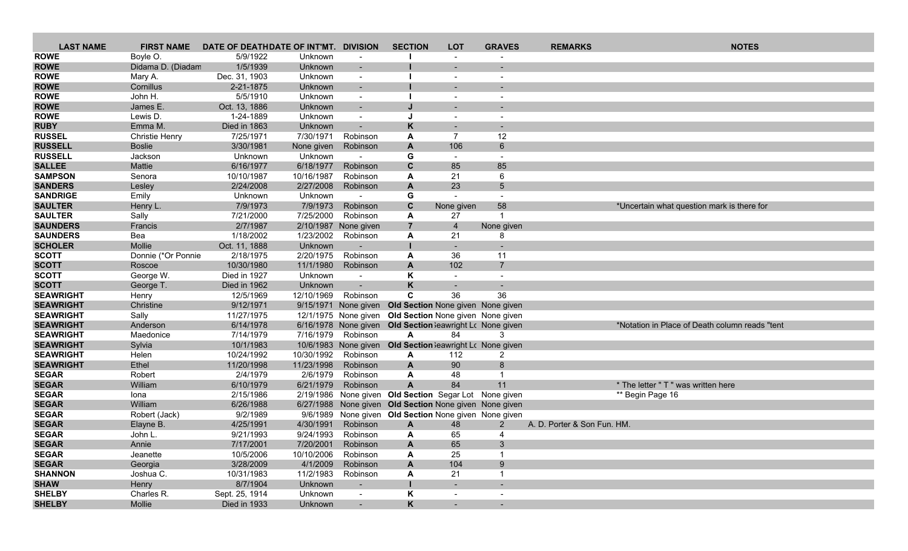| <b>LAST NAME</b>                   | <b>FIRST NAME</b>     | DATE OF DEATHDATE OF INT'MT. DIVISION |                        |                                  | <b>SECTION</b> | <b>LOT</b>                                               | <b>GRAVES</b>            | <b>REMARKS</b>              | <b>NOTES</b>                                    |
|------------------------------------|-----------------------|---------------------------------------|------------------------|----------------------------------|----------------|----------------------------------------------------------|--------------------------|-----------------------------|-------------------------------------------------|
| <b>ROWE</b>                        | Boyle O.              | 5/9/1922                              | Unknown                | $\overline{\phantom{a}}$         |                |                                                          |                          |                             |                                                 |
| <b>ROWE</b>                        | Didama D. (Diadam     | 1/5/1939                              | Unknown                |                                  |                |                                                          |                          |                             |                                                 |
| <b>ROWE</b>                        | Mary A.               | Dec. 31, 1903                         | Unknown                | $\sim$                           |                | $\overline{\phantom{a}}$                                 |                          |                             |                                                 |
| <b>ROWE</b>                        | Cornillus             | 2-21-1875                             | Unknown                |                                  |                |                                                          |                          |                             |                                                 |
| <b>ROWE</b>                        | John H.               | 5/5/1910                              | Unknown                |                                  |                |                                                          |                          |                             |                                                 |
| <b>ROWE</b>                        | James E.              | Oct. 13, 1886                         | Unknown                | $\overline{\phantom{a}}$         |                |                                                          |                          |                             |                                                 |
| <b>ROWE</b>                        | Lewis D.              | 1-24-1889                             | Unknown                |                                  |                |                                                          |                          |                             |                                                 |
| <b>RUBY</b>                        | Emma M.               | Died in 1863                          | Unknown                |                                  | K              |                                                          |                          |                             |                                                 |
| <b>RUSSEL</b>                      | <b>Christie Henry</b> | 7/25/1971                             | 7/30/1971              | Robinson                         | A              | 7                                                        | 12                       |                             |                                                 |
| <b>RUSSELL</b>                     | <b>Boslie</b>         | 3/30/1981                             | None given             | Robinson                         | A              | 106                                                      | 6                        |                             |                                                 |
| <b>RUSSELL</b>                     | Jackson               | Unknown                               | Unknown                |                                  | G              | $\sim$                                                   | $\overline{a}$           |                             |                                                 |
| <b>SALLEE</b>                      | Mattie                | 6/16/1977                             | 6/18/1977              | Robinson                         | C              | 85                                                       | 85                       |                             |                                                 |
| <b>SAMPSON</b>                     | Senora                | 10/10/1987                            | 10/16/1987             | Robinson                         | A              | 21                                                       | 6                        |                             |                                                 |
| <b>SANDERS</b>                     | Lesley                | 2/24/2008                             | 2/27/2008              | Robinson                         | A              | 23                                                       | 5                        |                             |                                                 |
| <b>SANDRIGE</b>                    | Emily                 | Unknown                               | Unknown                |                                  | G              |                                                          | $\overline{\phantom{a}}$ |                             |                                                 |
| <b>SAULTER</b>                     | Henry L.              | 7/9/1973                              | 7/9/1973               | Robinson                         | $\mathbf c$    | None given                                               | 58<br>-1                 |                             | *Uncertain what question mark is there for      |
| <b>SAULTER</b>                     | Sally                 | 7/21/2000                             | 7/25/2000              | Robinson                         | A              | 27                                                       |                          |                             |                                                 |
| <b>SAUNDERS</b><br><b>SAUNDERS</b> | Francis               | 2/7/1987                              |                        | 2/10/1987 None given<br>Robinson | $\overline{7}$ | $\overline{4}$                                           | None given<br>8          |                             |                                                 |
| <b>SCHOLER</b>                     | Bea<br>Mollie         | 1/18/2002<br>Oct. 11, 1888            | 1/23/2002<br>Unknown   |                                  | A              | 21                                                       |                          |                             |                                                 |
| <b>SCOTT</b>                       | Donnie (*Or Ponnie    | 2/18/1975                             | 2/20/1975              | Robinson                         | A              | 36                                                       | 11                       |                             |                                                 |
| <b>SCOTT</b>                       | Roscoe                | 10/30/1980                            | 11/1/1980              | Robinson                         | A              | 102                                                      | $\overline{7}$           |                             |                                                 |
| <b>SCOTT</b>                       | George W.             | Died in 1927                          | Unknown                |                                  | Κ              |                                                          |                          |                             |                                                 |
| <b>SCOTT</b>                       | George T.             | Died in 1962                          | Unknown                | $\sim$                           | K              |                                                          |                          |                             |                                                 |
| <b>SEAWRIGHT</b>                   | Henry                 | 12/5/1969                             | 12/10/1969             | Robinson                         | C              | 36                                                       | 36                       |                             |                                                 |
| <b>SEAWRIGHT</b>                   | Christine             | 9/12/1971                             |                        | 9/15/1971 None given             |                | Old Section None given None given                        |                          |                             |                                                 |
| <b>SEAWRIGHT</b>                   | Sally                 | 11/27/1975                            |                        |                                  |                | 12/1/1975 None given Old Section None given None given   |                          |                             |                                                 |
| <b>SEAWRIGHT</b>                   | Anderson              | 6/14/1978                             |                        |                                  |                | 6/16/1978 None given Old Section leawright Lc None given |                          |                             | *Notation in Place of Death column reads "tent" |
| <b>SEAWRIGHT</b>                   | Maedonice             | 7/14/1979                             |                        | 7/16/1979 Robinson               | A              | 84                                                       |                          |                             |                                                 |
| <b>SEAWRIGHT</b>                   | Sylvia                | 10/1/1983                             |                        | 10/6/1983 None given             |                | Old Section leawright Lc None given                      |                          |                             |                                                 |
| <b>SEAWRIGHT</b>                   | Helen                 | 10/24/1992                            | 10/30/1992             | Robinson                         | A              | 112                                                      | $\overline{2}$           |                             |                                                 |
| <b>SEAWRIGHT</b>                   | Ethel                 | 11/20/1998                            | 11/23/1998             | Robinson                         | A              | 90                                                       | 8                        |                             |                                                 |
| <b>SEGAR</b>                       | Robert                | 2/4/1979                              | 2/6/1979               | Robinson                         | A              | 48                                                       | -1                       |                             |                                                 |
| <b>SEGAR</b>                       | William               | 6/10/1979                             | 6/21/1979              | Robinson                         | $\mathbf{A}$   | 84                                                       | 11                       |                             | * The letter " T " was written here             |
| <b>SEGAR</b>                       | Iona                  | 2/15/1986                             |                        |                                  |                | 2/19/1986 None given Old Section Segar Lot None given    |                          |                             | ** Begin Page 16                                |
| <b>SEGAR</b>                       | William               | 6/26/1988                             |                        |                                  |                | 6/27/1988 None given Old Section None given None given   |                          |                             |                                                 |
| <b>SEGAR</b>                       | Robert (Jack)         | 9/2/1989                              |                        |                                  |                | 9/6/1989 None given Old Section None given None given    |                          |                             |                                                 |
| <b>SEGAR</b>                       | Elayne B.             | 4/25/1991                             | 4/30/1991              | Robinson                         | A              | 48                                                       | $\mathcal{P}$            | A. D. Porter & Son Fun. HM. |                                                 |
| <b>SEGAR</b>                       | John L.               | 9/21/1993                             | 9/24/1993              | Robinson                         | A              | 65                                                       | 4                        |                             |                                                 |
| <b>SEGAR</b>                       | Annie                 | 7/17/2001                             | 7/20/2001              | Robinson                         | A              | 65                                                       | 3                        |                             |                                                 |
| <b>SEGAR</b><br><b>SEGAR</b>       | Jeanette<br>Georgia   | 10/5/2006<br>3/28/2009                | 10/10/2006<br>4/1/2009 | Robinson<br>Robinson             | A              | 25<br>104                                                | 9                        |                             |                                                 |
| <b>SHANNON</b>                     | Joshua C.             | 10/31/1983                            | 11/2/1983              | Robinson                         | A<br>A         | 21                                                       |                          |                             |                                                 |
| <b>SHAW</b>                        | Henry                 | 8/7/1904                              | Unknown                | $\sim$                           |                |                                                          |                          |                             |                                                 |
| <b>SHELBY</b>                      | Charles R.            | Sept. 25, 1914                        | Unknown                | $\overline{\phantom{a}}$         | Κ              |                                                          |                          |                             |                                                 |
| <b>SHELBY</b>                      | Mollie                | Died in 1933                          | Unknown                | $\sim$                           | K              | $\sim$                                                   |                          |                             |                                                 |
|                                    |                       |                                       |                        |                                  |                |                                                          |                          |                             |                                                 |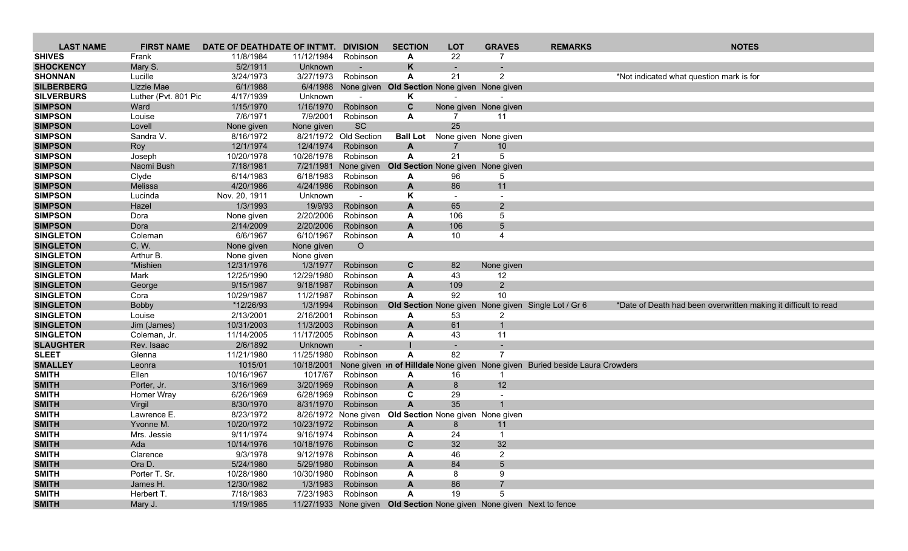| <b>LAST NAME</b>                 | <b>FIRST NAME</b>    | DATE OF DEATHDATE OF INT'MT. |                        | <b>DIVISION</b>       | <b>SECTION</b>                                        | <b>LOT</b>                        | <b>GRAVES</b>            | <b>REMARKS</b>                                                               | <b>NOTES</b>                                                    |
|----------------------------------|----------------------|------------------------------|------------------------|-----------------------|-------------------------------------------------------|-----------------------------------|--------------------------|------------------------------------------------------------------------------|-----------------------------------------------------------------|
| <b>SHIVES</b>                    | Frank                | 11/8/1984                    | 11/12/1984             | Robinson              | A                                                     | 22                                |                          |                                                                              |                                                                 |
| <b>SHOCKENCY</b>                 | Mary S.              | 5/2/1911                     | Unknown                |                       | K                                                     |                                   |                          |                                                                              |                                                                 |
| <b>SHONNAN</b>                   | Lucille              | 3/24/1973                    | 3/27/1973              | Robinson              | A                                                     | 21                                | 2                        |                                                                              | *Not indicated what question mark is for                        |
| <b>SILBERBERG</b>                | Lizzie Mae           | 6/1/1988                     |                        |                       | 6/4/1988 None given Old Section None given None given |                                   |                          |                                                                              |                                                                 |
| <b>SILVERBURS</b>                | Luther (Pvt. 801 Pic | 4/17/1939                    | Unknown                |                       | Κ                                                     |                                   |                          |                                                                              |                                                                 |
| <b>SIMPSON</b>                   | Ward                 | 1/15/1970                    | 1/16/1970              | Robinson              | C                                                     |                                   | None given None given    |                                                                              |                                                                 |
| <b>SIMPSON</b>                   | Louise               | 7/6/1971                     | 7/9/2001               | Robinson              | A                                                     | 7                                 | 11                       |                                                                              |                                                                 |
| <b>SIMPSON</b>                   | Lovell               | None given                   | None given             | SC                    |                                                       | 25                                |                          |                                                                              |                                                                 |
| <b>SIMPSON</b>                   | Sandra V.            | 8/16/1972                    |                        | 8/21/1972 Old Section | <b>Ball Lot</b>                                       | None given None given             |                          |                                                                              |                                                                 |
| <b>SIMPSON</b>                   | Roy                  | 12/1/1974                    | 12/4/1974              | Robinson              | A                                                     | 7                                 | 10                       |                                                                              |                                                                 |
| <b>SIMPSON</b>                   | Joseph               | 10/20/1978                   | 10/26/1978             | Robinson              | A                                                     | 21                                | 5                        |                                                                              |                                                                 |
| <b>SIMPSON</b><br><b>SIMPSON</b> | Naomi Bush           | 7/18/1981                    | 7/21/1981<br>6/18/1983 | None given            |                                                       | Old Section None given None given |                          |                                                                              |                                                                 |
| <b>SIMPSON</b>                   | Clyde<br>Melissa     | 6/14/1983<br>4/20/1986       | 4/24/1986              | Robinson<br>Robinson  | A<br>A                                                | 96<br>86                          | 5<br>11                  |                                                                              |                                                                 |
| <b>SIMPSON</b>                   | Lucinda              | Nov. 20, 1911                | Unknown                |                       | Κ                                                     |                                   | $\overline{\phantom{0}}$ |                                                                              |                                                                 |
| <b>SIMPSON</b>                   | Hazel                | 1/3/1993                     | 19/9/93                | Robinson              | $\mathbf{A}$                                          | 65                                | $\overline{2}$           |                                                                              |                                                                 |
| <b>SIMPSON</b>                   | Dora                 | None given                   | 2/20/2006              | Robinson              | A                                                     | 106                               | 5                        |                                                                              |                                                                 |
| <b>SIMPSON</b>                   | Dora                 | 2/14/2009                    | 2/20/2006              | Robinson              | $\mathbf{A}$                                          | 106                               | 5 <sup>5</sup>           |                                                                              |                                                                 |
| <b>SINGLETON</b>                 | Coleman              | 6/6/1967                     | 6/10/1967              | Robinson              | A                                                     | 10                                | 4                        |                                                                              |                                                                 |
| <b>SINGLETON</b>                 | C. W.                | None given                   | None given             | $\circ$               |                                                       |                                   |                          |                                                                              |                                                                 |
| <b>SINGLETON</b>                 | Arthur B.            | None given                   | None given             |                       |                                                       |                                   |                          |                                                                              |                                                                 |
| <b>SINGLETON</b>                 | *Mishien             | 12/31/1976                   | 1/3/1977               | Robinson              | C                                                     | 82                                | None given               |                                                                              |                                                                 |
| <b>SINGLETON</b>                 | Mark                 | 12/25/1990                   | 12/29/1980             | Robinson              | A                                                     | 43                                | 12                       |                                                                              |                                                                 |
| <b>SINGLETON</b>                 | George               | 9/15/1987                    | 9/18/1987              | Robinson              | A                                                     | 109                               | $2^{\circ}$              |                                                                              |                                                                 |
| <b>SINGLETON</b>                 | Cora                 | 10/29/1987                   | 11/2/1987              | Robinson              | A                                                     | 92                                | 10                       |                                                                              |                                                                 |
| <b>SINGLETON</b>                 | Bobby                | *12/26/93                    | 1/3/1994               | Robinson              |                                                       |                                   |                          | Old Section None given None given Single Lot / Gr 6                          | *Date of Death had been overwritten making it difficult to read |
| <b>SINGLETON</b>                 | Louise               | 2/13/2001                    | 2/16/2001              | Robinson              | A                                                     | 53                                | $\overline{2}$           |                                                                              |                                                                 |
| <b>SINGLETON</b>                 | Jim (James)          | 10/31/2003                   | 11/3/2003              | Robinson              | $\mathbf{A}$                                          | 61                                | $\mathbf{1}$             |                                                                              |                                                                 |
| <b>SINGLETON</b>                 | Coleman, Jr.         | 11/14/2005                   | 11/17/2005             | Robinson              | A                                                     | 43                                | 11                       |                                                                              |                                                                 |
| <b>SLAUGHTER</b>                 | Rev. Isaac           | 2/6/1892                     | Unknown                |                       |                                                       |                                   | $\overline{7}$           |                                                                              |                                                                 |
| <b>SLEET</b><br><b>SMALLEY</b>   | Glenna               | 11/21/1980                   | 11/25/1980             | Robinson              | A                                                     | 82                                |                          |                                                                              |                                                                 |
| <b>SMITH</b>                     | Leonra<br>Ellen      | 1015/01<br>10/16/1967        | 10/18/2001<br>1017/67  | Robinson              | A                                                     | 16                                |                          | None given in of Hilldale None given None given Buried beside Laura Crowders |                                                                 |
| <b>SMITH</b>                     | Porter, Jr.          | 3/16/1969                    | 3/20/1969              | Robinson              | A                                                     | 8                                 | 12                       |                                                                              |                                                                 |
| <b>SMITH</b>                     | Homer Wray           | 6/26/1969                    | 6/28/1969              | Robinson              | C                                                     | 29                                |                          |                                                                              |                                                                 |
| <b>SMITH</b>                     | Virgil               | 8/30/1970                    | 8/31/1970              | Robinson              | $\mathsf{A}$                                          | 35                                |                          |                                                                              |                                                                 |
| <b>SMITH</b>                     | Lawrence E.          | 8/23/1972                    |                        | 8/26/1972 None given  |                                                       | Old Section None given None given |                          |                                                                              |                                                                 |
| <b>SMITH</b>                     | Yvonne M.            | 10/20/1972                   | 10/23/1972             | Robinson              | A                                                     | 8                                 | 11                       |                                                                              |                                                                 |
| <b>SMITH</b>                     | Mrs. Jessie          | 9/11/1974                    | 9/16/1974              | Robinson              | A                                                     | 24                                |                          |                                                                              |                                                                 |
| <b>SMITH</b>                     | Ada                  | 10/14/1976                   | 10/18/1976 Robinson    |                       | C                                                     | 32                                | 32                       |                                                                              |                                                                 |
| <b>SMITH</b>                     | Clarence             | 9/3/1978                     | 9/12/1978              | Robinson              | A                                                     | 46                                | $\overline{2}$           |                                                                              |                                                                 |
| <b>SMITH</b>                     | Ora D.               | 5/24/1980                    | 5/29/1980              | Robinson              | A                                                     | 84                                | 5 <sup>5</sup>           |                                                                              |                                                                 |
| <b>SMITH</b>                     | Porter T. Sr.        | 10/28/1980                   | 10/30/1980 Robinson    |                       | A                                                     | 8                                 | 9                        |                                                                              |                                                                 |
| <b>SMITH</b>                     | James H.             | 12/30/1982                   | 1/3/1983               | Robinson              | A                                                     | 86                                | $\overline{7}$           |                                                                              |                                                                 |
| <b>SMITH</b>                     | Herbert T.           | 7/18/1983                    | 7/23/1983              | Robinson              | Α                                                     | 19                                | 5                        |                                                                              |                                                                 |
| <b>SMITH</b>                     | Mary J.              | 1/19/1985                    |                        |                       |                                                       |                                   |                          | 11/27/1933 None given Old Section None given None given Next to fence        |                                                                 |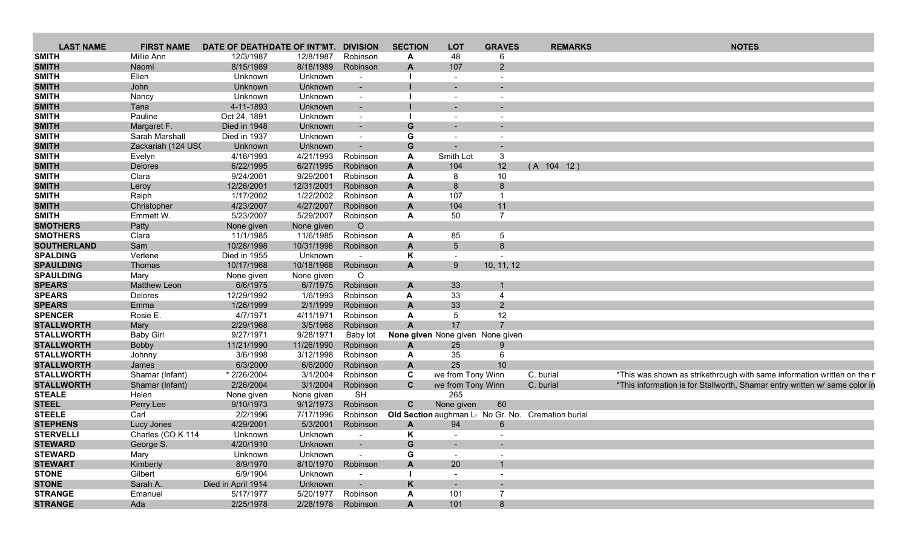| <b>LAST NAME</b>   | <b>FIRST NAME</b>  | DATE OF DEATHDATE OF INT'MT. |            | <b>DIVISION</b>          | <b>SECTION</b>            | <b>LOT</b>                       | <b>GRAVES</b>            | <b>REMARKS</b>                                     | <b>NOTES</b>                                                               |
|--------------------|--------------------|------------------------------|------------|--------------------------|---------------------------|----------------------------------|--------------------------|----------------------------------------------------|----------------------------------------------------------------------------|
| <b>SMITH</b>       | Millie Ann         | 12/3/1987                    | 12/8/1987  | Robinson                 | A                         | 48                               |                          |                                                    |                                                                            |
| <b>SMITH</b>       | Naomi              | 8/15/1989                    | 8/18/1989  | Robinson                 | $\mathbf{A}$              | 107                              | $\overline{2}$           |                                                    |                                                                            |
| <b>SMITH</b>       | Ellen              | Unknown                      | Unknown    | $\blacksquare$           |                           | $\sim$                           | $\overline{\phantom{a}}$ |                                                    |                                                                            |
| <b>SMITH</b>       | John               | Unknown                      | Unknown    |                          |                           |                                  |                          |                                                    |                                                                            |
| <b>SMITH</b>       | Nancy              | Unknown                      | Unknown    | $\overline{\phantom{a}}$ |                           | $\sim$                           |                          |                                                    |                                                                            |
| <b>SMITH</b>       | Tana               | 4-11-1893                    | Unknown    | $\sim$                   |                           | $\sim$                           |                          |                                                    |                                                                            |
| <b>SMITH</b>       | Pauline            | Oct 24, 1891                 | Unknown    | $\sim$                   |                           | $\overline{\phantom{a}}$         |                          |                                                    |                                                                            |
| <b>SMITH</b>       | Margaret F.        | Died in 1948                 | Unknown    | $\blacksquare$           | G                         | ۰                                |                          |                                                    |                                                                            |
| <b>SMITH</b>       | Sarah Marshall     | Died in 1937                 | Unknown    | $\sim$                   | G                         | $\sim$                           |                          |                                                    |                                                                            |
| <b>SMITH</b>       | Zackariah (124 USC | Unknown                      | Unknown    | $\overline{\phantom{a}}$ | G                         |                                  |                          |                                                    |                                                                            |
| <b>SMITH</b>       | Evelyn             | 4/16/1993                    | 4/21/1993  | Robinson                 | A                         | Smith Lot                        | 3                        |                                                    |                                                                            |
| <b>SMITH</b>       | Delores            | 6/22/1995                    | 6/27/1995  | Robinson                 | $\mathbf{A}$              | 104                              | 12                       | (A 104 12)                                         |                                                                            |
| <b>SMITH</b>       | Clara              | 9/24/2001                    | 9/29/2001  | Robinson                 | A                         | 8                                | 10                       |                                                    |                                                                            |
| <b>SMITH</b>       | Leroy              | 12/26/2001                   | 12/31/2001 | Robinson                 | A                         | 8                                | 8                        |                                                    |                                                                            |
| <b>SMITH</b>       | Ralph              | 1/17/2002                    | 1/22/2002  | Robinson                 | A                         | 107                              | $\mathbf 1$              |                                                    |                                                                            |
| <b>SMITH</b>       | Christopher        | 4/23/2007                    | 4/27/2007  | Robinson                 | $\mathbf{A}$              | 104                              | 11                       |                                                    |                                                                            |
| <b>SMITH</b>       | Emmett W.          | 5/23/2007                    | 5/29/2007  | Robinson                 | A                         | 50                               | $\overline{7}$           |                                                    |                                                                            |
| <b>SMOTHERS</b>    | Patty              | None given                   | None given | $\circ$                  |                           |                                  |                          |                                                    |                                                                            |
| <b>SMOTHERS</b>    | Clara              | 11/1/1985                    | 11/6/1985  | Robinson                 | $\mathbf{A}$              | 85                               | 5                        |                                                    |                                                                            |
| <b>SOUTHERLAND</b> | Sam                | 10/28/1998                   | 10/31/1998 | Robinson                 | A                         | $5\phantom{.0}$                  | 8                        |                                                    |                                                                            |
| <b>SPALDING</b>    | Verlene            | Died in 1955                 | Unknown    |                          | Κ                         | $\sim$                           |                          |                                                    |                                                                            |
| <b>SPAULDING</b>   | Thomas             | 10/17/1968                   | 10/18/1968 | Robinson                 | $\mathbf{A}$              | 9                                | 10, 11, 12               |                                                    |                                                                            |
| <b>SPAULDING</b>   | Mary               | None given                   | None given | $\circ$                  |                           |                                  |                          |                                                    |                                                                            |
| <b>SPEARS</b>      | Matthew Leon       | 6/6/1975                     | 6/7/1975   | Robinson                 | $\mathbf{A}$              | 33                               | $\mathbf{1}$             |                                                    |                                                                            |
| <b>SPEARS</b>      | Delores            | 12/29/1992                   | 1/6/1993   | Robinson                 | A                         | 33                               | $\overline{4}$           |                                                    |                                                                            |
| <b>SPEARS</b>      | Emma               | 1/26/1999                    | 2/1/1999   | Robinson                 | A                         | 33                               | $\overline{2}$           |                                                    |                                                                            |
| <b>SPENCER</b>     | Rosie E.           | 4/7/1971                     | 4/11/1971  | Robinson                 | A                         | 5                                | 12                       |                                                    |                                                                            |
| <b>STALLWORTH</b>  | Mary               | 2/29/1968                    | 3/5/1968   | Robinson                 | A                         | 17                               | $\overline{7}$           |                                                    |                                                                            |
| <b>STALLWORTH</b>  | <b>Baby Girl</b>   | 9/27/1971                    | 9/28/1971  | Baby lot                 |                           | None given None given None given |                          |                                                    |                                                                            |
| <b>STALLWORTH</b>  | <b>Bobby</b>       | 11/21/1990                   | 11/26/1990 | Robinson                 | A                         | 25                               | 9                        |                                                    |                                                                            |
| <b>STALLWORTH</b>  | Johnny             | 3/6/1998                     | 3/12/1998  | Robinson                 | A                         | 35                               | 6                        |                                                    |                                                                            |
| <b>STALLWORTH</b>  | James              | 6/3/2000                     | 6/6/2000   | Robinson                 | $\mathbf{A}$              | 25                               | 10                       |                                                    |                                                                            |
| <b>STALLWORTH</b>  | Shamar (Infant)    | * 2/26/2004                  | 3/1/2004   | Robinson                 | C                         | ive from Tony Winn               |                          | C. burial                                          | *This was shown as strikethrough with same information written on the r    |
| <b>STALLWORTH</b>  | Shamar (Infant)    | 2/26/2004                    | 3/1/2004   | Robinson                 | $\mathbf{C}$              | ive from Tony Winn               |                          | C. burial                                          | *This information is for Stallworth, Shamar entry written w/ same color in |
| <b>STEALE</b>      | Helen              | None given                   | None given | <b>SH</b>                |                           | 265                              |                          |                                                    |                                                                            |
| <b>STEEL</b>       | Perry Lee          | 9/10/1973                    | 9/12/1973  | Robinson                 | $\mathbf{C}$              | None given                       | 60                       |                                                    |                                                                            |
| <b>STEELE</b>      | Carl               | 2/2/1996                     | 7/17/1996  | Robinson                 |                           |                                  |                          | Old Section aughman Lo No Gr. No. Cremation burial |                                                                            |
| <b>STEPHENS</b>    | Lucy Jones         | 4/29/2001                    | 5/3/2001   | Robinson                 | $\mathbf{A}$              | 94                               | 6                        |                                                    |                                                                            |
| <b>STERVELLI</b>   | Charles (CO K 114  | Unknown                      | Unknown    | $\overline{\phantom{a}}$ | ĸ                         | $\overline{\phantom{a}}$         |                          |                                                    |                                                                            |
| <b>STEWARD</b>     | George S.          | 4/20/1910                    | Unknown    | $\sim$                   | G                         |                                  |                          |                                                    |                                                                            |
| <b>STEWARD</b>     | Mary               | Unknown                      | Unknown    | $\overline{\phantom{a}}$ | G                         | $\blacksquare$                   | $\overline{\phantom{a}}$ |                                                    |                                                                            |
| <b>STEWART</b>     | Kimberly           | 8/9/1970                     | 8/10/1970  | Robinson                 | A                         | 20                               | $\mathbf{1}$             |                                                    |                                                                            |
| <b>STONE</b>       | Gilbert            | 6/9/1904                     | Unknown    | $\overline{\phantom{a}}$ |                           | $\overline{\phantom{a}}$         | $\sim$                   |                                                    |                                                                            |
| <b>STONE</b>       | Sarah A.           | Died in April 1914           | Unknown    | $\overline{\phantom{a}}$ | K                         | $\sim$                           |                          |                                                    |                                                                            |
| <b>STRANGE</b>     | Emanuel            | 5/17/1977                    | 5/20/1977  | Robinson                 | $\mathbf{A}$              | 101                              | $\overline{7}$           |                                                    |                                                                            |
| <b>STRANGE</b>     | Ada                | 2/25/1978                    | 2/28/1978  | Robinson                 | $\boldsymbol{\mathsf{A}}$ | 101                              | 8                        |                                                    |                                                                            |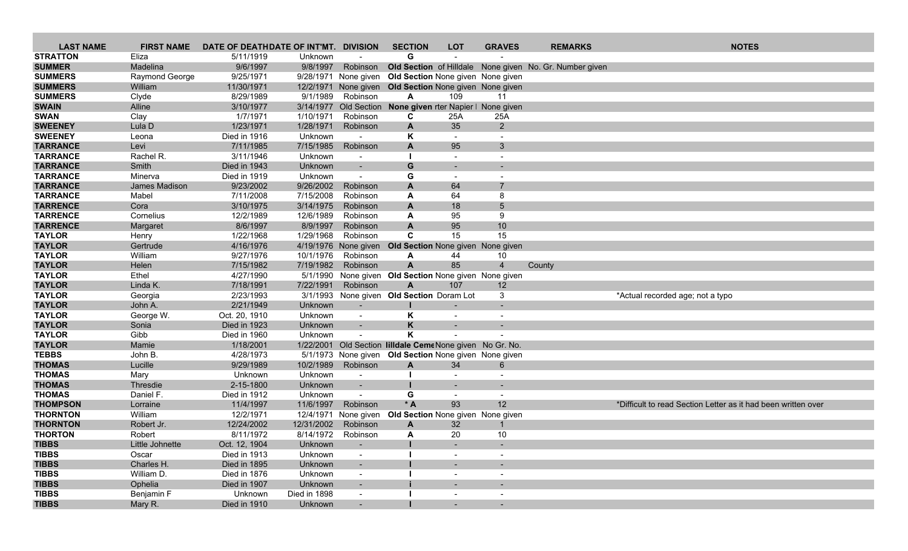| <b>LAST NAME</b> | <b>FIRST NAME</b> | DATE OF DEATHDATE OF INT'MT. DIVISION |              |                          | <b>SECTION</b>                                        | <b>LOT</b>                          | <b>GRAVES</b>            | <b>REMARKS</b>                                          | <b>NOTES</b>                                                  |
|------------------|-------------------|---------------------------------------|--------------|--------------------------|-------------------------------------------------------|-------------------------------------|--------------------------|---------------------------------------------------------|---------------------------------------------------------------|
| <b>STRATTON</b>  | Eliza             | 5/11/1919                             | Unknown      |                          | G                                                     |                                     |                          |                                                         |                                                               |
| <b>SUMMER</b>    | Madelina          | 9/6/1997                              | 9/8/1997     | Robinson                 |                                                       |                                     |                          | Old Section of Hilldale None given No. Gr. Number given |                                                               |
| <b>SUMMERS</b>   | Raymond George    | 9/25/1971                             |              | 9/28/1971 None given     |                                                       | Old Section None given None given   |                          |                                                         |                                                               |
| <b>SUMMERS</b>   | William           | 11/30/1971                            | 12/2/1971    |                          | None given Old Section None given None given          |                                     |                          |                                                         |                                                               |
| <b>SUMMERS</b>   | Clyde             | 8/29/1989                             | 9/1/1989     | Robinson                 | A                                                     | 109                                 | 11                       |                                                         |                                                               |
| <b>SWAIN</b>     | Alline            | 3/10/1977                             |              | 3/14/1977 Old Section    |                                                       | None given rter Napier   None given |                          |                                                         |                                                               |
| <b>SWAN</b>      | Clay              | 1/7/1971                              | 1/10/1971    | Robinson                 | C                                                     | 25A                                 | 25A                      |                                                         |                                                               |
| <b>SWEENEY</b>   | Lula D            | 1/23/1971                             | 1/28/1971    | Robinson                 | $\mathbf{A}$                                          | 35                                  | $2^{\circ}$              |                                                         |                                                               |
| <b>SWEENEY</b>   | Leona             | Died in 1916                          | Unknown      |                          | Κ                                                     |                                     |                          |                                                         |                                                               |
| <b>TARRANCE</b>  | Levi              | 7/11/1985                             | 7/15/1985    | Robinson                 | $\mathbf{A}$                                          | 95                                  | 3                        |                                                         |                                                               |
| <b>TARRANCE</b>  | Rachel R.         | 3/11/1946                             | Unknown      | $\sim$                   |                                                       | $\sim$                              |                          |                                                         |                                                               |
| <b>TARRANCE</b>  | Smith             | Died in 1943                          | Unknown      | $\sim$                   | G                                                     | $\overline{\phantom{a}}$            |                          |                                                         |                                                               |
| <b>TARRANCE</b>  | Minerva           | Died in 1919                          | Unknown      | $\overline{\phantom{a}}$ | G                                                     |                                     |                          |                                                         |                                                               |
| <b>TARRANCE</b>  | James Madison     | 9/23/2002                             | 9/26/2002    | Robinson                 | A                                                     | 64                                  |                          |                                                         |                                                               |
| <b>TARRANCE</b>  | Mabel             | 7/11/2008                             | 7/15/2008    | Robinson                 | A                                                     | 64                                  | 8                        |                                                         |                                                               |
| <b>TARRENCE</b>  | Cora              | 3/10/1975                             | 3/14/1975    | Robinson                 | A                                                     | 18                                  | 5                        |                                                         |                                                               |
| <b>TARRENCE</b>  | Cornelius         | 12/2/1989                             | 12/6/1989    | Robinson                 | A                                                     | 95                                  | 9                        |                                                         |                                                               |
| <b>TARRENCE</b>  | Margaret          | 8/6/1997                              | 8/9/1997     | Robinson                 | A                                                     | 95                                  | 10                       |                                                         |                                                               |
| <b>TAYLOR</b>    | Henry             | 1/22/1968                             | 1/29/1968    | Robinson                 | C                                                     | 15                                  | 15                       |                                                         |                                                               |
| <b>TAYLOR</b>    | Gertrude          | 4/16/1976                             |              | 4/19/1976 None given     |                                                       | Old Section None given None given   |                          |                                                         |                                                               |
| <b>TAYLOR</b>    | William           | 9/27/1976                             | 10/1/1976    | Robinson                 | A                                                     | 44                                  | 10                       |                                                         |                                                               |
| <b>TAYLOR</b>    | Helen             | 7/15/1982                             | 7/19/1982    | Robinson                 | $\mathbf{A}$                                          | 85                                  | $\overline{4}$           | County                                                  |                                                               |
| <b>TAYLOR</b>    | Ethel             | 4/27/1990                             |              |                          | 5/1/1990 None given Old Section None given None given |                                     |                          |                                                         |                                                               |
| <b>TAYLOR</b>    | Linda K.          | 7/18/1991                             | 7/22/1991    | Robinson                 | A                                                     | 107                                 | 12                       |                                                         |                                                               |
| <b>TAYLOR</b>    | Georgia           | 2/23/1993                             |              |                          | 3/1/1993 None given Old Section Doram Lot             |                                     | 3                        |                                                         | *Actual recorded age; not a typo                              |
| <b>TAYLOR</b>    | John A.           | 2/21/1949                             | Unknown      | $\sim$                   |                                                       |                                     |                          |                                                         |                                                               |
| <b>TAYLOR</b>    | George W.         | Oct. 20, 1910                         | Unknown      | $\sim$                   | Κ                                                     |                                     |                          |                                                         |                                                               |
| <b>TAYLOR</b>    | Sonia             | Died in 1923                          | Unknown      |                          | K                                                     |                                     |                          |                                                         |                                                               |
| <b>TAYLOR</b>    | Gibb              | Died in 1960                          | Unknown      |                          | Κ                                                     |                                     |                          |                                                         |                                                               |
| <b>TAYLOR</b>    | Mamie             | 1/18/2001                             | 1/22/2001    |                          | Old Section lilldale CemeNone given No Gr. No.        |                                     |                          |                                                         |                                                               |
| <b>TEBBS</b>     | John B.           | 4/28/1973                             |              |                          | 5/1/1973 None given Old Section None given None given |                                     |                          |                                                         |                                                               |
| <b>THOMAS</b>    | Lucille           | 9/29/1989                             | 10/2/1989    | Robinson                 | $\mathbf{A}$                                          | 34                                  | 6                        |                                                         |                                                               |
| <b>THOMAS</b>    | Mary              | Unknown                               | Unknown      |                          |                                                       |                                     |                          |                                                         |                                                               |
| <b>THOMAS</b>    | Thresdie          | 2-15-1800                             | Unknown      | $\blacksquare$           |                                                       |                                     |                          |                                                         |                                                               |
| <b>THOMAS</b>    | Daniel F.         | Died in 1912                          | Unknown      | $\blacksquare$           | G                                                     | $\overline{\phantom{a}}$            | $\overline{\phantom{a}}$ |                                                         |                                                               |
| <b>THOMPSON</b>  | Lorraine          | 11/4/1997                             | 11/6/1997    | Robinson                 | $*A$                                                  | 93                                  | 12                       |                                                         | *Difficult to read Section Letter as it had been written over |
| <b>THORNTON</b>  | William           | 12/2/1971                             | 12/4/1971    | None given               |                                                       | Old Section None given None given   |                          |                                                         |                                                               |
| <b>THORNTON</b>  | Robert Jr.        | 12/24/2002                            | 12/31/2002   | Robinson                 | A                                                     | 32                                  | $\mathbf{1}$             |                                                         |                                                               |
| <b>THORTON</b>   | Robert            | 8/11/1972                             |              | 8/14/1972 Robinson       | A                                                     | 20                                  | 10                       |                                                         |                                                               |
| <b>TIBBS</b>     | Little Johnette   | Oct. 12, 1904                         | Unknown      |                          |                                                       |                                     |                          |                                                         |                                                               |
| <b>TIBBS</b>     | Oscar             | Died in 1913                          | Unknown      |                          |                                                       |                                     |                          |                                                         |                                                               |
| <b>TIBBS</b>     | Charles H.        | Died in 1895                          | Unknown      |                          |                                                       | $\blacksquare$                      |                          |                                                         |                                                               |
| <b>TIBBS</b>     | William D.        | Died in 1876                          | Unknown      | $\sim$                   |                                                       |                                     |                          |                                                         |                                                               |
| <b>TIBBS</b>     | Ophelia           | Died in 1907                          | Unknown      |                          |                                                       |                                     |                          |                                                         |                                                               |
| <b>TIBBS</b>     | Benjamin F        | Unknown                               | Died in 1898 | $\sim$                   |                                                       | $\overline{\phantom{a}}$            | $\overline{\phantom{a}}$ |                                                         |                                                               |
| <b>TIBBS</b>     | Mary R.           | Died in 1910                          | Unknown      |                          |                                                       | $\sim$                              | ۰                        |                                                         |                                                               |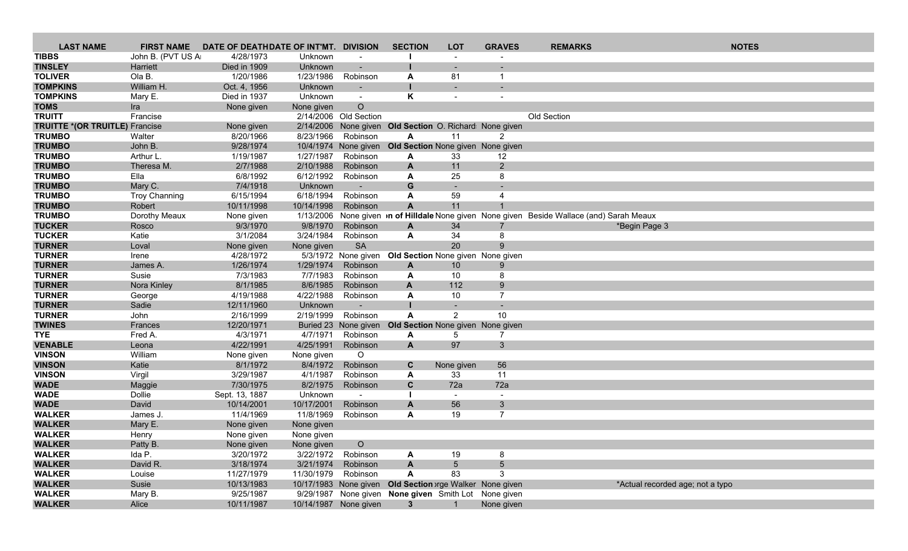| <b>LAST NAME</b>                      | <b>FIRST NAME</b>       | DATE OF DEATHDATE OF INT'MT. |                        | <b>DIVISION</b>          | <b>SECTION</b>                                          | <b>LOT</b>       | <b>GRAVES</b>     | <b>REMARKS</b>                                                                                    | <b>NOTES</b>                     |
|---------------------------------------|-------------------------|------------------------------|------------------------|--------------------------|---------------------------------------------------------|------------------|-------------------|---------------------------------------------------------------------------------------------------|----------------------------------|
| <b>TIBBS</b>                          | John B. (PVT US A       | 4/28/1973                    | Unknown                |                          |                                                         |                  |                   |                                                                                                   |                                  |
| <b>TINSLEY</b>                        | Harriett                | Died in 1909                 | Unknown                |                          |                                                         |                  |                   |                                                                                                   |                                  |
| <b>TOLIVER</b>                        | Ola B.                  | 1/20/1986                    | 1/23/1986              | Robinson                 | A                                                       | 81               |                   |                                                                                                   |                                  |
| <b>TOMPKINS</b>                       | William H.              | Oct. 4, 1956                 | Unknown                | $\overline{\phantom{a}}$ |                                                         |                  |                   |                                                                                                   |                                  |
| <b>TOMPKINS</b>                       | Mary E.                 | Died in 1937                 | Unknown                | $\sim$                   | K                                                       |                  |                   |                                                                                                   |                                  |
| <b>TOMS</b>                           | Ira                     | None given                   | None given             | $\circ$                  |                                                         |                  |                   |                                                                                                   |                                  |
| <b>TRUITT</b>                         | Francise                |                              |                        | 2/14/2006 Old Section    |                                                         |                  |                   | Old Section                                                                                       |                                  |
| <b>TRUITTE *(OR TRUITLE)</b> Francise |                         | None given                   |                        |                          | 2/14/2006 None given Old Section O. Richard: None given |                  |                   |                                                                                                   |                                  |
| <b>TRUMBO</b>                         | Walter                  | 8/20/1966                    | 8/23/1966              | Robinson                 | A                                                       | 11               | 2                 |                                                                                                   |                                  |
| <b>TRUMBO</b>                         | John B.                 | 9/28/1974                    |                        | 10/4/1974 None given     | Old Section None given None given                       |                  |                   |                                                                                                   |                                  |
| <b>TRUMBO</b><br><b>TRUMBO</b>        | Arthur L.<br>Theresa M. | 1/19/1987<br>2/7/1988        | 1/27/1987<br>2/10/1988 | Robinson<br>Robinson     | A<br>$\mathbf{A}$                                       | 33<br>11         | 12<br>$2^{\circ}$ |                                                                                                   |                                  |
| <b>TRUMBO</b>                         | Ella                    | 6/8/1992                     | 6/12/1992              | Robinson                 | A                                                       | 25               | 8                 |                                                                                                   |                                  |
| <b>TRUMBO</b>                         | Mary C.                 | 7/4/1918                     | Unknown                |                          | G                                                       |                  |                   |                                                                                                   |                                  |
| <b>TRUMBO</b>                         | <b>Troy Channing</b>    | 6/15/1994                    | 6/18/1994              | Robinson                 | A                                                       | 59               | 4                 |                                                                                                   |                                  |
| <b>TRUMBO</b>                         | Robert                  | 10/11/1998                   | 10/14/1998             | Robinson                 | $\overline{A}$                                          | 11               |                   |                                                                                                   |                                  |
| <b>TRUMBO</b>                         | Dorothy Meaux           | None given                   |                        |                          |                                                         |                  |                   | 1/13/2006 None given <i>in</i> of Hilldale None given None given Beside Wallace (and) Sarah Meaux |                                  |
| <b>TUCKER</b>                         | Rosco                   | 9/3/1970                     | 9/8/1970               | Robinson                 | $\mathbf{A}$                                            | 34               | $\overline{7}$    | *Begin Page 3                                                                                     |                                  |
| <b>TUCKER</b>                         | Katie                   | 3/1/2084                     | 3/24/1984              | Robinson                 | A                                                       | 34               | 8                 |                                                                                                   |                                  |
| <b>TURNER</b>                         | Loval                   | None given                   | None given             | <b>SA</b>                |                                                         | 20               | $\mathbf{Q}$      |                                                                                                   |                                  |
| <b>TURNER</b>                         | Irene                   | 4/28/1972                    |                        | 5/3/1972 None given      | Old Section None given None given                       |                  |                   |                                                                                                   |                                  |
| <b>TURNER</b>                         | James A.                | 1/26/1974                    | 1/29/1974              | Robinson                 | $\mathbf{A}$                                            | 10 <sup>°</sup>  | 9                 |                                                                                                   |                                  |
| <b>TURNER</b>                         | Susie                   | 7/3/1983                     | 7/7/1983               | Robinson                 | A                                                       | 10               | 8                 |                                                                                                   |                                  |
| <b>TURNER</b>                         | Nora Kinley             | 8/1/1985                     | 8/6/1985               | Robinson                 | A                                                       | 112              | 9                 |                                                                                                   |                                  |
| <b>TURNER</b>                         | George                  | 4/19/1988                    | 4/22/1988              | Robinson                 | A                                                       | 10               | $\overline{7}$    |                                                                                                   |                                  |
| <b>TURNER</b>                         | Sadie                   | 12/11/1960                   | Unknown                |                          |                                                         |                  |                   |                                                                                                   |                                  |
| <b>TURNER</b>                         | John                    | 2/16/1999                    | 2/19/1999              | Robinson                 | A                                                       | $\overline{2}$   | 10                |                                                                                                   |                                  |
| <b>TWINES</b>                         | Frances                 | 12/20/1971                   |                        | Buried 23 None given     | Old Section None given None given                       |                  |                   |                                                                                                   |                                  |
| <b>TYE</b>                            | Fred A.                 | 4/3/1971                     | 4/7/1971               | Robinson                 | A                                                       | 5                |                   |                                                                                                   |                                  |
| <b>VENABLE</b>                        | Leona                   | 4/22/1991                    | 4/25/1991              | Robinson                 | $\mathbf{A}$                                            | 97               | 3 <sup>5</sup>    |                                                                                                   |                                  |
| <b>VINSON</b><br><b>VINSON</b>        | William                 | None given                   | None given             | $\circ$                  |                                                         |                  |                   |                                                                                                   |                                  |
| <b>VINSON</b>                         | Katie<br>Virgil         | 8/1/1972<br>3/29/1987        | 8/4/1972<br>4/1/1987   | Robinson<br>Robinson     | C<br>A                                                  | None given<br>33 | 56<br>11          |                                                                                                   |                                  |
| <b>WADE</b>                           | Maggie                  | 7/30/1975                    | 8/2/1975               | Robinson                 | $\mathbf{C}$                                            | 72a              | 72a               |                                                                                                   |                                  |
| <b>WADE</b>                           | Dollie                  | Sept. 13, 1887               | Unknown                |                          |                                                         | $\sim$           |                   |                                                                                                   |                                  |
| <b>WADE</b>                           | David                   | 10/14/2001                   | 10/17/2001             | Robinson                 | A                                                       | 56               | 3                 |                                                                                                   |                                  |
| <b>WALKER</b>                         | James J.                | 11/4/1969                    | 11/8/1969              | Robinson                 | A                                                       | 19               | $\overline{7}$    |                                                                                                   |                                  |
| <b>WALKER</b>                         | Mary E.                 | None given                   | None given             |                          |                                                         |                  |                   |                                                                                                   |                                  |
| <b>WALKER</b>                         | Henry                   | None given                   | None given             |                          |                                                         |                  |                   |                                                                                                   |                                  |
| <b>WALKER</b>                         | Patty B.                | None given                   | None given             | $\circ$                  |                                                         |                  |                   |                                                                                                   |                                  |
| <b>WALKER</b>                         | Ida P.                  | 3/20/1972                    | 3/22/1972              | Robinson                 | A                                                       | 19               | 8                 |                                                                                                   |                                  |
| <b>WALKER</b>                         | David R.                | 3/18/1974                    | 3/21/1974              | Robinson                 | $\mathsf{A}$                                            | $5\overline{)}$  | 5 <sup>5</sup>    |                                                                                                   |                                  |
| <b>WALKER</b>                         | Louise                  | 11/27/1979                   | 11/30/1979             | Robinson                 | A                                                       | 83               | 3                 |                                                                                                   |                                  |
| <b>WALKER</b>                         | Susie                   | 10/13/1983                   |                        |                          | 10/17/1983 None given Old Section rge Walker None given |                  |                   |                                                                                                   | *Actual recorded age; not a typo |
| <b>WALKER</b>                         | Mary B.                 | 9/25/1987                    |                        |                          | 9/29/1987 None given None given Smith Lot None given    |                  |                   |                                                                                                   |                                  |
| <b>WALKER</b>                         | Alice                   | 10/11/1987                   |                        | 10/14/1987 None given    | $3^{\circ}$                                             | $\overline{1}$   | None given        |                                                                                                   |                                  |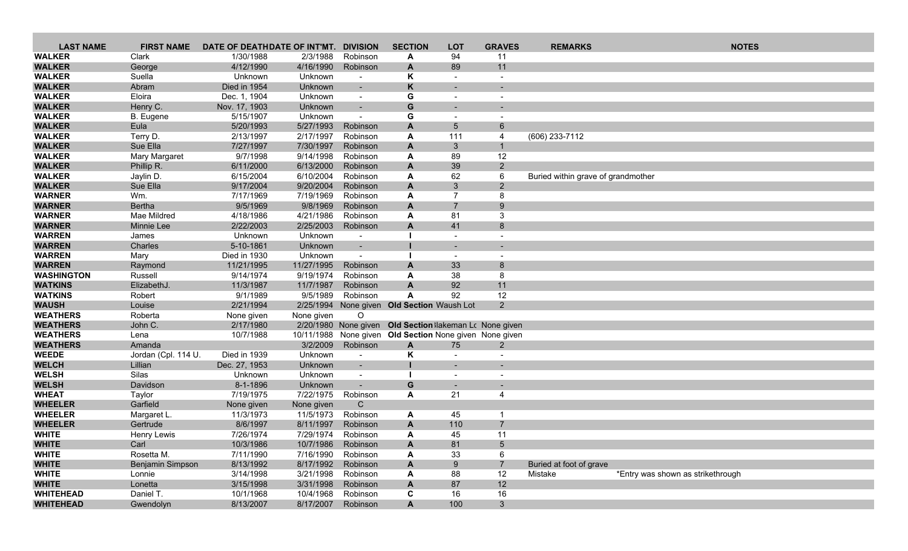| <b>LAST NAME</b>               | <b>FIRST NAME</b>     | DATE OF DEATHDATE OF INT'MT. |                        | <b>DIVISION</b>                                      | <b>SECTION</b>                                          | <b>LOT</b>               | <b>GRAVES</b>            | <b>REMARKS</b>                     | <b>NOTES</b>                      |
|--------------------------------|-----------------------|------------------------------|------------------------|------------------------------------------------------|---------------------------------------------------------|--------------------------|--------------------------|------------------------------------|-----------------------------------|
| <b>WALKER</b>                  | Clark                 | 1/30/1988                    | 2/3/1988               | Robinson                                             | A                                                       | 94                       | 11                       |                                    |                                   |
| <b>WALKER</b>                  | George                | 4/12/1990                    | 4/16/1990              | Robinson                                             | A                                                       | 89                       | 11                       |                                    |                                   |
| <b>WALKER</b>                  | Suella                | Unknown                      | Unknown                | $\overline{\phantom{a}}$                             | Κ                                                       | $\overline{\phantom{a}}$ | $\overline{\phantom{a}}$ |                                    |                                   |
| <b>WALKER</b>                  | Abram                 | Died in 1954                 | Unknown                |                                                      | K                                                       |                          |                          |                                    |                                   |
| <b>WALKER</b>                  | Eloira                | Dec. 1, 1904                 | Unknown                | $\blacksquare$                                       | G                                                       |                          |                          |                                    |                                   |
| <b>WALKER</b>                  | Henry C.              | Nov. 17, 1903                | Unknown                | $\sim$                                               | G                                                       |                          |                          |                                    |                                   |
| <b>WALKER</b>                  | B. Eugene             | 5/15/1907                    | Unknown                | $\blacksquare$                                       | G                                                       |                          |                          |                                    |                                   |
| <b>WALKER</b>                  | Eula                  | 5/20/1993                    | 5/27/1993              | Robinson                                             | A                                                       | 5                        | 6                        |                                    |                                   |
| <b>WALKER</b>                  | Terry D.              | 2/13/1997                    | 2/17/1997              | Robinson                                             | A                                                       | 111                      | 4                        | (606) 233-7112                     |                                   |
| <b>WALKER</b>                  | Sue Ella              | 7/27/1997                    | 7/30/1997              | Robinson                                             | A                                                       | $\mathbf{3}$             | $\mathbf{1}$             |                                    |                                   |
| <b>WALKER</b>                  | <b>Mary Margaret</b>  | 9/7/1998                     | 9/14/1998              | Robinson                                             | A                                                       | 89                       | 12                       |                                    |                                   |
| <b>WALKER</b>                  | Phillip R.            | 6/11/2000                    | 6/13/2000              | Robinson                                             | A                                                       | 39                       | $2^{\circ}$              |                                    |                                   |
| <b>WALKER</b>                  | Jaylin D.<br>Sue Ella | 6/15/2004<br>9/17/2004       | 6/10/2004              | Robinson                                             | A                                                       | 62                       | 6                        | Buried within grave of grandmother |                                   |
| <b>WALKER</b><br><b>WARNER</b> | Wm.                   | 7/17/1969                    | 9/20/2004<br>7/19/1969 | Robinson<br>Robinson                                 | A<br>A                                                  | 3<br>$\overline{7}$      | $2^{\circ}$<br>8         |                                    |                                   |
| <b>WARNER</b>                  | Bertha                | 9/5/1969                     | 9/8/1969               | Robinson                                             | A                                                       | $\overline{7}$           | 9                        |                                    |                                   |
| <b>WARNER</b>                  | Mae Mildred           | 4/18/1986                    | 4/21/1986              | Robinson                                             | A                                                       | 81                       | 3                        |                                    |                                   |
| <b>WARNER</b>                  | Minnie Lee            | 2/22/2003                    | 2/25/2003              | Robinson                                             | $\mathbf{A}$                                            | 41                       | 8                        |                                    |                                   |
| <b>WARREN</b>                  | James                 | Unknown                      | Unknown                | $\sim$                                               |                                                         |                          |                          |                                    |                                   |
| <b>WARREN</b>                  | Charles               | 5-10-1861                    | Unknown                | $\blacksquare$                                       |                                                         |                          |                          |                                    |                                   |
| <b>WARREN</b>                  | Mary                  | Died in 1930                 | Unknown                | $\blacksquare$                                       |                                                         | $\overline{\phantom{a}}$ |                          |                                    |                                   |
| <b>WARREN</b>                  | Raymond               | 11/21/1995                   | 11/27/1995             | Robinson                                             | A                                                       | 33                       | 8                        |                                    |                                   |
| <b>WASHINGTON</b>              | Russell               | 9/14/1974                    | 9/19/1974              | Robinson                                             | A                                                       | 38                       | 8                        |                                    |                                   |
| <b>WATKINS</b>                 | ElizabethJ.           | 11/3/1987                    | 11/7/1987              | Robinson                                             | A                                                       | 92                       | 11                       |                                    |                                   |
| <b>WATKINS</b>                 | Robert                | 9/1/1989                     | 9/5/1989               | Robinson                                             | A                                                       | 92                       | 12                       |                                    |                                   |
| <b>WAUSH</b>                   | Louise                | 2/21/1994                    |                        |                                                      | 2/25/1994 None given Old Section Waush Lot              |                          | $\overline{2}$           |                                    |                                   |
| <b>WEATHERS</b>                | Roberta               | None given                   | None given             | $\mathsf O$                                          |                                                         |                          |                          |                                    |                                   |
| <b>WEATHERS</b>                | John C.               | 2/17/1980                    |                        |                                                      | 2/20/1980 None given Old Section lakeman Lc None given  |                          |                          |                                    |                                   |
| <b>WEATHERS</b>                | Lena                  | 10/7/1988                    |                        |                                                      | 10/11/1988 None given Old Section None given None given |                          |                          |                                    |                                   |
| <b>WEATHERS</b>                | Amanda                |                              | 3/2/2009               | Robinson                                             | $\mathbf{A}$                                            | 75                       | $\mathbf{2}$             |                                    |                                   |
| <b>WEEDE</b>                   | Jordan (Cpl. 114 U.   | Died in 1939                 | Unknown                | $\sim$                                               | Κ                                                       | $\blacksquare$           | $\overline{\phantom{a}}$ |                                    |                                   |
| <b>WELCH</b><br><b>WELSH</b>   | Lillian<br>Silas      | Dec. 27, 1953<br>Unknown     | Unknown<br>Unknown     | $\overline{\phantom{a}}$<br>$\overline{\phantom{a}}$ |                                                         |                          |                          |                                    |                                   |
| <b>WELSH</b>                   | Davidson              | 8-1-1896                     | Unknown                |                                                      | G                                                       |                          |                          |                                    |                                   |
| <b>WHEAT</b>                   | Taylor                | 7/19/1975                    | 7/22/1975              | Robinson                                             | A                                                       | 21                       | 4                        |                                    |                                   |
| <b>WHEELER</b>                 | Garfield              | None given                   | None given             | C                                                    |                                                         |                          |                          |                                    |                                   |
| <b>WHEELER</b>                 | Margaret L.           | 11/3/1973                    | 11/5/1973              | Robinson                                             | A                                                       | 45                       |                          |                                    |                                   |
| <b>WHEELER</b>                 | Gertrude              | 8/6/1997                     | 8/11/1997              | Robinson                                             | A                                                       | 110                      | $\overline{7}$           |                                    |                                   |
| <b>WHITE</b>                   | <b>Henry Lewis</b>    | 7/26/1974                    | 7/29/1974              | Robinson                                             | A                                                       | 45                       | 11                       |                                    |                                   |
| <b>WHITE</b>                   | Carl                  | 10/3/1986                    | 10/7/1986              | Robinson                                             | A                                                       | 81                       | 5                        |                                    |                                   |
| <b>WHITE</b>                   | Rosetta M.            | 7/11/1990                    | 7/16/1990              | Robinson                                             | A                                                       | 33                       | 6                        |                                    |                                   |
| <b>WHITE</b>                   | Benjamin Simpson      | 8/13/1992                    | 8/17/1992              | Robinson                                             | A                                                       | 9                        | $\overline{7}$           | Buried at foot of grave            |                                   |
| <b>WHITE</b>                   | Lonnie                | 3/14/1998                    | 3/21/1998              | Robinson                                             | A                                                       | 88                       | 12                       | Mistake                            | *Entry was shown as strikethrough |
| <b>WHITE</b>                   | Lonetta               | 3/15/1998                    | 3/31/1998              | Robinson                                             | A                                                       | 87                       | 12                       |                                    |                                   |
| <b>WHITEHEAD</b>               | Daniel T.             | 10/1/1968                    | 10/4/1968              | Robinson                                             | C                                                       | 16                       | 16                       |                                    |                                   |
| <b>WHITEHEAD</b>               | Gwendolyn             | 8/13/2007                    | 8/17/2007              | Robinson                                             | $\mathbf{A}$                                            | 100                      | 3 <sup>1</sup>           |                                    |                                   |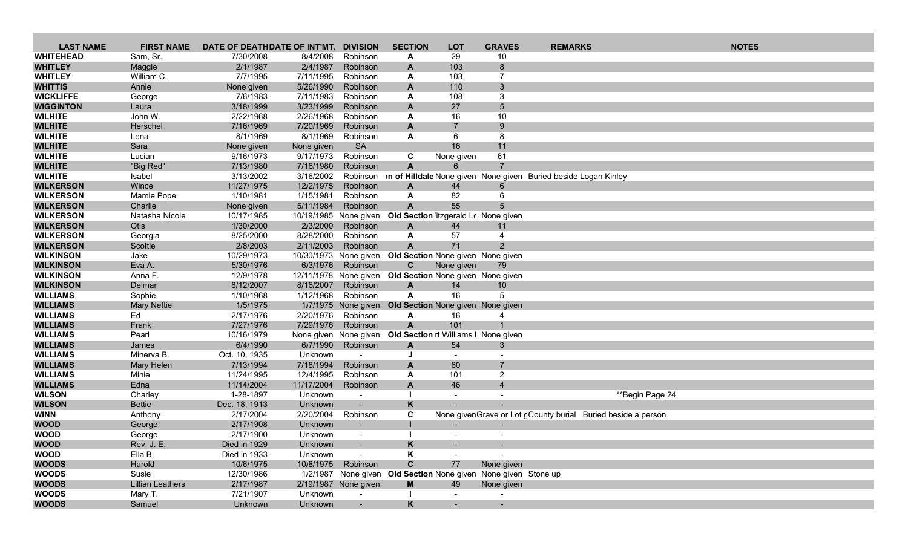| <b>LAST NAME</b>                     | <b>FIRST NAME</b>       | DATE OF DEATHDATE OF INT'MT. |                                   | <b>DIVISION</b>            | <b>SECTION</b>                                                 | <b>LOT</b>                                      | <b>GRAVES</b>  | <b>REMARKS</b>                                                  | <b>NOTES</b> |
|--------------------------------------|-------------------------|------------------------------|-----------------------------------|----------------------------|----------------------------------------------------------------|-------------------------------------------------|----------------|-----------------------------------------------------------------|--------------|
| <b>WHITEHEAD</b>                     | Sam, Sr.                | 7/30/2008                    | 8/4/2008                          | Robinson                   | A                                                              | 29                                              | 10             |                                                                 |              |
| <b>WHITLEY</b>                       | Maggie                  | 2/1/1987                     | 2/4/1987                          | Robinson                   | A                                                              | 103                                             | 8              |                                                                 |              |
| <b>WHITLEY</b>                       | William C.              | 7/7/1995                     | 7/11/1995                         | Robinson                   | A                                                              | 103                                             | $\overline{7}$ |                                                                 |              |
| <b>WHITTIS</b>                       | Annie                   | None given                   | 5/26/1990                         | Robinson                   | A                                                              | 110                                             | 3              |                                                                 |              |
| <b>WICKLIFFE</b>                     | George                  | 7/6/1983                     | 7/11/1983                         | Robinson                   | A                                                              | 108                                             | 3              |                                                                 |              |
| <b>WIGGINTON</b>                     | Laura                   | 3/18/1999                    | 3/23/1999                         | Robinson                   | $\mathbf{A}$                                                   | 27                                              | 5              |                                                                 |              |
| <b>WILHITE</b>                       | John W.                 | 2/22/1968                    | 2/26/1968                         | Robinson                   | A                                                              | 16                                              | 10             |                                                                 |              |
| <b>WILHITE</b>                       | Herschel                | 7/16/1969                    | 7/20/1969                         | Robinson                   | A                                                              | $\overline{7}$                                  | 9              |                                                                 |              |
| <b>WILHITE</b>                       | Lena                    | 8/1/1969                     | 8/1/1969                          | Robinson                   | A                                                              | 6                                               | 8              |                                                                 |              |
| <b>WILHITE</b>                       | Sara                    | None given                   | None given                        | <b>SA</b>                  |                                                                | 16                                              | 11             |                                                                 |              |
| <b>WILHITE</b>                       | Lucian                  | 9/16/1973                    | 9/17/1973                         | Robinson                   | C                                                              | None given                                      | 61             |                                                                 |              |
| <b>WILHITE</b>                       | "Big Red"               | 7/13/1980                    | 7/16/1980                         | Robinson                   | A                                                              | 6                                               |                |                                                                 |              |
| <b>WILHITE</b>                       | Isabel                  | 3/13/2002                    | 3/16/2002                         | Robinson                   |                                                                |                                                 |                | on of Hilldale None given None given Buried beside Logan Kinley |              |
| <b>WILKERSON</b>                     | Wince                   | 11/27/1975                   | 12/2/1975                         | Robinson                   | A                                                              | 44                                              | 6              |                                                                 |              |
| <b>WILKERSON</b>                     | Mamie Pope              | 1/10/1981                    | 1/15/1981                         | Robinson                   | A                                                              | 82                                              | 6              |                                                                 |              |
| <b>WILKERSON</b>                     | Charlie                 | None given                   | 5/11/1984                         | Robinson                   | $\mathbf{A}$                                                   | 55                                              |                |                                                                 |              |
| <b>WILKERSON</b>                     | Natasha Nicole          | 10/17/1985                   |                                   | 10/19/1985 None given      | Old Section itzgerald Lc None given                            |                                                 |                |                                                                 |              |
| <b>WILKERSON</b>                     | Otis                    | 1/30/2000                    | 2/3/2000                          | Robinson                   | $\mathbf{A}$                                                   | 44                                              | 11             |                                                                 |              |
| <b>WILKERSON</b>                     | Georgia                 | 8/25/2000                    | 8/28/2000                         | Robinson                   | A                                                              | 57                                              | $\overline{4}$ |                                                                 |              |
| <b>WILKERSON</b><br><b>WILKINSON</b> | Scottie                 | 2/8/2003                     | 2/11/2003                         | Robinson                   | $\mathbf{A}$                                                   | 71                                              | $\overline{2}$ |                                                                 |              |
| <b>WILKINSON</b>                     | Jake<br>Eva A.          | 10/29/1973<br>5/30/1976      | 10/30/1973 None given<br>6/3/1976 | Robinson                   | $\mathbf{C}$                                                   | Old Section None given None given<br>None given | 79             |                                                                 |              |
| <b>WILKINSON</b>                     | Anna F.                 | 12/9/1978                    |                                   |                            | 12/11/1978 None given Old Section None given None given        |                                                 |                |                                                                 |              |
| <b>WILKINSON</b>                     | Delmar                  | 8/12/2007                    | 8/16/2007                         | Robinson                   | A                                                              | 14                                              | 10             |                                                                 |              |
| <b>WILLIAMS</b>                      | Sophie                  | 1/10/1968                    | 1/12/1968                         | Robinson                   | A                                                              | 16                                              | 5              |                                                                 |              |
| <b>WILLIAMS</b>                      | <b>Mary Nettie</b>      | 1/5/1975                     |                                   | 1/7/1975 None given        |                                                                | Old Section None given None given               |                |                                                                 |              |
| <b>WILLIAMS</b>                      | Ed                      | 2/17/1976                    | 2/20/1976                         | Robinson                   | A                                                              | 16                                              |                |                                                                 |              |
| <b>WILLIAMS</b>                      | Frank                   | 7/27/1976                    | 7/29/1976                         | Robinson                   | $\mathbf{A}$                                                   | 101                                             |                |                                                                 |              |
| <b>WILLIAMS</b>                      | Pearl                   | 10/16/1979                   |                                   |                            | None given None given Old Section rt Williams I None given     |                                                 |                |                                                                 |              |
| <b>WILLIAMS</b>                      | James                   | 6/4/1990                     | 6/7/1990                          | Robinson                   | A                                                              | 54                                              | 3              |                                                                 |              |
| <b>WILLIAMS</b>                      | Minerva B.              | Oct. 10, 1935                | Unknown                           | $\sim$                     | J                                                              | $\overline{\phantom{a}}$                        |                |                                                                 |              |
| <b>WILLIAMS</b>                      | Mary Helen              | 7/13/1994                    | 7/18/1994                         | Robinson                   | A                                                              | 60                                              | $\overline{7}$ |                                                                 |              |
| <b>WILLIAMS</b>                      | Minie                   | 11/24/1995                   | 12/4/1995                         | Robinson                   | A                                                              | 101                                             | $\overline{2}$ |                                                                 |              |
| <b>WILLIAMS</b>                      | Edna                    | 11/14/2004                   | 11/17/2004                        | Robinson                   | $\mathbf{A}$                                                   | 46                                              | $\overline{4}$ |                                                                 |              |
| <b>WILSON</b>                        | Charley                 | 1-28-1897                    | Unknown                           | $\blacksquare$             |                                                                |                                                 |                | **Begin Page 24                                                 |              |
| <b>WILSON</b>                        | <b>Bettie</b>           | Dec. 18, 1913                | Unknown                           |                            | K                                                              |                                                 |                |                                                                 |              |
| <b>WINN</b>                          | Anthony                 | 2/17/2004                    | 2/20/2004                         | Robinson                   | C                                                              |                                                 |                | None givenGrave or Lot c County burial Buried beside a person   |              |
| <b>WOOD</b>                          | George                  | 2/17/1908                    | Unknown                           | $\overline{\phantom{a}}$   |                                                                | $\sim$                                          |                |                                                                 |              |
| <b>WOOD</b><br><b>WOOD</b>           | George<br>Rev. J. E.    | 2/17/1900                    | Unknown                           | $\blacksquare$             |                                                                |                                                 |                |                                                                 |              |
| <b>WOOD</b>                          | Ella B.                 | Died in 1929                 | Unknown                           | $\sim$                     | K                                                              |                                                 |                |                                                                 |              |
| <b>WOODS</b>                         | Harold                  | Died in 1933<br>10/6/1975    | Unknown<br>10/8/1975              | $\blacksquare$<br>Robinson | Κ<br>$\mathbf{C}$                                              | $\sim$<br>77                                    | None given     |                                                                 |              |
| <b>WOODS</b>                         | Susie                   | 12/30/1986                   |                                   |                            | 1/2/1987 None given Old Section None given None given Stone up |                                                 |                |                                                                 |              |
| <b>WOODS</b>                         | <b>Lillian Leathers</b> | 2/17/1987                    |                                   | 2/19/1987 None given       | M                                                              | 49                                              | None given     |                                                                 |              |
| <b>WOODS</b>                         | Mary T.                 | 7/21/1907                    | Unknown                           | $\sim$                     |                                                                |                                                 |                |                                                                 |              |
| <b>WOODS</b>                         | Samuel                  | Unknown                      | Unknown                           | $\sim$                     | K                                                              | $\sim$                                          | $\sim$         |                                                                 |              |
|                                      |                         |                              |                                   |                            |                                                                |                                                 |                |                                                                 |              |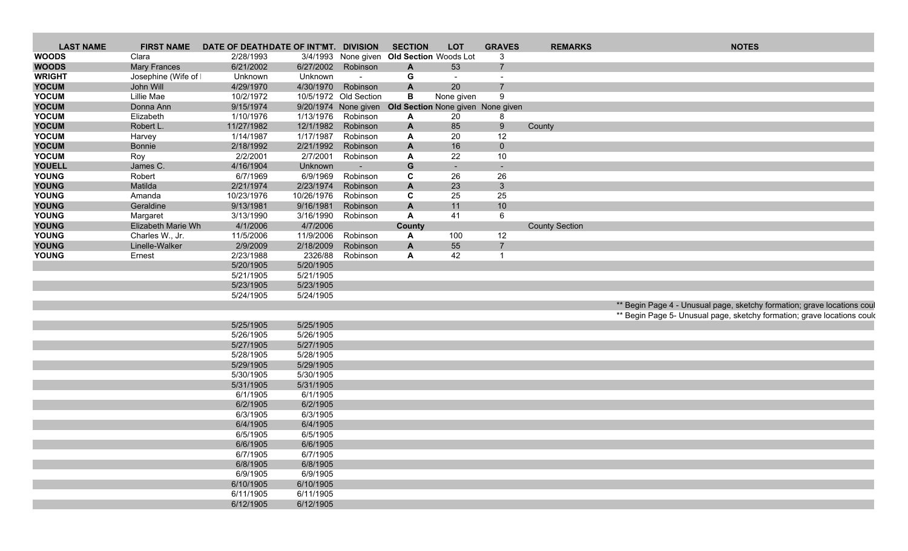| <b>LAST NAME</b> |                     | FIRST NAME DATE OF DEATHDATE OF INT'MT. DIVISION |            |                                           | <b>SECTION</b> | <b>LOT</b>     | <b>GRAVES</b>                                          | <b>REMARKS</b>        | <b>NOTES</b>                                                            |
|------------------|---------------------|--------------------------------------------------|------------|-------------------------------------------|----------------|----------------|--------------------------------------------------------|-----------------------|-------------------------------------------------------------------------|
| <b>WOODS</b>     | Clara               | 2/28/1993                                        |            | 3/4/1993 None given Old Section Woods Lot |                |                |                                                        |                       |                                                                         |
| <b>WOODS</b>     | <b>Mary Frances</b> | 6/21/2002                                        |            | 6/27/2002 Robinson                        |                | 53             |                                                        |                       |                                                                         |
| <b>WRIGHT</b>    | Josephine (Wife of  | Unknown                                          | Unknown    | $\sim$ $-$                                |                | $\sim$         | $\sim$                                                 |                       |                                                                         |
| <b>YOCUM</b>     | John Will           | 4/29/1970                                        | 4/30/1970  | Robinson                                  |                | 20             |                                                        |                       |                                                                         |
| <b>YOCUM</b>     | Lillie Mae          | 10/2/1972                                        |            | 10/5/1972 Old Section                     |                | None given     | $\Omega$                                               |                       |                                                                         |
| <b>YOCUM</b>     | Donna Ann           | 9/15/1974                                        |            |                                           |                |                | 9/20/1974 None given Old Section None given None given |                       |                                                                         |
| <b>YOCUM</b>     | Elizabeth           | 1/10/1976                                        | 1/13/1976  | Robinson                                  |                | 20             |                                                        |                       |                                                                         |
| <b>YOCUM</b>     | Robert L.           | 11/27/1982                                       |            | 12/1/1982 Robinson                        |                | 85             | 9                                                      | County                |                                                                         |
| <b>YOCUM</b>     | Harvey              | 1/14/1987                                        | 1/17/1987  | Robinson                                  |                | 20             | 12                                                     |                       |                                                                         |
| <b>YOCUM</b>     | Bonnie              | 2/18/1992                                        | 2/21/1992  | Robinson                                  |                | 16             | $\mathbf 0$                                            |                       |                                                                         |
| <b>YOCUM</b>     | Roy                 | 2/2/2001                                         | 2/7/2001   | Robinson                                  |                | 22             | 10                                                     |                       |                                                                         |
| <b>YOUELL</b>    | James C.            | 4/16/1904                                        | Unknown    |                                           | G              | $\sim$ $ \sim$ |                                                        |                       |                                                                         |
|                  |                     |                                                  |            | $\sim 100$                                |                |                | $\sim$                                                 |                       |                                                                         |
| <b>YOUNG</b>     | Robert              | 6/7/1969                                         | 6/9/1969   | Robinson                                  |                | 26             | 26                                                     |                       |                                                                         |
| <b>YOUNG</b>     | Matilda             | 2/21/1974                                        | 2/23/1974  | Robinson                                  |                | 23             | $\mathbf{3}$                                           |                       |                                                                         |
| <b>YOUNG</b>     | Amanda              | 10/23/1976                                       | 10/26/1976 | Robinson                                  |                | 25             | 25                                                     |                       |                                                                         |
| <b>YOUNG</b>     | Geraldine           | 9/13/1981                                        | 9/16/1981  | Robinson                                  |                | 11             | 10                                                     |                       |                                                                         |
| <b>YOUNG</b>     | Margaret            | 3/13/1990                                        | 3/16/1990  | Robinson                                  |                | 41             |                                                        |                       |                                                                         |
| <b>YOUNG</b>     | Elizabeth Marie Wh  | 4/1/2006                                         | 4/7/2006   |                                           | County         |                |                                                        | <b>County Section</b> |                                                                         |
| <b>YOUNG</b>     | Charles W., Jr.     | 11/5/2006                                        | 11/9/2006  | Robinson                                  |                | 100            | 12                                                     |                       |                                                                         |
| <b>YOUNG</b>     | Linelle-Walker      | 2/9/2009                                         | 2/18/2009  | Robinson                                  |                | 55             |                                                        |                       |                                                                         |
| <b>YOUNG</b>     | Ernest              | 2/23/1988                                        | 2326/88    | Robinson                                  |                | 42             |                                                        |                       |                                                                         |
|                  |                     | 5/20/1905                                        | 5/20/1905  |                                           |                |                |                                                        |                       |                                                                         |
|                  |                     | 5/21/1905                                        | 5/21/1905  |                                           |                |                |                                                        |                       |                                                                         |
|                  |                     | 5/23/1905                                        | 5/23/1905  |                                           |                |                |                                                        |                       |                                                                         |
|                  |                     | 5/24/1905                                        | 5/24/1905  |                                           |                |                |                                                        |                       |                                                                         |
|                  |                     |                                                  |            |                                           |                |                |                                                        |                       | ** Begin Page 4 - Unusual page, sketchy formation; grave locations coul |
|                  |                     |                                                  |            |                                           |                |                |                                                        |                       | ** Begin Page 5- Unusual page, sketchy formation; grave locations could |
|                  |                     | 5/25/1905                                        | 5/25/1905  |                                           |                |                |                                                        |                       |                                                                         |
|                  |                     | 5/26/1905                                        | 5/26/1905  |                                           |                |                |                                                        |                       |                                                                         |
|                  |                     | 5/27/1905                                        | 5/27/1905  |                                           |                |                |                                                        |                       |                                                                         |
|                  |                     | 5/28/1905                                        | 5/28/1905  |                                           |                |                |                                                        |                       |                                                                         |
|                  |                     |                                                  | 5/29/1905  |                                           |                |                |                                                        |                       |                                                                         |
|                  |                     | 5/29/1905                                        |            |                                           |                |                |                                                        |                       |                                                                         |
|                  |                     | 5/30/1905                                        | 5/30/1905  |                                           |                |                |                                                        |                       |                                                                         |
|                  |                     | 5/31/1905                                        | 5/31/1905  |                                           |                |                |                                                        |                       |                                                                         |
|                  |                     | 6/1/1905                                         | 6/1/1905   |                                           |                |                |                                                        |                       |                                                                         |
|                  |                     | 6/2/1905                                         | 6/2/1905   |                                           |                |                |                                                        |                       |                                                                         |
|                  |                     | 6/3/1905                                         | 6/3/1905   |                                           |                |                |                                                        |                       |                                                                         |
|                  |                     | 6/4/1905                                         | 6/4/1905   |                                           |                |                |                                                        |                       |                                                                         |
|                  |                     | 6/5/1905                                         | 6/5/1905   |                                           |                |                |                                                        |                       |                                                                         |
|                  |                     | 6/6/1905                                         | 6/6/1905   |                                           |                |                |                                                        |                       |                                                                         |
|                  |                     | 6/7/1905                                         | 6/7/1905   |                                           |                |                |                                                        |                       |                                                                         |
|                  |                     | 6/8/1905                                         | 6/8/1905   |                                           |                |                |                                                        |                       |                                                                         |
|                  |                     | 6/9/1905                                         | 6/9/1905   |                                           |                |                |                                                        |                       |                                                                         |
|                  |                     | 6/10/1905                                        | 6/10/1905  |                                           |                |                |                                                        |                       |                                                                         |
|                  |                     | 6/11/1905                                        | 6/11/1905  |                                           |                |                |                                                        |                       |                                                                         |
|                  |                     | 6/12/1905                                        | 6/12/1905  |                                           |                |                |                                                        |                       |                                                                         |
|                  |                     |                                                  |            |                                           |                |                |                                                        |                       |                                                                         |